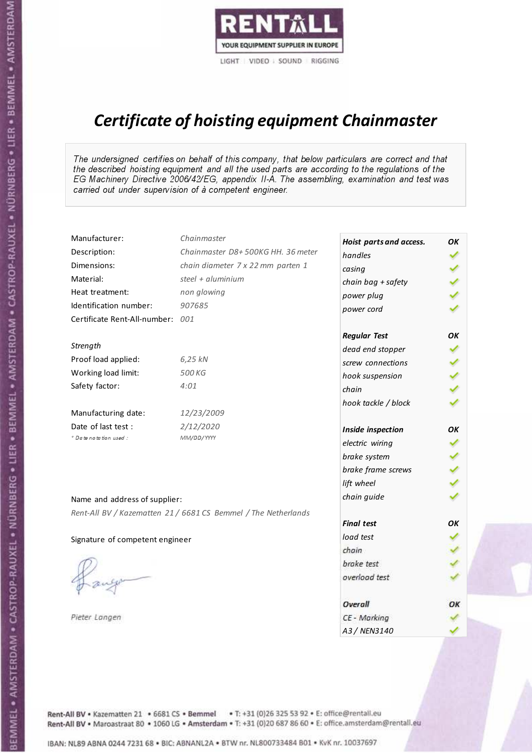

# Certificate of hoisting equipment Chainmaster

The undersigned certifies on behalf of this company, that below particulars are correct and that the described hoisting equipment and all the used parts are according to the regulations of the EG Machinery Directive 2006/42/EG, appendix II-A. The assembling, examination and test was carried out under supervision of à competent engineer.

| Manufacturer:                    | Chainmaster                                                    | Hoist parts and access. | OK  |
|----------------------------------|----------------------------------------------------------------|-------------------------|-----|
| Description:                     | Chainmaster D8+500KG HH. 36 meter                              | handles                 |     |
| Dimensions:                      | chain diameter 7 x 22 mm parten 1                              | casing                  |     |
| Material:                        | steel + $aluminim$                                             | chain bag + safety      |     |
| Heat treatment:                  | non glowing                                                    | power plug              |     |
| Identification number:           | 907685                                                         | power cord              |     |
| Certificate Rent-All-number: 001 |                                                                |                         |     |
|                                  |                                                                | <b>Regular Test</b>     | ΟK  |
| Strength                         |                                                                | dead end stopper        |     |
| Proof load applied:              | 6,25 kN                                                        | screw connections       |     |
| Working load limit:              | 500 KG                                                         | hook suspension         |     |
| Safety factor:                   | 4:01                                                           | chain                   | くくく |
|                                  |                                                                | hook tackle / block     |     |
| Manufacturing date:              | 12/23/2009                                                     |                         |     |
| Date of last test :              | 2/12/2020                                                      | Inside inspection       | ОΚ  |
| + Date notation used :           | MM/DD/YYYY                                                     | electric wiring         |     |
|                                  |                                                                | brake system            |     |
|                                  |                                                                | brake frame screws      |     |
|                                  |                                                                | lift wheel              |     |
| Name and address of supplier:    |                                                                | chain guide             |     |
|                                  | Rent-All BV / Kazematten 21 / 6681 CS Bemmel / The Netherlands |                         |     |
|                                  |                                                                | <b>Final test</b>       | OK  |
| Signature of competent engineer  |                                                                | load test               |     |
|                                  |                                                                | chain                   |     |
|                                  |                                                                | brake test              |     |
|                                  |                                                                | overload test           |     |
|                                  |                                                                | Overall                 | OK  |
| Pieter Langen                    |                                                                | CE - Marking            |     |
|                                  |                                                                | A3 / NEN3140            |     |

BEMMEL • AMSTERDAM • CASTROP-RAUXEL • NÜRNBERG • LIER • BEMMEL • AMSTERDAM • CASTROP-RAUXEL • NÜRNBERG • LIER • BEMMEL • AMSTERDAM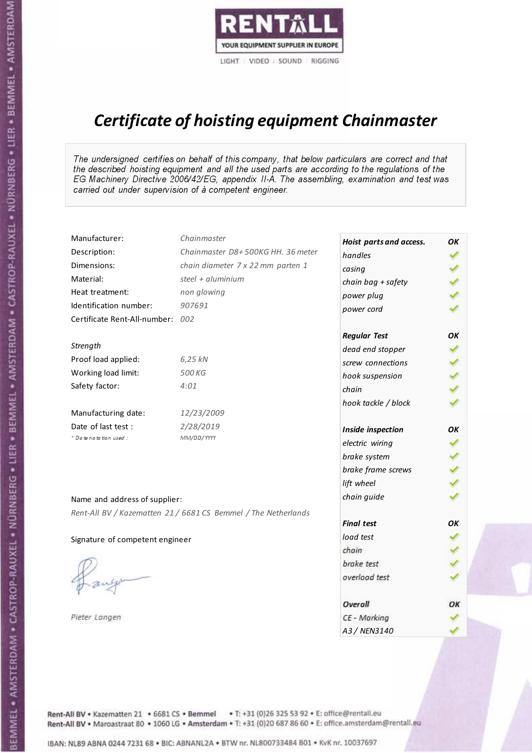

# Certificate of hoisting equipment Chainmaster

The undersigned certifies on behalf of this company, that below particulars are correct and that the described hoisting equipment and all the used parts are according to the regulations of the EG Machinery Directive 2006/42/EG, appendix II-A. The assembling, examination and test was carried out under supervision of à competent engineer.

| Manufacturer:                    | Chainmaster                                                    | Hoist parts and access. | OK  |
|----------------------------------|----------------------------------------------------------------|-------------------------|-----|
| Description:                     | Chainmaster D8+500KG HH. 36 meter                              | handles                 |     |
| Dimensions:                      | chain diameter 7 x 22 mm parten 1                              | casing                  |     |
| Material:                        | steel + $aluminim$                                             | chain bag + safety      |     |
| Heat treatment:                  | non glowing                                                    | power plug              |     |
| Identification number:           | 907691                                                         | power cord              |     |
| Certificate Rent-All-number: 002 |                                                                |                         |     |
|                                  |                                                                | <b>Regular Test</b>     | ΟK  |
| Strength                         |                                                                | dead end stopper        |     |
| Proof load applied:              | 6,25 kN                                                        | screw connections       |     |
| Working load limit:              | 500 KG                                                         | hook suspension         |     |
| Safety factor:                   | 4:01                                                           | chain                   | くくく |
|                                  |                                                                | hook tackle / block     |     |
| Manufacturing date:              | 12/23/2009                                                     |                         |     |
| Date of last test :              | 2/28/2019                                                      | Inside inspection       | ОΚ  |
| + Date notation used :           | MM/DD/YYYY                                                     | electric wiring         |     |
|                                  |                                                                | brake system            |     |
|                                  |                                                                | brake frame screws      |     |
|                                  |                                                                | lift wheel              |     |
| Name and address of supplier:    |                                                                | chain guide             |     |
|                                  | Rent-All BV / Kazematten 21 / 6681 CS Bemmel / The Netherlands |                         |     |
|                                  |                                                                | <b>Final test</b>       | OK  |
| Signature of competent engineer  |                                                                | load test               |     |
|                                  |                                                                | chain                   |     |
|                                  |                                                                | brake test              |     |
|                                  |                                                                | overload test           |     |
|                                  |                                                                | Overall                 | OK  |
| Pieter Langen                    |                                                                | CE - Marking            |     |
|                                  |                                                                | A3 / NEN3140            |     |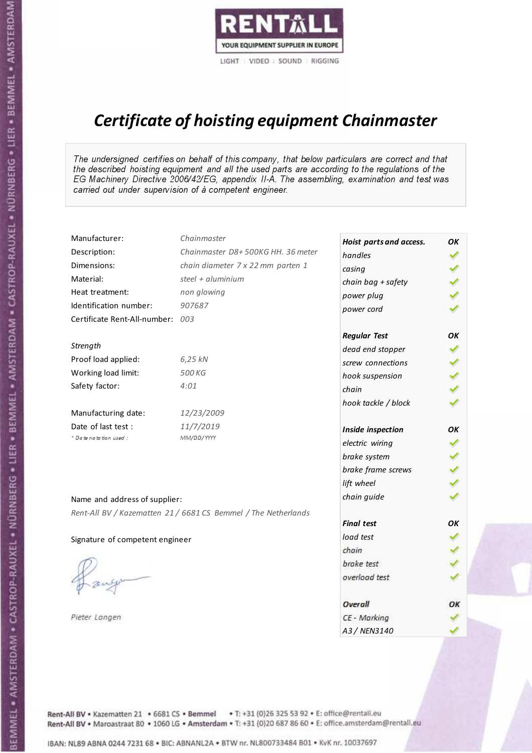

# Certificate of hoisting equipment Chainmaster

The undersigned certifies on behalf of this company, that below particulars are correct and that the described hoisting equipment and all the used parts are according to the regulations of the EG Machinery Directive 2006/42/EG, appendix II-A. The assembling, examination and test was carried out under supervision of à competent engineer.

| Manufacturer:                   | Chainmaster                                                    | Hoist parts and access. | OK  |
|---------------------------------|----------------------------------------------------------------|-------------------------|-----|
| Description:                    | Chainmaster D8+500KG HH. 36 meter                              | handles                 |     |
| Dimensions:                     | chain diameter 7 x 22 mm parten 1                              | casing                  |     |
| Material:                       | steel + aluminium                                              | chain bag + safety      | くくく |
| Heat treatment:                 | non glowing                                                    | power plug              |     |
| Identification number:          | 907687                                                         | power cord              |     |
| Certificate Rent-All-number:    | 003                                                            |                         |     |
|                                 |                                                                | <b>Regular Test</b>     | ΟK  |
| Strength                        |                                                                | dead end stopper        | ✔   |
| Proof load applied:             | 6,25 kN                                                        | screw connections       |     |
| Working load limit:             | 500 KG                                                         | hook suspension         |     |
| Safety factor:                  | 4:01                                                           | chain                   | くくく |
|                                 |                                                                | hook tackle / block     |     |
| Manufacturing date:             | 12/23/2009                                                     |                         |     |
| Date of last test :             | 11/7/2019                                                      | Inside inspection       | ΟK  |
| * Date notation used :          | MM/DD/YYYY                                                     | electric wiring         |     |
|                                 |                                                                | brake system            |     |
|                                 |                                                                | brake frame screws      | くくく |
|                                 |                                                                | lift wheel              |     |
| Name and address of supplier:   |                                                                | chain guide             |     |
|                                 | Rent-All BV / Kazematten 21 / 6681 CS Bemmel / The Netherlands |                         |     |
|                                 |                                                                | <b>Final test</b>       | OK  |
| Signature of competent engineer |                                                                | load test               |     |
|                                 |                                                                | chain                   |     |
|                                 |                                                                | brake test              |     |
|                                 |                                                                | overload test           |     |
|                                 |                                                                | Overall                 | ОК  |
| Pieter Langen                   |                                                                | CE - Marking            |     |
|                                 |                                                                | A3 / NEN3140            |     |

Rent-All BV . Kazematten 21 . 6681 CS . Bemmel . T: +31 (0)26 325 53 92 . E: office@rentall.eu Rent-All BV · Maroastraat 80 · 1060 LG · Amsterdam · T: +31 (0)20 687 86 60 · E: office.amsterdam@rentall.eu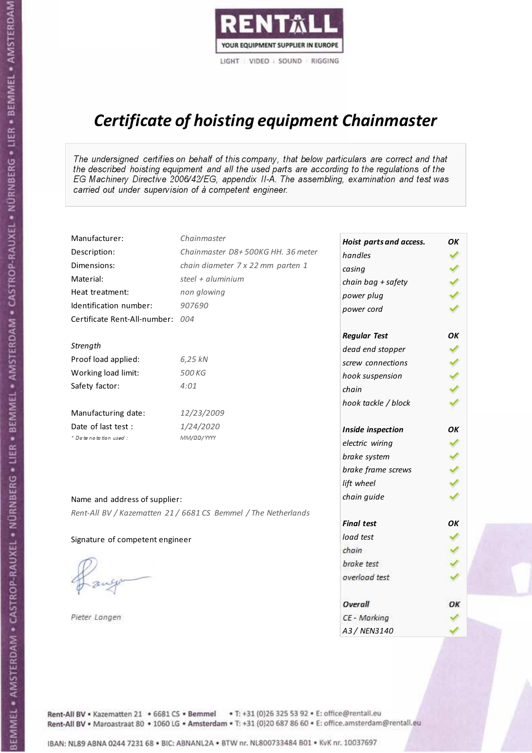

# Certificate of hoisting equipment Chainmaster

The undersigned certifies on behalf of this company, that below particulars are correct and that the described hoisting equipment and all the used parts are according to the regulations of the EG Machinery Directive 2006/42/EG, appendix II-A. The assembling, examination and test was carried out under supervision of à competent engineer.

| Manufacturer:                   | Chainmaster                                                    | Hoist parts and access. | OK  |
|---------------------------------|----------------------------------------------------------------|-------------------------|-----|
| Description:                    | Chainmaster D8+500KG HH. 36 meter                              | handles                 |     |
| Dimensions:                     | chain diameter 7 x 22 mm parten 1                              | casing                  |     |
| Material:                       | steel + aluminium                                              | chain bag + safety      |     |
| Heat treatment:                 | non glowing                                                    | power plug              |     |
| Identification number:          | 907690                                                         | power cord              |     |
| Certificate Rent-All-number:    | 004                                                            |                         |     |
|                                 |                                                                | <b>Regular Test</b>     | ΟK  |
| Strength                        |                                                                | dead end stopper        | ✔   |
| Proof load applied:             | 6,25 kN                                                        | screw connections       |     |
| Working load limit:             | 500 KG                                                         | hook suspension         |     |
| Safety factor:                  | 4:01                                                           | chain                   | くくく |
|                                 |                                                                | hook tackle / block     |     |
| Manufacturing date:             | 12/23/2009                                                     |                         |     |
| Date of last test :             | 1/24/2020                                                      | Inside inspection       | ОΚ  |
| * Date notation used :          | MM/DD/YYYY                                                     | electric wiring         |     |
|                                 |                                                                | brake system            |     |
|                                 |                                                                | brake frame screws      |     |
|                                 |                                                                | lift wheel              |     |
| Name and address of supplier:   |                                                                | chain guide             |     |
|                                 | Rent-All BV / Kazematten 21 / 6681 CS Bemmel / The Netherlands |                         |     |
|                                 |                                                                | <b>Final test</b>       | OK  |
| Signature of competent engineer |                                                                | load test               |     |
|                                 |                                                                | chain                   |     |
|                                 |                                                                | brake test              |     |
|                                 |                                                                | overload test           |     |
|                                 |                                                                | Overall                 | ОК  |
| Pieter Langen                   |                                                                | CE - Marking            |     |
|                                 |                                                                | A3 / NEN3140            |     |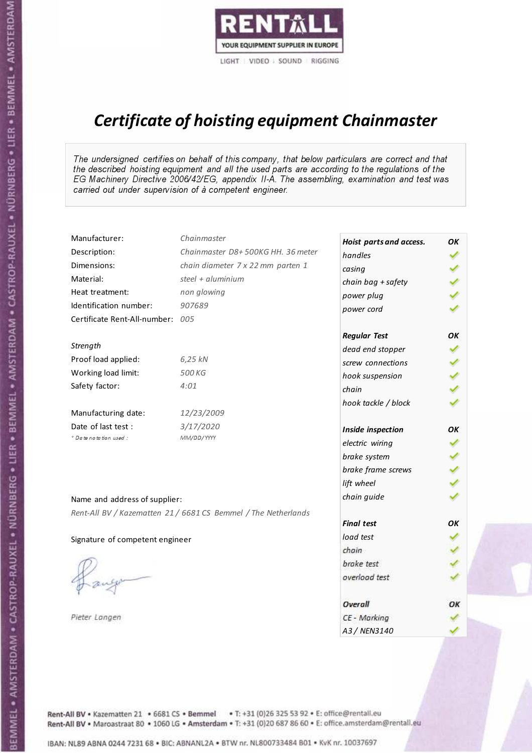

# Certificate of hoisting equipment Chainmaster

The undersigned certifies on behalf of this company, that below particulars are correct and that the described hoisting equipment and all the used parts are according to the regulations of the EG Machinery Directive 2006/42/EG, appendix II-A. The assembling, examination and test was carried out under supervision of à competent engineer.

| Manufacturer:                    | Chainmaster                                                    | Hoist parts and access. | OK  |
|----------------------------------|----------------------------------------------------------------|-------------------------|-----|
| Description:                     | Chainmaster D8+500KG HH. 36 meter                              | handles                 |     |
| Dimensions:                      | chain diameter 7 x 22 mm parten 1                              | casing                  |     |
| Material:                        | steel $+$ aluminium                                            | chain bag + safety      |     |
| Heat treatment:                  | non glowing                                                    | power plug              |     |
| Identification number:           | 907689                                                         | power cord              |     |
| Certificate Rent-All-number: 005 |                                                                |                         |     |
|                                  |                                                                | <b>Regular Test</b>     | OK  |
| Strength                         |                                                                | dead end stopper        | ✔   |
| Proof load applied:              | 6,25 kN                                                        | screw connections       |     |
| Working load limit:              | 500 KG                                                         | hook suspension         |     |
| Safety factor:                   | 4:01                                                           | chain                   | くくく |
|                                  |                                                                | hook tackle / block     |     |
| Manufacturing date:              | 12/23/2009                                                     |                         |     |
| Date of last test :              | 3/17/2020                                                      | Inside inspection       | OK  |
| * Date notation used :           | MM/DD/YYYY                                                     | electric wiring         |     |
|                                  |                                                                | brake system            |     |
|                                  |                                                                | brake frame screws      | くくく |
|                                  |                                                                | lift wheel              |     |
| Name and address of supplier:    |                                                                | chain guide             |     |
|                                  | Rent-All BV / Kazematten 21 / 6681 CS Bemmel / The Netherlands |                         |     |
|                                  |                                                                | <b>Final test</b>       | OK  |
| Signature of competent engineer  |                                                                | load test               |     |
|                                  |                                                                | chain                   |     |
|                                  |                                                                | brake test              |     |
|                                  |                                                                | overload test           |     |
|                                  |                                                                | Overall                 | OK  |
| Pieter Langen                    |                                                                | CE - Marking            |     |
|                                  |                                                                | A3 / NEN3140            |     |

BEMMEL • AMSTERDAM • CASTROP-RAUXEL • NÜRNBERG • LIER • BEMMEL • AMSTERDAM • CASTROP-RAUXEL • NÜRNBERG • LIER • BEMMEL • AMSTERDAM

Rent-All BV . Kazematten 21 . 6681 CS . Bemmel . T: +31 (0)26 325 53 92 . E: office@rentall.eu Rent-All BV · Maroastraat 80 · 1060 LG · Amsterdam · T: +31 (0)20 687 86 60 · E: office.amsterdam@rentall.eu

IBAN: NL89 ABNA 0244 7231 68 . BIC: ABNANL2A . BTW nr. NL800733484 B01 . KyK nr. 10037697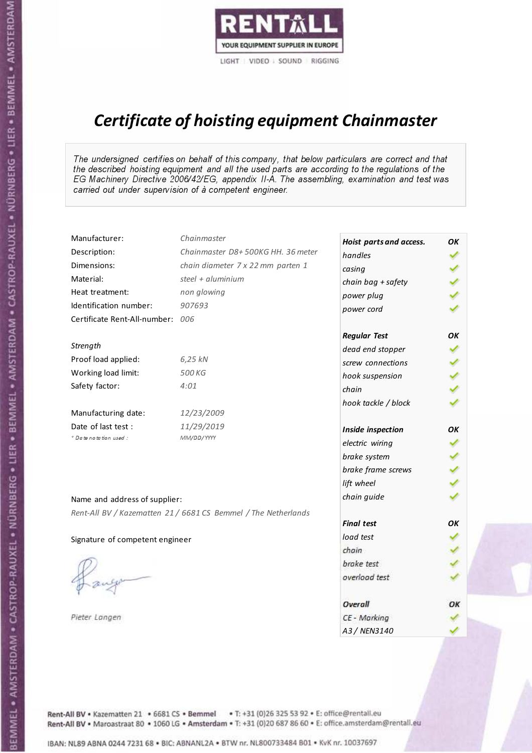

# Certificate of hoisting equipment Chainmaster

The undersigned certifies on behalf of this company, that below particulars are correct and that the described hoisting equipment and all the used parts are according to the regulations of the EG Machinery Directive 2006/42/EG, appendix II-A. The assembling, examination and test was carried out under supervision of à competent engineer.

| Manufacturer:                    | Chainmaster                                                    | Hoist parts and access. | OK  |
|----------------------------------|----------------------------------------------------------------|-------------------------|-----|
| Description:                     | Chainmaster D8+500KG HH. 36 meter                              | handles                 |     |
| Dimensions:                      | chain diameter 7 x 22 mm parten 1                              | casing                  |     |
| Material:                        | steel + $aluminium$                                            | chain bag + safety      |     |
| Heat treatment:                  | non glowing                                                    | power plug              |     |
| Identification number:           | 907693                                                         | power cord              |     |
| Certificate Rent-All-number: 006 |                                                                |                         |     |
|                                  |                                                                | <b>Regular Test</b>     | ΟK  |
| Strength                         |                                                                | dead end stopper        | ✔   |
| Proof load applied:              | 6,25 kN                                                        | screw connections       |     |
| Working load limit:              | 500 KG                                                         | hook suspension         |     |
| Safety factor:                   | 4:01                                                           | chain                   | くくく |
|                                  |                                                                | hook tackle / block     |     |
| Manufacturing date:              | 12/23/2009                                                     |                         |     |
| Date of last test :              | 11/29/2019                                                     | Inside inspection       | ОΚ  |
| * Date notation used :           | MM/DD/YYYY                                                     | electric wiring         |     |
|                                  |                                                                | brake system            |     |
|                                  |                                                                | brake frame screws      |     |
|                                  |                                                                | lift wheel              | くくく |
| Name and address of supplier:    |                                                                | chain guide             |     |
|                                  | Rent-All BV / Kazematten 21 / 6681 CS Bemmel / The Netherlands |                         |     |
|                                  |                                                                | <b>Final test</b>       | OK  |
| Signature of competent engineer  |                                                                | load test               |     |
|                                  |                                                                | chain                   |     |
|                                  |                                                                | brake test              |     |
|                                  |                                                                | overload test           |     |
|                                  |                                                                | Overall                 | ОК  |
| Pieter Langen                    |                                                                | CE - Marking            |     |
|                                  |                                                                | A3 / NEN3140            |     |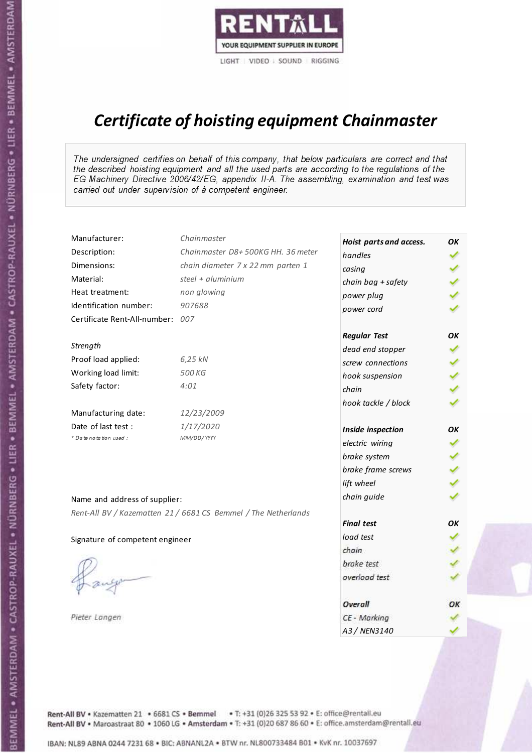

# Certificate of hoisting equipment Chainmaster

The undersigned certifies on behalf of this company, that below particulars are correct and that the described hoisting equipment and all the used parts are according to the regulations of the EG Machinery Directive 2006/42/EG, appendix II-A. The assembling, examination and test was carried out under supervision of à competent engineer.

| Manufacturer:                    | Chainmaster                                                    | Hoist parts and access. | OK  |
|----------------------------------|----------------------------------------------------------------|-------------------------|-----|
| Description:                     | Chainmaster D8+500KG HH. 36 meter                              | handles                 |     |
| Dimensions:                      | chain diameter 7 x 22 mm parten 1                              | casing                  |     |
| Material:                        | steel + aluminium                                              | chain bag + safety      |     |
| Heat treatment:                  | non glowing                                                    | power plug              |     |
| Identification number:           | 907688                                                         | power cord              |     |
| Certificate Rent-All-number: 007 |                                                                |                         |     |
|                                  |                                                                | <b>Regular Test</b>     | ΟK  |
| Strength                         |                                                                | dead end stopper        | ✔   |
| Proof load applied:              | 6,25 kN                                                        | screw connections       |     |
| Working load limit:              | 500 KG                                                         | hook suspension         |     |
| Safety factor:                   | 4:01                                                           | chain                   | くくく |
|                                  |                                                                | hook tackle / block     |     |
| Manufacturing date:              | 12/23/2009                                                     |                         |     |
| Date of last test :              | 1/17/2020                                                      | Inside inspection       | ОΚ  |
| * Date notation used :           | MM/DD/YYYY                                                     | electric wiring         |     |
|                                  |                                                                | brake system            |     |
|                                  |                                                                | brake frame screws      |     |
|                                  |                                                                | lift wheel              |     |
| Name and address of supplier:    |                                                                | chain guide             |     |
|                                  | Rent-All BV / Kazematten 21 / 6681 CS Bemmel / The Netherlands |                         |     |
|                                  |                                                                | <b>Final test</b>       | OK  |
| Signature of competent engineer  |                                                                | load test               |     |
|                                  |                                                                | chain                   |     |
|                                  |                                                                | brake test              |     |
|                                  |                                                                | overload test           |     |
|                                  |                                                                | Overall                 | ОК  |
| Pieter Langen                    |                                                                | CE - Marking            |     |
|                                  |                                                                | A3 / NEN3140            |     |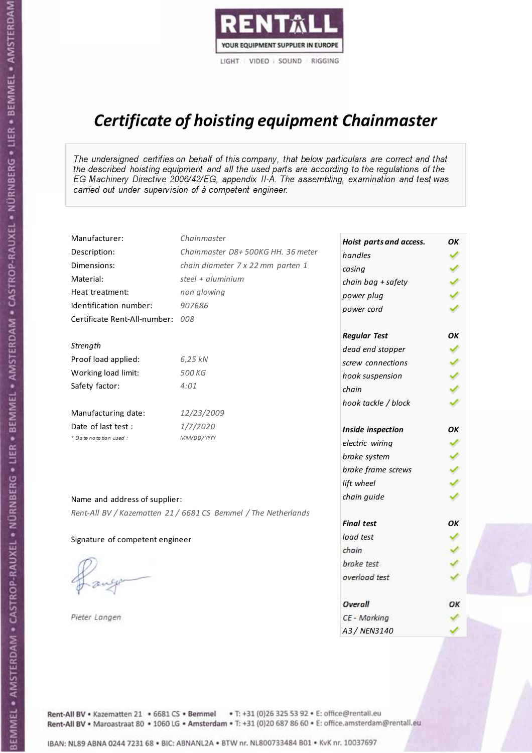

# Certificate of hoisting equipment Chainmaster

The undersigned certifies on behalf of this company, that below particulars are correct and that the described hoisting equipment and all the used parts are according to the regulations of the EG Machinery Directive 2006/42/EG, appendix II-A. The assembling, examination and test was carried out under supervision of à competent engineer.

| Manufacturer:                    | Chainmaster                                                    | Hoist parts and access. | OK |
|----------------------------------|----------------------------------------------------------------|-------------------------|----|
| Description:                     | Chainmaster D8+500KG HH. 36 meter                              | handles                 |    |
| Dimensions:                      | chain diameter 7 x 22 mm parten 1                              | casing                  |    |
| Material:                        | steel + $aluminium$                                            | chain bag + safety      |    |
| Heat treatment:                  | non glowing                                                    | power plug              |    |
| Identification number:           | 907686                                                         | power cord              |    |
| Certificate Rent-All-number: 008 |                                                                |                         |    |
|                                  |                                                                | <b>Regular Test</b>     | OK |
| Strength                         |                                                                | dead end stopper        |    |
| Proof load applied:              | 6,25 kN                                                        | screw connections       |    |
| Working load limit:              | 500 KG                                                         | hook suspension         |    |
| Safety factor:                   | 4:01                                                           | chain                   |    |
|                                  |                                                                | hook tackle / block     |    |
| Manufacturing date:              | 12/23/2009                                                     |                         |    |
| Date of last test :              | 1/7/2020                                                       | Inside inspection       | OK |
| * Date notation used :           | MM/DD/YYYY                                                     | electric wiring         |    |
|                                  |                                                                | brake system            |    |
|                                  |                                                                | brake frame screws      |    |
|                                  |                                                                | lift wheel              |    |
| Name and address of supplier:    |                                                                | chain guide             |    |
|                                  | Rent-All BV / Kazematten 21 / 6681 CS Bemmel / The Netherlands |                         |    |
|                                  |                                                                | <b>Final test</b>       | OK |
| Signature of competent engineer  |                                                                | load test               |    |
|                                  |                                                                | chain                   |    |
|                                  |                                                                | brake test              |    |
|                                  |                                                                | overload test           |    |
|                                  |                                                                | Overall                 | ОК |
| Pieter Langen                    |                                                                | CE - Marking            |    |
|                                  |                                                                | A3 / NEN3140            |    |

Rent-All BV . Kazematten 21 . 6681 CS . Bemmel . T: +31 (0)26 325 53 92 . E: office@rentall.eu Rent-All BV · Maroastraat 80 · 1060 LG · Amsterdam · T: +31 (0)20 687 86 60 · E: office.amsterdam@rentall.eu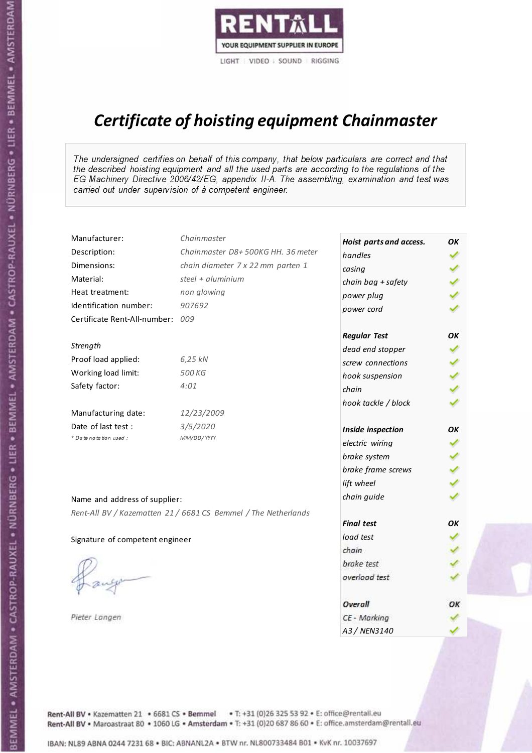

# Certificate of hoisting equipment Chainmaster

The undersigned certifies on behalf of this company, that below particulars are correct and that the described hoisting equipment and all the used parts are according to the regulations of the EG Machinery Directive 2006/42/EG, appendix II-A. The assembling, examination and test was carried out under supervision of à competent engineer.

| Manufacturer:                    | Chainmaster                                                    | Hoist parts and access. | OK  |
|----------------------------------|----------------------------------------------------------------|-------------------------|-----|
| Description:                     | Chainmaster D8+500KG HH. 36 meter                              | handles                 |     |
| Dimensions:                      | chain diameter 7 x 22 mm parten 1                              | casing                  |     |
| Material:                        | steel + aluminium                                              | chain bag + safety      |     |
| Heat treatment:                  | non glowing                                                    | power plug              |     |
| Identification number:           | 907692                                                         | power cord              |     |
| Certificate Rent-All-number: 009 |                                                                |                         |     |
|                                  |                                                                | <b>Regular Test</b>     | OK  |
| Strength                         |                                                                | dead end stopper        | ✔   |
| Proof load applied:              | 6,25 kN                                                        | screw connections       |     |
| Working load limit:              | 500 KG                                                         | hook suspension         |     |
| Safety factor:                   | 4:01                                                           | chain                   | くくく |
|                                  |                                                                | hook tackle / block     |     |
| Manufacturing date:              | 12/23/2009                                                     |                         |     |
| Date of last test :              | 3/5/2020                                                       | Inside inspection       | OK  |
| * Date notation used :           | MM/DD/YYYY                                                     | electric wiring         |     |
|                                  |                                                                | brake system            |     |
|                                  |                                                                | brake frame screws      | くくく |
|                                  |                                                                | lift wheel              |     |
| Name and address of supplier:    |                                                                | chain guide             |     |
|                                  | Rent-All BV / Kazematten 21 / 6681 CS Bemmel / The Netherlands |                         |     |
|                                  |                                                                | <b>Final test</b>       | OK  |
| Signature of competent engineer  |                                                                | load test               |     |
|                                  |                                                                | chain                   |     |
|                                  |                                                                | brake test              |     |
|                                  |                                                                | overload test           |     |
|                                  |                                                                | Overall                 | ОК  |
| Pieter Langen                    |                                                                | CE - Marking            |     |
|                                  |                                                                | A3 / NEN3140            |     |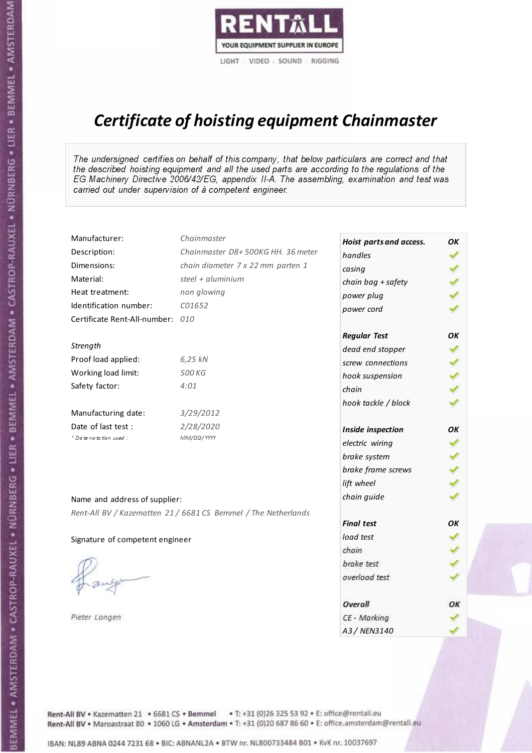

# Certificate of hoisting equipment Chainmaster

The undersigned certifies on behalf of this company, that below particulars are correct and that the described hoisting equipment and all the used parts are according to the regulations of the EG Machinery Directive 2006/42/EG, appendix II-A. The assembling, examination and test was carried out under supervision of à competent engineer.

| Manufacturer:                    | Chainmaster                                                    | Hoist parts and access. | OK  |
|----------------------------------|----------------------------------------------------------------|-------------------------|-----|
| Description:                     | Chainmaster D8+500KG HH. 36 meter                              | handles                 |     |
| Dimensions:                      | chain diameter 7 x 22 mm parten 1                              | casing                  |     |
| Material:                        | steel $+$ aluminium                                            | chain bag + safety      |     |
| Heat treatment:                  | non glowing                                                    | power plug              |     |
| Identification number:           | C01652                                                         | power cord              |     |
| Certificate Rent-All-number: 010 |                                                                |                         |     |
|                                  |                                                                | <b>Regular Test</b>     | ОΚ  |
| Strength                         |                                                                | dead end stopper        | ✔   |
| Proof load applied:              | 6,25 kN                                                        | screw connections       |     |
| Working load limit:              | 500 KG                                                         | hook suspension         |     |
| Safety factor:                   | 4:01                                                           | chain                   | くくく |
|                                  |                                                                | hook tackle / block     |     |
| Manufacturing date:              | 3/29/2012                                                      |                         |     |
| Date of last test :              | 2/28/2020                                                      | Inside inspection       | ОΚ  |
| + Date notation used :           | MM/DD/YYYY                                                     | electric wiring         |     |
|                                  |                                                                | brake system            |     |
|                                  |                                                                | brake frame screws      |     |
|                                  |                                                                | lift wheel              |     |
| Name and address of supplier:    |                                                                | chain guide             |     |
|                                  | Rent-All BV / Kazematten 21 / 6681 CS Bemmel / The Netherlands |                         |     |
|                                  |                                                                | <b>Final test</b>       | OK  |
| Signature of competent engineer  |                                                                | load test               |     |
|                                  |                                                                | chain                   |     |
|                                  |                                                                | brake test              |     |
|                                  |                                                                | overload test           |     |
|                                  |                                                                | Overall                 | OК  |
| Pieter Langen                    |                                                                | CE - Marking            |     |
|                                  |                                                                | A3 / NEN3140            |     |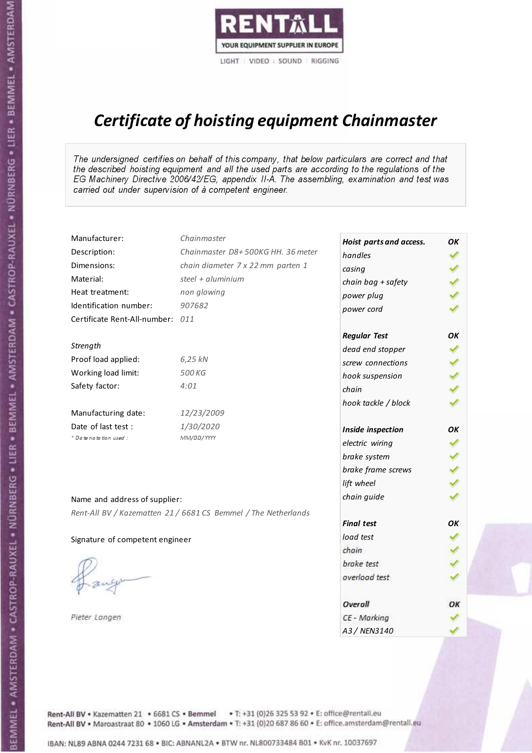

# Certificate of hoisting equipment Chainmaster

The undersigned certifies on behalf of this company, that below particulars are correct and that the described hoisting equipment and all the used parts are according to the regulations of the EG Machinery Directive 2006/42/EG, appendix II-A. The assembling, examination and test was carried out under supervision of à competent engineer.

| Manufacturer:                    | Chainmaster                                                    | Hoist parts and access. | OK  |
|----------------------------------|----------------------------------------------------------------|-------------------------|-----|
| Description:                     | Chainmaster D8+500KG HH. 36 meter                              | handles                 |     |
| Dimensions:                      | chain diameter 7 x 22 mm parten 1                              | casing                  |     |
| Material:                        | steel + $aluminim$                                             | chain bag + safety      |     |
| Heat treatment:                  | non glowing                                                    | power plug              |     |
| Identification number:           | 907682                                                         | power cord              |     |
| Certificate Rent-All-number: 011 |                                                                |                         |     |
|                                  |                                                                | <b>Regular Test</b>     | ΟK  |
| Strength                         |                                                                | dead end stopper        |     |
| Proof load applied:              | 6,25 kN                                                        | screw connections       |     |
| Working load limit:              | 500 KG                                                         | hook suspension         |     |
| Safety factor:                   | 4:01                                                           | chain                   | くくく |
|                                  |                                                                | hook tackle / block     |     |
| Manufacturing date:              | 12/23/2009                                                     |                         |     |
| Date of last test :              | 1/30/2020                                                      | Inside inspection       | ОΚ  |
| + Date notation used:            | MM/DD/YYYY                                                     | electric wiring         |     |
|                                  |                                                                | brake system            |     |
|                                  |                                                                | brake frame screws      |     |
|                                  |                                                                | lift wheel              |     |
| Name and address of supplier:    |                                                                | chain guide             |     |
|                                  | Rent-All BV / Kazematten 21 / 6681 CS Bemmel / The Netherlands |                         |     |
|                                  |                                                                | <b>Final test</b>       | OK  |
| Signature of competent engineer  |                                                                | load test               |     |
|                                  |                                                                | chain                   |     |
|                                  |                                                                | brake test              |     |
|                                  |                                                                | overload test           |     |
|                                  |                                                                | Overall                 | OK  |
| Pieter Langen                    |                                                                | CE - Marking            |     |
|                                  |                                                                | A3 / NEN3140            |     |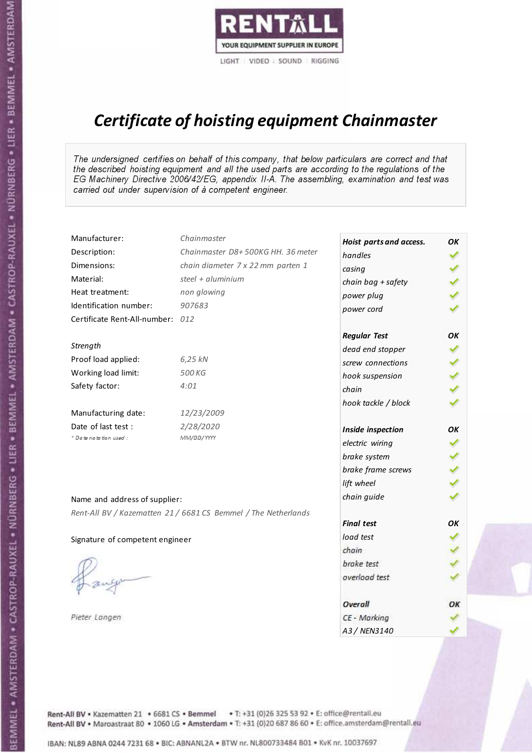

# Certificate of hoisting equipment Chainmaster

The undersigned certifies on behalf of this company, that below particulars are correct and that the described hoisting equipment and all the used parts are according to the regulations of the EG Machinery Directive 2006/42/EG, appendix II-A. The assembling, examination and test was carried out under supervision of à competent engineer.

| Manufacturer:                    | Chainmaster                                                    | Hoist parts and access. | OK  |
|----------------------------------|----------------------------------------------------------------|-------------------------|-----|
| Description:                     | Chainmaster D8+500KG HH. 36 meter                              | handles                 |     |
| Dimensions:                      | chain diameter 7 x 22 mm parten 1                              | casing                  |     |
| Material:                        | steel + aluminium                                              | chain bag + safety      |     |
| Heat treatment:                  | non glowing                                                    | power plug              |     |
| Identification number:           | 907683                                                         | power cord              |     |
| Certificate Rent-All-number: 012 |                                                                |                         |     |
|                                  |                                                                | <b>Regular Test</b>     | OK  |
| Strength                         |                                                                | dead end stopper        |     |
| Proof load applied:              | 6,25 kN                                                        | screw connections       |     |
| Working load limit:              | 500 KG                                                         | hook suspension         |     |
| Safety factor:                   | 4:01                                                           | chain                   | くくく |
|                                  |                                                                | hook tackle / block     |     |
| Manufacturing date:              | 12/23/2009                                                     |                         |     |
| Date of last test :              | 2/28/2020                                                      | Inside inspection       | ΟK  |
| * Date notation used :           | MM/DD/YYYY                                                     | electric wiring         |     |
|                                  |                                                                | brake system            |     |
|                                  |                                                                | brake frame screws      |     |
|                                  |                                                                | lift wheel              |     |
| Name and address of supplier:    |                                                                | chain guide             |     |
|                                  | Rent-All BV / Kazematten 21 / 6681 CS Bemmel / The Netherlands |                         |     |
|                                  |                                                                | <b>Final test</b>       | ΟK  |
| Signature of competent engineer  |                                                                | load test               |     |
|                                  |                                                                | chain                   |     |
|                                  |                                                                | brake test              |     |
|                                  |                                                                | overload test           |     |
|                                  |                                                                | Overall                 | ОК  |
| Pieter Langen                    |                                                                | CE - Marking            |     |
|                                  |                                                                | A3 / NEN3140            |     |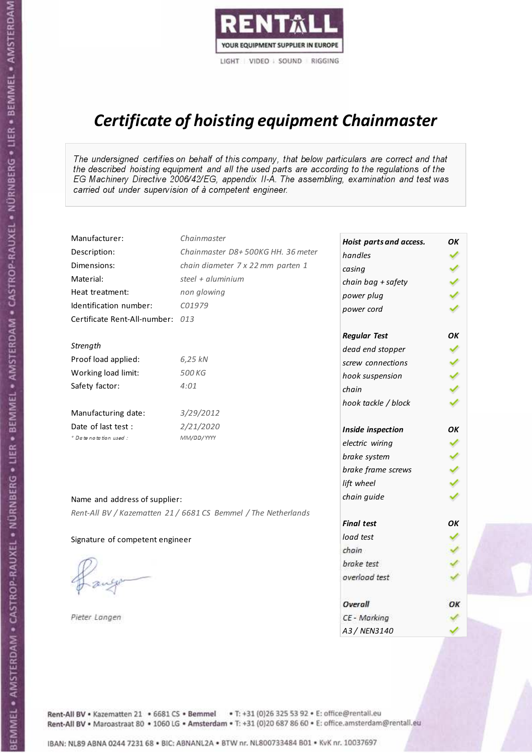

# Certificate of hoisting equipment Chainmaster

The undersigned certifies on behalf of this company, that below particulars are correct and that the described hoisting equipment and all the used parts are according to the regulations of the EG Machinery Directive 2006/42/EG, appendix II-A. The assembling, examination and test was carried out under supervision of à competent engineer.

| Manufacturer:                    | Chainmaster                                                    | Hoist parts and access. | OK  |
|----------------------------------|----------------------------------------------------------------|-------------------------|-----|
| Description:                     | Chainmaster D8+500KG HH. 36 meter                              | handles                 |     |
| Dimensions:                      | chain diameter 7 x 22 mm parten 1                              | casing                  |     |
| Material:                        | steel + aluminium                                              | chain bag + safety      |     |
| Heat treatment:                  | non glowing                                                    | power plug              |     |
| Identification number:           | C01979                                                         | power cord              |     |
| Certificate Rent-All-number: 013 |                                                                |                         |     |
|                                  |                                                                | <b>Regular Test</b>     | OK  |
| Strength                         |                                                                | dead end stopper        |     |
| Proof load applied:              | 6,25 kN                                                        | screw connections       |     |
| Working load limit:              | 500 KG                                                         | hook suspension         |     |
| Safety factor:                   | 4:01                                                           | chain                   | くくく |
|                                  |                                                                | hook tackle / block     |     |
| Manufacturing date:              | 3/29/2012                                                      |                         |     |
| Date of last test :              | 2/21/2020                                                      | Inside inspection       | ОΚ  |
| + Date notation used:            | MM/DD/YYYY                                                     | electric wiring         |     |
|                                  |                                                                | brake system            |     |
|                                  |                                                                | brake frame screws      |     |
|                                  |                                                                | lift wheel              |     |
| Name and address of supplier:    |                                                                | chain guide             |     |
|                                  | Rent-All BV / Kazematten 21 / 6681 CS Bemmel / The Netherlands |                         |     |
|                                  |                                                                | <b>Final test</b>       | OK  |
| Signature of competent engineer  |                                                                | load test               |     |
|                                  |                                                                | chain                   |     |
|                                  |                                                                | brake test              |     |
|                                  |                                                                | overload test           |     |
|                                  |                                                                |                         |     |
|                                  |                                                                | Overall                 | OK  |
| Pieter Langen                    |                                                                | CE - Marking            |     |
|                                  |                                                                | A3 / NEN3140            |     |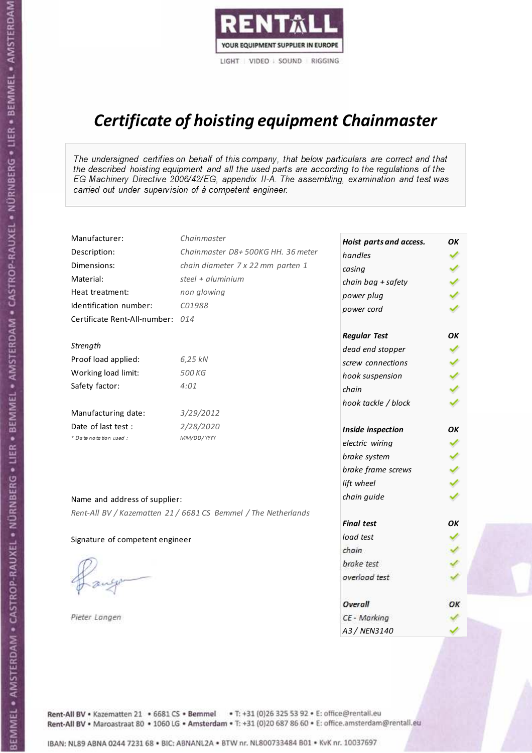

# Certificate of hoisting equipment Chainmaster

The undersigned certifies on behalf of this company, that below particulars are correct and that the described hoisting equipment and all the used parts are according to the regulations of the EG Machinery Directive 2006/42/EG, appendix II-A. The assembling, examination and test was carried out under supervision of à competent engineer.

| Manufacturer:                    | Chainmaster                                                    | Hoist parts and access. | OK  |
|----------------------------------|----------------------------------------------------------------|-------------------------|-----|
| Description:                     | Chainmaster D8+500KG HH. 36 meter                              | handles                 |     |
| Dimensions:                      | chain diameter 7 x 22 mm parten 1                              | casing                  |     |
| Material:                        | steel + aluminium                                              | chain bag + safety      |     |
| Heat treatment:                  | non glowing                                                    | power plug              |     |
| Identification number:           | C01988                                                         | power cord              |     |
| Certificate Rent-All-number: 014 |                                                                |                         |     |
|                                  |                                                                | <b>Regular Test</b>     | OK  |
| Strength                         |                                                                | dead end stopper        |     |
| Proof load applied:              | 6,25 kN                                                        | screw connections       |     |
| Working load limit:              | 500 KG                                                         | hook suspension         |     |
| Safety factor:                   | 4:01                                                           | chain                   | くくく |
|                                  |                                                                | hook tackle / block     |     |
| Manufacturing date:              | 3/29/2012                                                      |                         |     |
| Date of last test :              | 2/28/2020                                                      | Inside inspection       | OK  |
| * Date notation used :           | MM/DD/YYYY                                                     | electric wiring         |     |
|                                  |                                                                | brake system            |     |
|                                  |                                                                | brake frame screws      |     |
|                                  |                                                                | lift wheel              |     |
| Name and address of supplier:    |                                                                | chain guide             |     |
|                                  | Rent-All BV / Kazematten 21 / 6681 CS Bemmel / The Netherlands |                         |     |
|                                  |                                                                | <b>Final test</b>       | OK  |
| Signature of competent engineer  |                                                                | load test               |     |
|                                  |                                                                | chain                   |     |
|                                  |                                                                | brake test              |     |
|                                  |                                                                | overload test           |     |
|                                  |                                                                | Overall                 | ОК  |
| Pieter Langen                    |                                                                | CE - Marking            |     |
|                                  |                                                                | A3 / NEN3140            |     |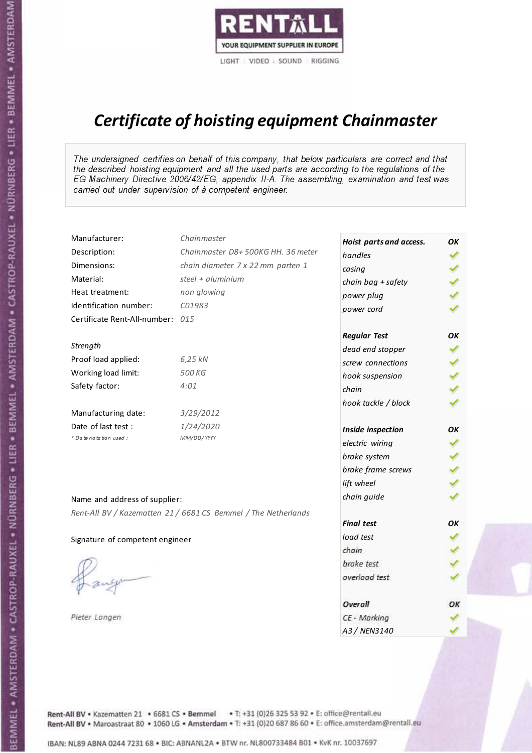

# Certificate of hoisting equipment Chainmaster

The undersigned certifies on behalf of this company, that below particulars are correct and that the described hoisting equipment and all the used parts are according to the regulations of the EG Machinery Directive 2006/42/EG, appendix II-A. The assembling, examination and test was carried out under supervision of à competent engineer.

| Manufacturer:                    | Chainmaster                                                    | Hoist parts and access. | OK  |
|----------------------------------|----------------------------------------------------------------|-------------------------|-----|
| Description:                     | Chainmaster D8+500KG HH. 36 meter                              | handles                 |     |
| Dimensions:                      | chain diameter 7 x 22 mm parten 1                              | casing                  |     |
| Material:                        | steel + aluminium                                              | chain bag + safety      |     |
| Heat treatment:                  | non glowing                                                    | power plug              |     |
| Identification number:           | C01983                                                         | power cord              |     |
| Certificate Rent-All-number: 015 |                                                                |                         |     |
|                                  |                                                                | <b>Regular Test</b>     | ОΚ  |
| Strength                         |                                                                | dead end stopper        | ✔   |
| Proof load applied:              | 6,25 kN                                                        | screw connections       |     |
| Working load limit:              | 500 KG                                                         | hook suspension         |     |
| Safety factor:                   | 4:01                                                           | chain                   | くくく |
|                                  |                                                                | hook tackle / block     |     |
| Manufacturing date:              | 3/29/2012                                                      |                         |     |
| Date of last test :              | 1/24/2020                                                      | Inside inspection       | ОΚ  |
| * Date notation used :           | MM/DD/YYYY                                                     | electric wiring         | ✔   |
|                                  |                                                                | brake system            |     |
|                                  |                                                                | brake frame screws      |     |
|                                  |                                                                | lift wheel              | くくく |
| Name and address of supplier:    |                                                                | chain guide             |     |
|                                  | Rent-All BV / Kazematten 21 / 6681 CS Bemmel / The Netherlands |                         |     |
|                                  |                                                                | <b>Final test</b>       | OK  |
| Signature of competent engineer  |                                                                | load test               |     |
|                                  |                                                                | chain                   |     |
|                                  |                                                                | brake test              |     |
|                                  |                                                                | overload test           |     |
|                                  |                                                                | Overall                 | ОК  |
| Pieter Langen                    |                                                                | CE - Marking            |     |
|                                  |                                                                | A3 / NEN3140            |     |

Rent-All BV . Kazematten 21 . 6681 CS . Bemmel . T: +31 (0)26 325 53 92 . E: office@rentall.eu Rent-All BV · Maroastraat 80 · 1060 LG · Amsterdam · T: +31 (0)20 687 86 60 · E: office.amsterdam@rentall.eu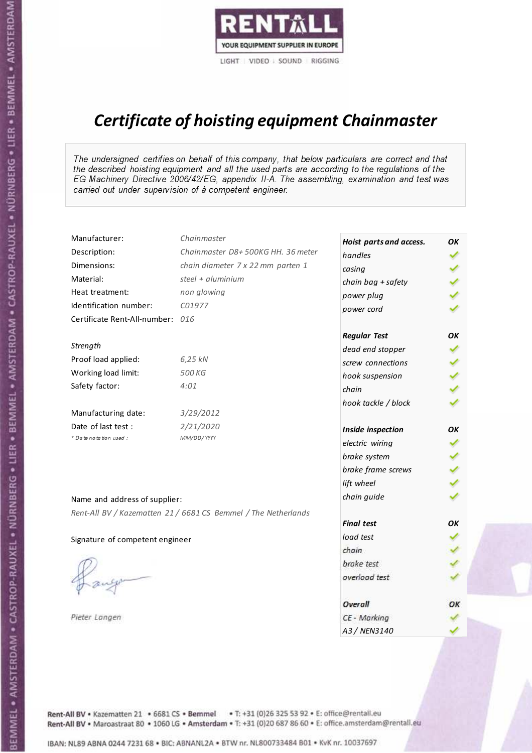

# Certificate of hoisting equipment Chainmaster

The undersigned certifies on behalf of this company, that below particulars are correct and that the described hoisting equipment and all the used parts are according to the regulations of the EG Machinery Directive 2006/42/EG, appendix II-A. The assembling, examination and test was carried out under supervision of à competent engineer.

| Manufacturer:                    | Chainmaster                                                    | Hoist parts and access. | OK  |
|----------------------------------|----------------------------------------------------------------|-------------------------|-----|
| Description:                     | Chainmaster D8+500KG HH. 36 meter                              | handles                 |     |
| Dimensions:                      | chain diameter 7 x 22 mm parten 1                              | casing                  |     |
| Material:                        | steel $+$ aluminium                                            | chain bag + safety      |     |
| Heat treatment:                  | non glowing                                                    | power plug              |     |
| Identification number:           | C01977                                                         | power cord              |     |
| Certificate Rent-All-number: 016 |                                                                |                         |     |
|                                  |                                                                | <b>Regular Test</b>     | ΟK  |
| Strength                         |                                                                | dead end stopper        | ✔   |
| Proof load applied:              | 6,25 kN                                                        | screw connections       |     |
| Working load limit:              | 500 KG                                                         | hook suspension         |     |
| Safety factor:                   | 4:01                                                           | chain                   | くくく |
|                                  |                                                                | hook tackle / block     |     |
| Manufacturing date:              | 3/29/2012                                                      |                         |     |
| Date of last test :              | 2/21/2020                                                      | Inside inspection       | ΟK  |
| + Date notation used :           | MM/DD/YYYY                                                     | electric wiring         | ✔   |
|                                  |                                                                | brake system            |     |
|                                  |                                                                | brake frame screws      |     |
|                                  |                                                                | lift wheel              | くくく |
| Name and address of supplier:    |                                                                | chain guide             |     |
|                                  | Rent-All BV / Kazematten 21 / 6681 CS Bemmel / The Netherlands |                         |     |
|                                  |                                                                | <b>Final test</b>       | OK  |
| Signature of competent engineer  |                                                                | load test               |     |
|                                  |                                                                | chain                   |     |
|                                  |                                                                | brake test              |     |
|                                  |                                                                | overload test           |     |
|                                  |                                                                | Overall                 | ОК  |
| Pieter Langen                    |                                                                | CE - Marking            |     |
|                                  |                                                                | A3 / NEN3140            |     |

Rent-All BV . Kazematten 21 . 6681 CS . Bemmel . T: +31 (0)26 325 53 92 . E: office@rentall.eu Rent-All BV · Maroastraat 80 · 1060 LG · Amsterdam · T: +31 (0)20 687 86 60 · E: office.amsterdam@rentall.eu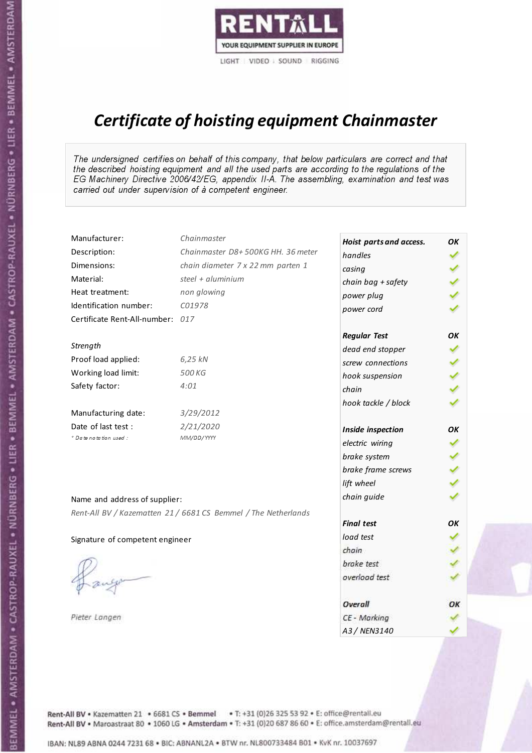

# Certificate of hoisting equipment Chainmaster

The undersigned certifies on behalf of this company, that below particulars are correct and that the described hoisting equipment and all the used parts are according to the regulations of the EG Machinery Directive 2006/42/EG, appendix II-A. The assembling, examination and test was carried out under supervision of à competent engineer.

| Manufacturer:                    | Chainmaster                                                    | Hoist parts and access. | OK  |
|----------------------------------|----------------------------------------------------------------|-------------------------|-----|
| Description:                     | Chainmaster D8+500KG HH. 36 meter                              | handles                 |     |
| Dimensions:                      | chain diameter 7 x 22 mm parten 1                              | casing                  |     |
| Material:                        | steel + aluminium                                              | chain bag + safety      |     |
| Heat treatment:                  | non glowing                                                    | power plug              |     |
| Identification number:           | C01978                                                         | power cord              |     |
| Certificate Rent-All-number: 017 |                                                                |                         |     |
|                                  |                                                                | <b>Regular Test</b>     | ОΚ  |
| Strength                         |                                                                | dead end stopper        | ✔   |
| Proof load applied:              | 6,25 kN                                                        | screw connections       |     |
| Working load limit:              | 500 KG                                                         | hook suspension         |     |
| Safety factor:                   | 4:01                                                           | chain                   | くくく |
|                                  |                                                                | hook tackle / block     |     |
| Manufacturing date:              | 3/29/2012                                                      |                         |     |
| Date of last test :              | 2/21/2020                                                      | Inside inspection       | ОΚ  |
| * Date notation used :           | MM/DD/YYYY                                                     | electric wiring         | ✔   |
|                                  |                                                                | brake system            |     |
|                                  |                                                                | brake frame screws      |     |
|                                  |                                                                | lift wheel              | くくく |
| Name and address of supplier:    |                                                                | chain guide             |     |
|                                  | Rent-All BV / Kazematten 21 / 6681 CS Bemmel / The Netherlands |                         |     |
|                                  |                                                                | <b>Final test</b>       | OK  |
| Signature of competent engineer  |                                                                | load test               |     |
|                                  |                                                                | chain                   |     |
|                                  |                                                                | brake test              |     |
|                                  |                                                                | overload test           |     |
|                                  |                                                                | Overall                 | ОК  |
| Pieter Langen                    |                                                                | CE - Marking            |     |
|                                  |                                                                | A3 / NEN3140            |     |

Rent-All BV . Kazematten 21 . 6681 CS . Bemmel . T: +31 (0)26 325 53 92 . E: office@rentall.eu Rent-All BV · Maroastraat 80 · 1060 LG · Amsterdam · T: +31 (0)20 687 86 60 · E: office.amsterdam@rentall.eu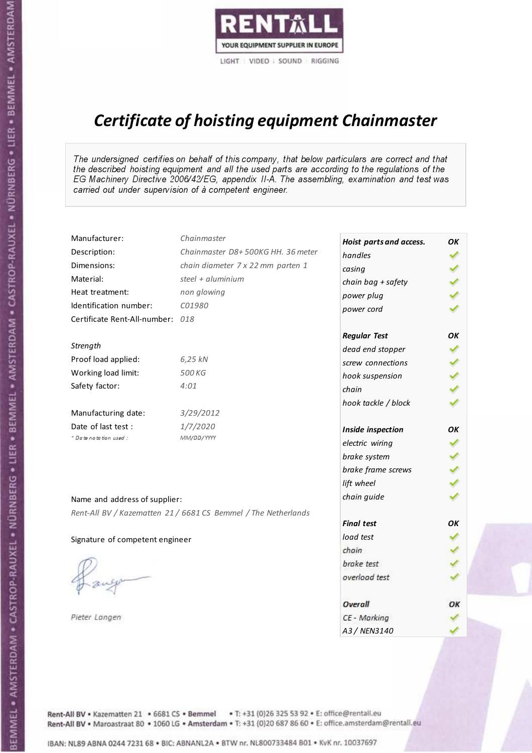

# Certificate of hoisting equipment Chainmaster

The undersigned certifies on behalf of this company, that below particulars are correct and that the described hoisting equipment and all the used parts are according to the regulations of the EG Machinery Directive 2006/42/EG, appendix II-A. The assembling, examination and test was carried out under supervision of à competent engineer.

| Manufacturer:                    | Chainmaster                                                    | Hoist parts and access. | OK |
|----------------------------------|----------------------------------------------------------------|-------------------------|----|
| Description:                     | Chainmaster D8+500KG HH. 36 meter                              | handles                 |    |
| Dimensions:                      | chain diameter 7 x 22 mm parten 1                              | casing                  |    |
| Material:                        | steel $+$ aluminium                                            | chain bag + safety      |    |
| Heat treatment:                  | non glowing                                                    | power plug              |    |
| Identification number:           | C01980                                                         | power cord              |    |
| Certificate Rent-All-number: 018 |                                                                |                         |    |
|                                  |                                                                | <b>Regular Test</b>     | OK |
| Strength                         |                                                                | dead end stopper        |    |
| Proof load applied:              | 6,25 kN                                                        | screw connections       |    |
| Working load limit:              | 500 KG                                                         | hook suspension         |    |
| Safety factor:                   | 4:01                                                           | chain                   |    |
|                                  |                                                                | hook tackle / block     |    |
| Manufacturing date:              | 3/29/2012                                                      |                         |    |
| Date of last test :              | 1/7/2020                                                       | Inside inspection       | OΚ |
| * Date notation used :           | MM/DD/YYYY                                                     | electric wiring         | ✓  |
|                                  |                                                                | brake system            |    |
|                                  |                                                                | brake frame screws      |    |
|                                  |                                                                | lift wheel              |    |
| Name and address of supplier:    |                                                                | chain guide             |    |
|                                  | Rent-All BV / Kazematten 21 / 6681 CS Bemmel / The Netherlands |                         |    |
|                                  |                                                                | <b>Final test</b>       | OK |
| Signature of competent engineer  |                                                                | load test               |    |
|                                  |                                                                | chain                   |    |
|                                  |                                                                | brake test              |    |
|                                  |                                                                | overload test           |    |
|                                  |                                                                | Overall                 | ОΚ |
| Pieter Langen                    |                                                                | CE - Marking            |    |
|                                  |                                                                | A3 / NEN3140            |    |

Rent-All BV . Kazematten 21 . 6681 CS . Bemmel . T: +31 (0)26 325 53 92 . E: office@rentall.eu Rent-All BV · Maroastraat 80 · 1060 LG · Amsterdam · T: +31 (0)20 687 86 60 · E: office.amsterdam@rentall.eu

IBAN: NL89 ABNA 0244 7231 68 . BIC: ABNANL2A . BTW nr. NL800733484 B01 . KyK nr. 10037697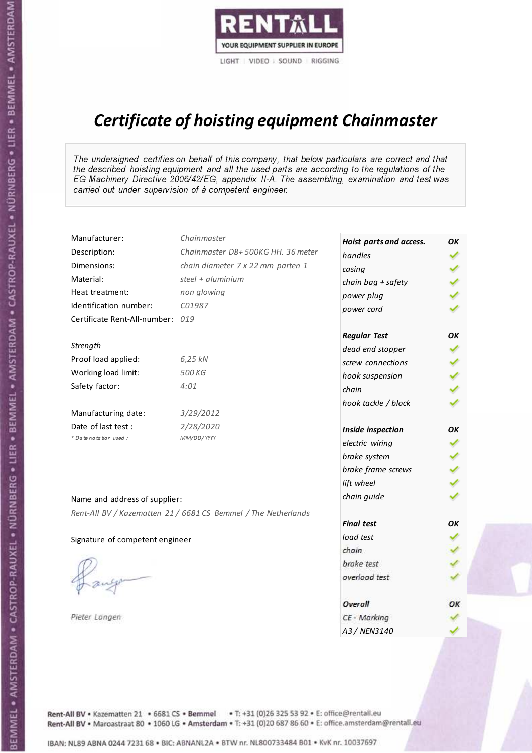

# Certificate of hoisting equipment Chainmaster

The undersigned certifies on behalf of this company, that below particulars are correct and that the described hoisting equipment and all the used parts are according to the regulations of the EG Machinery Directive 2006/42/EG, appendix II-A. The assembling, examination and test was carried out under supervision of à competent engineer.

| Manufacturer:                    | Chainmaster                                                    | Hoist parts and access. | OK  |
|----------------------------------|----------------------------------------------------------------|-------------------------|-----|
| Description:                     | Chainmaster D8+500KG HH. 36 meter                              | handles                 |     |
| Dimensions:                      | chain diameter 7 x 22 mm parten 1                              | casing                  |     |
| Material:                        | steel + aluminium                                              | chain bag + safety      |     |
| Heat treatment:                  | non glowing                                                    | power plug              |     |
| Identification number:           | C01987                                                         | power cord              |     |
| Certificate Rent-All-number: 019 |                                                                |                         |     |
|                                  |                                                                | <b>Regular Test</b>     | OK  |
| Strength                         |                                                                | dead end stopper        | ✔   |
| Proof load applied:              | 6,25 kN                                                        | screw connections       |     |
| Working load limit:              | 500 KG                                                         | hook suspension         |     |
| Safety factor:                   | 4:01                                                           | chain                   | くくく |
|                                  |                                                                | hook tackle / block     |     |
| Manufacturing date:              | 3/29/2012                                                      |                         |     |
| Date of last test :              | 2/28/2020                                                      | Inside inspection       | ОΚ  |
| * Date notation used :           | MM/DD/YYYY                                                     | electric wiring         | ✔   |
|                                  |                                                                | brake system            |     |
|                                  |                                                                | brake frame screws      |     |
|                                  |                                                                | lift wheel              |     |
| Name and address of supplier:    |                                                                | chain guide             |     |
|                                  | Rent-All BV / Kazematten 21 / 6681 CS Bemmel / The Netherlands |                         |     |
|                                  |                                                                | <b>Final test</b>       | OK  |
| Signature of competent engineer  |                                                                | load test               |     |
|                                  |                                                                | chain                   |     |
|                                  |                                                                | brake test              |     |
|                                  |                                                                | overload test           |     |
|                                  |                                                                | Overall                 | ОК  |
| Pieter Langen                    |                                                                | CE - Marking            |     |
|                                  |                                                                | A3 / NEN3140            |     |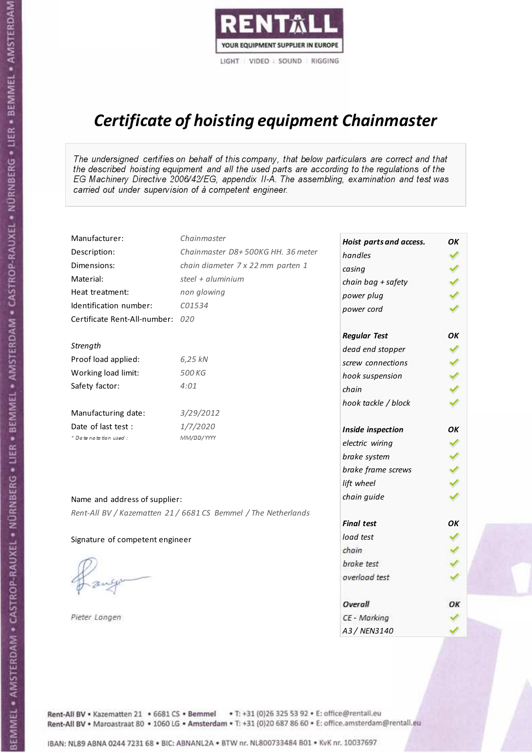

# Certificate of hoisting equipment Chainmaster

The undersigned certifies on behalf of this company, that below particulars are correct and that the described hoisting equipment and all the used parts are according to the regulations of the EG Machinery Directive 2006/42/EG, appendix II-A. The assembling, examination and test was carried out under supervision of à competent engineer.

| Manufacturer:                    | Chainmaster                                                    | Hoist parts and access. | OК |
|----------------------------------|----------------------------------------------------------------|-------------------------|----|
| Description:                     | Chainmaster D8+500KG HH. 36 meter                              | handles                 |    |
| Dimensions:                      | chain diameter 7 x 22 mm parten 1                              | casing                  |    |
| Material:                        | steel + aluminium                                              | chain bag + safety      |    |
| Heat treatment:                  | non glowing                                                    | power plug              |    |
| Identification number:           | C01534                                                         | power cord              |    |
| Certificate Rent-All-number: 020 |                                                                |                         |    |
|                                  |                                                                | <b>Regular Test</b>     | OK |
| Strength                         |                                                                | dead end stopper        |    |
| Proof load applied:              | 6,25 kN                                                        | screw connections       |    |
| Working load limit:              | 500 KG                                                         | hook suspension         |    |
| Safety factor:                   | 4:01                                                           | chain                   |    |
|                                  |                                                                | hook tackle / block     |    |
| Manufacturing date:              | 3/29/2012                                                      |                         |    |
| Date of last test :              | 1/7/2020                                                       | Inside inspection       | OK |
| * Date notation used :           | MM/DD/YYYY                                                     | electric wiring         | ✔  |
|                                  |                                                                | brake system            |    |
|                                  |                                                                | brake frame screws      |    |
|                                  |                                                                | lift wheel              |    |
| Name and address of supplier:    |                                                                | chain guide             |    |
|                                  | Rent-All BV / Kazematten 21 / 6681 CS Bemmel / The Netherlands |                         |    |
|                                  |                                                                | <b>Final test</b>       | OK |
| Signature of competent engineer  |                                                                | load test               |    |
|                                  |                                                                | chain                   |    |
|                                  |                                                                | brake test              |    |
|                                  |                                                                | overload test           |    |
|                                  |                                                                |                         |    |
|                                  |                                                                | Overall                 | ОК |
| Pieter Langen                    |                                                                | CE - Marking            |    |
|                                  |                                                                | A3 / NEN3140            |    |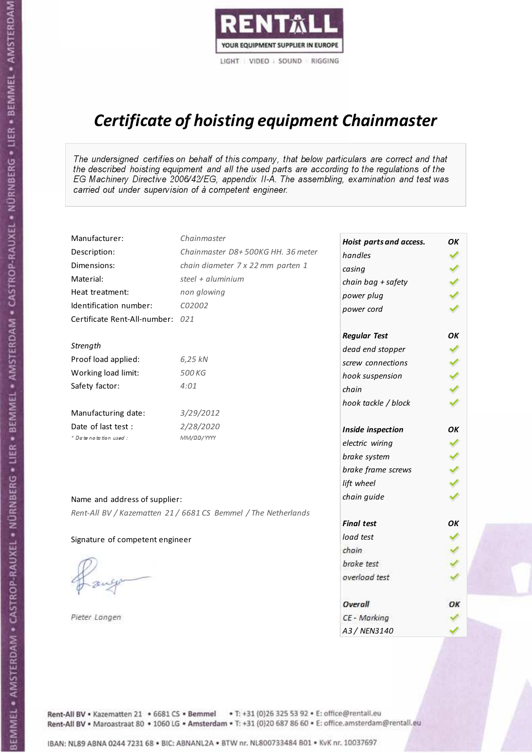

# Certificate of hoisting equipment Chainmaster

The undersigned certifies on behalf of this company, that below particulars are correct and that the described hoisting equipment and all the used parts are according to the regulations of the EG Machinery Directive 2006/42/EG, appendix II-A. The assembling, examination and test was carried out under supervision of à competent engineer.

| Manufacturer:                    | Chainmaster                                                    | Hoist parts and access. | OK  |
|----------------------------------|----------------------------------------------------------------|-------------------------|-----|
| Description:                     | Chainmaster D8+500KG HH. 36 meter                              | handles                 |     |
| Dimensions:                      | chain diameter 7 x 22 mm parten 1                              | casing                  |     |
| Material:                        | steel + aluminium                                              | chain bag + safety      |     |
| Heat treatment:                  | non glowing                                                    | power plug              |     |
| Identification number:           | C02002                                                         | power cord              |     |
| Certificate Rent-All-number: 021 |                                                                |                         |     |
|                                  |                                                                | <b>Regular Test</b>     | OK  |
| Strength                         |                                                                | dead end stopper        | ✔   |
| Proof load applied:              | 6,25 kN                                                        | screw connections       |     |
| Working load limit:              | 500 KG                                                         | hook suspension         |     |
| Safety factor:                   | 4:01                                                           | chain                   | くくく |
|                                  |                                                                | hook tackle / block     |     |
| Manufacturing date:              | 3/29/2012                                                      |                         |     |
| Date of last test :              | 2/28/2020                                                      | Inside inspection       | ОΚ  |
| * Date notation used :           | MM/DD/YYYY                                                     | electric wiring         | ✔   |
|                                  |                                                                | brake system            |     |
|                                  |                                                                | brake frame screws      |     |
|                                  |                                                                | lift wheel              |     |
| Name and address of supplier:    |                                                                | chain guide             |     |
|                                  | Rent-All BV / Kazematten 21 / 6681 CS Bemmel / The Netherlands |                         |     |
|                                  |                                                                | <b>Final test</b>       | OK  |
| Signature of competent engineer  |                                                                | load test               |     |
|                                  |                                                                | chain                   |     |
|                                  |                                                                | brake test              |     |
|                                  |                                                                | overload test           |     |
|                                  |                                                                | Overall                 | ОК  |
| Pieter Langen                    |                                                                | CE - Marking            |     |
|                                  |                                                                | A3 / NEN3140            |     |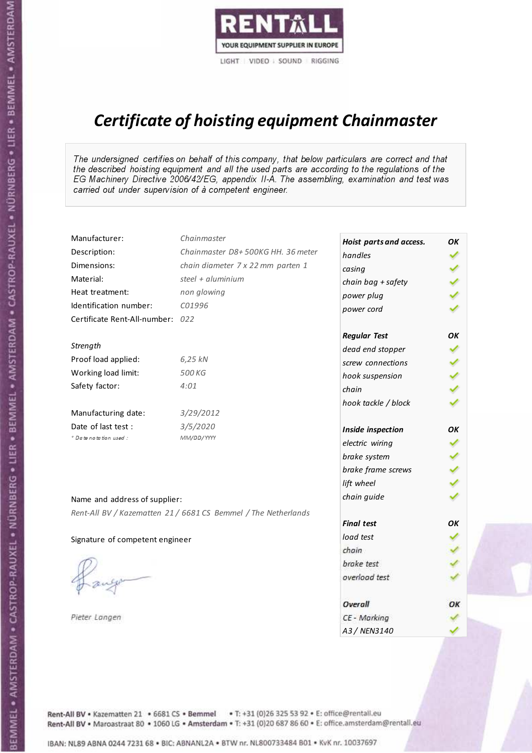

# Certificate of hoisting equipment Chainmaster

The undersigned certifies on behalf of this company, that below particulars are correct and that the described hoisting equipment and all the used parts are according to the regulations of the EG Machinery Directive 2006/42/EG, appendix II-A. The assembling, examination and test was carried out under supervision of à competent engineer.

| Manufacturer:                    | Chainmaster                                                    | Hoist parts and access. | OK |
|----------------------------------|----------------------------------------------------------------|-------------------------|----|
| Description:                     | Chainmaster D8+500KG HH. 36 meter                              | handles                 |    |
| Dimensions:                      | chain diameter 7 x 22 mm parten 1                              | casing                  |    |
| Material:                        | steel $+$ aluminium                                            | chain bag + safety      |    |
| Heat treatment:                  | non glowing                                                    | power plug              |    |
| Identification number:           | C01996                                                         | power cord              |    |
| Certificate Rent-All-number: 022 |                                                                |                         |    |
|                                  |                                                                | <b>Regular Test</b>     | OK |
| Strength                         |                                                                | dead end stopper        |    |
| Proof load applied:              | 6,25 kN                                                        | screw connections       |    |
| Working load limit:              | 500 KG                                                         | hook suspension         |    |
| Safety factor:                   | 4:01                                                           | chain                   |    |
|                                  |                                                                | hook tackle / block     |    |
| Manufacturing date:              | 3/29/2012                                                      |                         |    |
| Date of last test :              | 3/5/2020                                                       | Inside inspection       | ОΚ |
| * Date notation used :           | MM/DD/YYYY                                                     | electric wiring         | ✔  |
|                                  |                                                                | brake system            |    |
|                                  |                                                                | brake frame screws      |    |
|                                  |                                                                | lift wheel              |    |
| Name and address of supplier:    |                                                                | chain guide             |    |
|                                  | Rent-All BV / Kazematten 21 / 6681 CS Bemmel / The Netherlands |                         |    |
|                                  |                                                                | <b>Final test</b>       | OK |
| Signature of competent engineer  |                                                                | load test               |    |
|                                  |                                                                | chain                   |    |
|                                  |                                                                | brake test              |    |
|                                  |                                                                | overload test           |    |
|                                  |                                                                |                         |    |
|                                  |                                                                | Overall                 | ОΚ |
| Pieter Langen                    |                                                                | CE - Marking            |    |
|                                  |                                                                | A3 / NEN3140            |    |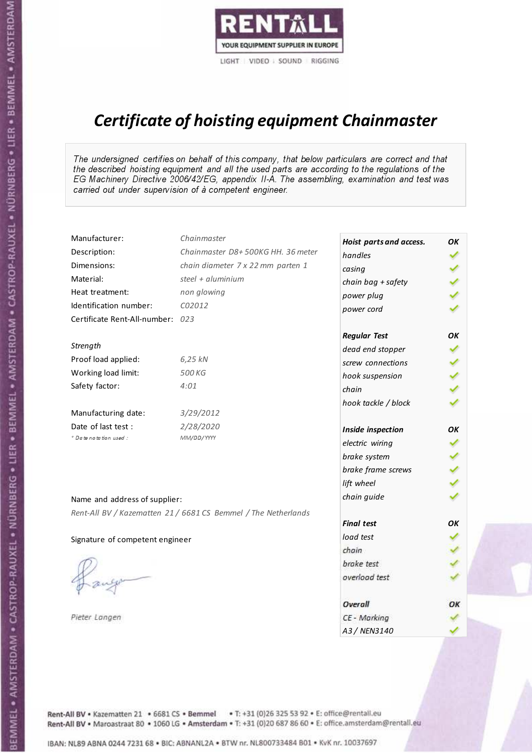

# Certificate of hoisting equipment Chainmaster

The undersigned certifies on behalf of this company, that below particulars are correct and that the described hoisting equipment and all the used parts are according to the regulations of the EG Machinery Directive 2006/42/EG, appendix II-A. The assembling, examination and test was carried out under supervision of à competent engineer.

| Manufacturer:                    | Chainmaster                                                    | Hoist parts and access. | OK  |
|----------------------------------|----------------------------------------------------------------|-------------------------|-----|
| Description:                     | Chainmaster D8+500KG HH. 36 meter                              | handles                 |     |
| Dimensions:                      | chain diameter 7 x 22 mm parten 1                              | casing                  |     |
| Material:                        | steel + aluminium                                              | chain bag + safety      |     |
| Heat treatment:                  | non glowing                                                    | power plug              |     |
| Identification number:           | C02012                                                         | power cord              |     |
| Certificate Rent-All-number: 023 |                                                                |                         |     |
|                                  |                                                                | <b>Regular Test</b>     | OK  |
| Strength                         |                                                                | dead end stopper        | ✔   |
| Proof load applied:              | 6,25 kN                                                        | screw connections       |     |
| Working load limit:              | 500 KG                                                         | hook suspension         |     |
| Safety factor:                   | 4:01                                                           | chain                   | くくく |
|                                  |                                                                | hook tackle / block     |     |
| Manufacturing date:              | 3/29/2012                                                      |                         |     |
| Date of last test :              | 2/28/2020                                                      | Inside inspection       | ОΚ  |
| * Date notation used :           | MM/DD/YYYY                                                     | electric wiring         | ✓   |
|                                  |                                                                | brake system            | ✔   |
|                                  |                                                                | brake frame screws      |     |
|                                  |                                                                | lift wheel              |     |
| Name and address of supplier:    |                                                                | chain guide             |     |
|                                  | Rent-All BV / Kazematten 21 / 6681 CS Bemmel / The Netherlands |                         |     |
|                                  |                                                                | <b>Final test</b>       | OK  |
| Signature of competent engineer  |                                                                | load test               |     |
|                                  |                                                                | chain                   |     |
|                                  |                                                                | brake test              |     |
|                                  |                                                                | overload test           |     |
|                                  |                                                                | Overall                 | ОК  |
| Pieter Langen                    |                                                                | CE - Marking            |     |
|                                  |                                                                | A3 / NEN3140            |     |

Rent-All BV . Kazematten 21 . 6681 CS . Bemmel . T: +31 (0)26 325 53 92 . E: office@rentall.eu Rent-All BV · Maroastraat 80 · 1060 LG · Amsterdam · T: +31 (0)20 687 86 60 · E: office.amsterdam@rentall.eu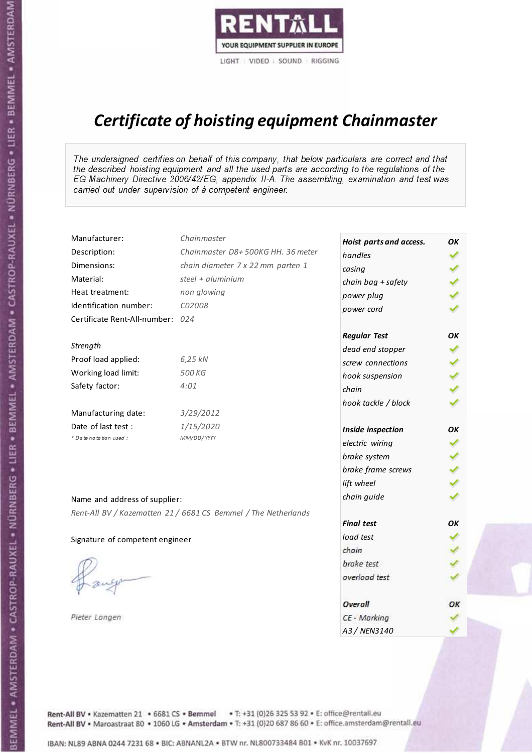

# Certificate of hoisting equipment Chainmaster

The undersigned certifies on behalf of this company, that below particulars are correct and that the described hoisting equipment and all the used parts are according to the regulations of the EG Machinery Directive 2006/42/EG, appendix II-A. The assembling, examination and test was carried out under supervision of à competent engineer.

| Manufacturer:                    | Chainmaster                                                    | Hoist parts and access. | OK  |
|----------------------------------|----------------------------------------------------------------|-------------------------|-----|
| Description:                     | Chainmaster D8+500KG HH. 36 meter                              | handles                 |     |
| Dimensions:                      | chain diameter 7 x 22 mm parten 1                              | casing                  |     |
| Material:                        | steel + $aluminim$                                             | chain bag + safety      |     |
| Heat treatment:                  | non glowing                                                    | power plug              |     |
| Identification number:           | C02008                                                         | power cord              |     |
| Certificate Rent-All-number: 024 |                                                                |                         |     |
|                                  |                                                                | <b>Regular Test</b>     | OK  |
| Strength                         |                                                                | dead end stopper        |     |
| Proof load applied:              | 6,25 kN                                                        | screw connections       |     |
| Working load limit:              | 500 KG                                                         | hook suspension         |     |
| Safety factor:                   | 4:01                                                           | chain                   | くくく |
|                                  |                                                                | hook tackle / block     |     |
| Manufacturing date:              | 3/29/2012                                                      |                         |     |
| Date of last test :              | 1/15/2020                                                      | Inside inspection       | ΟK  |
| * Date notation used :           | MM/DD/YYYY                                                     | electric wiring         | ✓   |
|                                  |                                                                | brake system            |     |
|                                  |                                                                | brake frame screws      |     |
|                                  |                                                                | lift wheel              |     |
| Name and address of supplier:    |                                                                | chain guide             |     |
|                                  | Rent-All BV / Kazematten 21 / 6681 CS Bemmel / The Netherlands |                         |     |
|                                  |                                                                | <b>Final test</b>       | OK  |
| Signature of competent engineer  |                                                                | load test               |     |
|                                  |                                                                | chain                   |     |
|                                  |                                                                | brake test              |     |
|                                  |                                                                | overload test           |     |
|                                  |                                                                |                         |     |
|                                  |                                                                | Overall                 | ОК  |
| Pieter Langen                    |                                                                | CE - Marking            |     |
|                                  |                                                                | A3 / NEN3140            |     |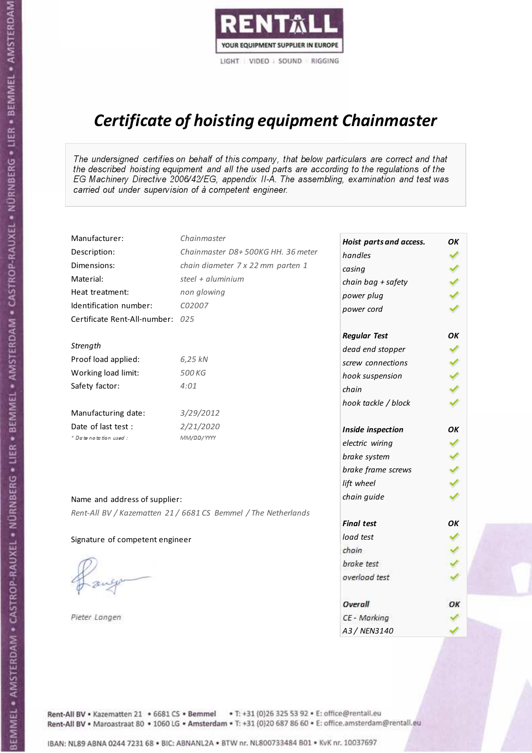

# Certificate of hoisting equipment Chainmaster

The undersigned certifies on behalf of this company, that below particulars are correct and that the described hoisting equipment and all the used parts are according to the regulations of the EG Machinery Directive 2006/42/EG, appendix II-A. The assembling, examination and test was carried out under supervision of à competent engineer.

| Manufacturer:                    | Chainmaster                                                    | Hoist parts and access. | OK  |
|----------------------------------|----------------------------------------------------------------|-------------------------|-----|
| Description:                     | Chainmaster D8+500KG HH. 36 meter                              | handles                 |     |
| Dimensions:                      | chain diameter 7 x 22 mm parten 1                              | casing                  |     |
| Material:                        | steel $+$ aluminium                                            | chain bag + safety      |     |
| Heat treatment:                  | non glowing                                                    | power plug              |     |
| Identification number:           | C02007                                                         | power cord              |     |
| Certificate Rent-All-number: 025 |                                                                |                         |     |
|                                  |                                                                | <b>Regular Test</b>     | OK  |
| Strength                         |                                                                | dead end stopper        |     |
| Proof load applied:              | 6,25 kN                                                        | screw connections       |     |
| Working load limit:              | 500 KG                                                         | hook suspension         |     |
| Safety factor:                   | 4:01                                                           | chain                   | くくく |
|                                  |                                                                | hook tackle / block     |     |
| Manufacturing date:              | 3/29/2012                                                      |                         |     |
| Date of last test :              | 2/21/2020                                                      | Inside inspection       | ОΚ  |
| * Date notation used :           | MM/DD/YYYY                                                     | electric wiring         | ✔   |
|                                  |                                                                | brake system            |     |
|                                  |                                                                | brake frame screws      |     |
|                                  |                                                                | lift wheel              | くくく |
| Name and address of supplier:    |                                                                | chain guide             |     |
|                                  | Rent-All BV / Kazematten 21 / 6681 CS Bemmel / The Netherlands |                         |     |
|                                  |                                                                | <b>Final test</b>       | OK  |
| Signature of competent engineer  |                                                                | load test               |     |
|                                  |                                                                | chain                   |     |
|                                  |                                                                | brake test              |     |
|                                  |                                                                | overload test           |     |
|                                  |                                                                | Overall                 | OK  |
| Pieter Langen                    |                                                                | CE - Marking            |     |
|                                  |                                                                | A3 / NEN3140            |     |

Rent-All BV . Kazematten 21 . 6681 CS . Bemmel . T: +31 (0)26 325 53 92 . E: office@rentall.eu Rent-All BV · Maroastraat 80 · 1060 LG · Amsterdam · T: +31 (0)20 687 86 60 · E: office.amsterdam@rentall.eu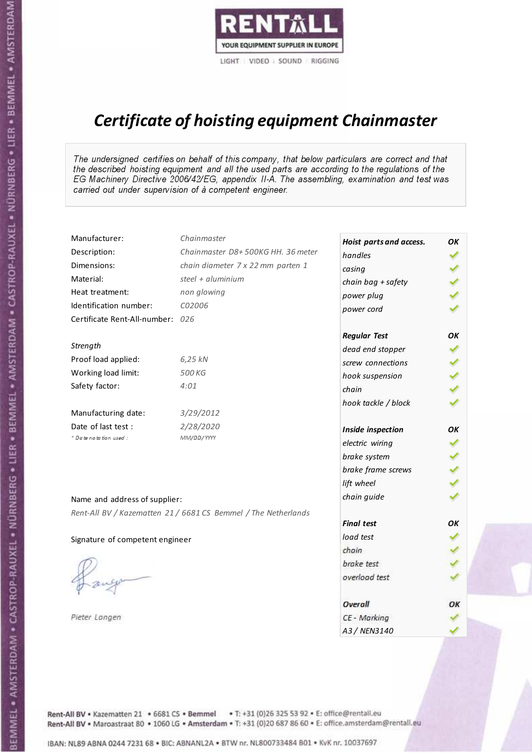

# Certificate of hoisting equipment Chainmaster

The undersigned certifies on behalf of this company, that below particulars are correct and that the described hoisting equipment and all the used parts are according to the regulations of the EG Machinery Directive 2006/42/EG, appendix II-A. The assembling, examination and test was carried out under supervision of à competent engineer.

| Manufacturer:                    | Chainmaster                                                    | Hoist parts and access. | OK  |
|----------------------------------|----------------------------------------------------------------|-------------------------|-----|
| Description:                     | Chainmaster D8+500KG HH. 36 meter                              | handles                 |     |
| Dimensions:                      | chain diameter 7 x 22 mm parten 1                              | casing                  |     |
| Material:                        | steel $+$ aluminium                                            | chain bag + safety      |     |
| Heat treatment:                  | non glowing                                                    | power plug              |     |
| Identification number:           | C02006                                                         | power cord              |     |
| Certificate Rent-All-number: 026 |                                                                |                         |     |
|                                  |                                                                | <b>Regular Test</b>     | ОΚ  |
| Strength                         |                                                                | dead end stopper        | ✔   |
| Proof load applied:              | 6,25 kN                                                        | screw connections       |     |
| Working load limit:              | 500 KG                                                         | hook suspension         |     |
| Safety factor:                   | 4:01                                                           | chain                   | くくく |
|                                  |                                                                | hook tackle / block     |     |
| Manufacturing date:              | 3/29/2012                                                      |                         |     |
| Date of last test :              | 2/28/2020                                                      | Inside inspection       | ОΚ  |
| * Date notation used :           | MM/DD/YYYY                                                     | electric wiring         |     |
|                                  |                                                                | brake system            | ✔   |
|                                  |                                                                | brake frame screws      |     |
|                                  |                                                                | lift wheel              |     |
| Name and address of supplier:    |                                                                | chain guide             |     |
|                                  | Rent-All BV / Kazematten 21 / 6681 CS Bemmel / The Netherlands |                         |     |
|                                  |                                                                | <b>Final test</b>       | OK  |
| Signature of competent engineer  |                                                                | load test               |     |
|                                  |                                                                | chain                   |     |
|                                  |                                                                | brake test              |     |
|                                  |                                                                | overload test           |     |
|                                  |                                                                | Overall                 | OК  |
| Pieter Langen                    |                                                                | CE - Marking            |     |
|                                  |                                                                | A3 / NEN3140            |     |

Rent-All BV . Kazematten 21 . 6681 CS . Bemmel . T: +31 (0)26 325 53 92 . E: office@rentall.eu Rent-All BV · Maroastraat 80 · 1060 LG · Amsterdam · T: +31 (0)20 687 86 60 · E: office.amsterdam@rentall.eu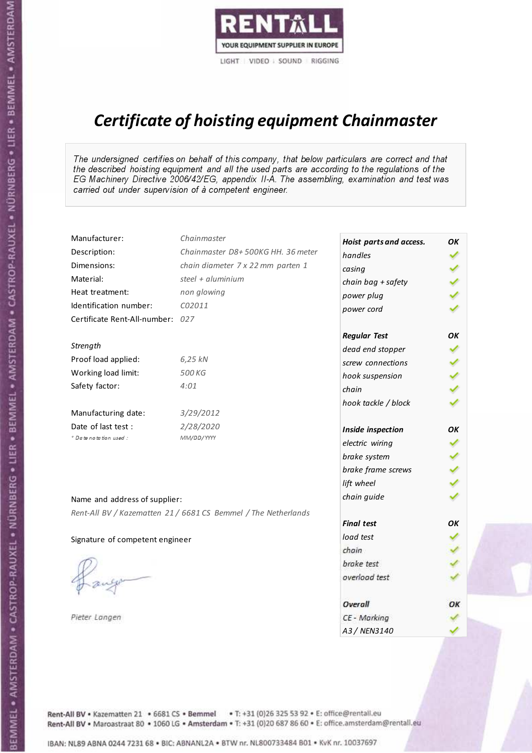

# Certificate of hoisting equipment Chainmaster

The undersigned certifies on behalf of this company, that below particulars are correct and that the described hoisting equipment and all the used parts are according to the regulations of the EG Machinery Directive 2006/42/EG, appendix II-A. The assembling, examination and test was carried out under supervision of à competent engineer.

| Manufacturer:                    | Chainmaster                                                    | Hoist parts and access. | OK  |
|----------------------------------|----------------------------------------------------------------|-------------------------|-----|
| Description:                     | Chainmaster D8+500KG HH. 36 meter                              | handles                 |     |
| Dimensions:                      | chain diameter 7 x 22 mm parten 1                              | casing                  |     |
| Material:                        | steel $+$ aluminium                                            | chain bag + safety      |     |
| Heat treatment:                  | non glowing                                                    | power plug              |     |
| Identification number:           | C02011                                                         | power cord              |     |
| Certificate Rent-All-number: 027 |                                                                |                         |     |
|                                  |                                                                | <b>Regular Test</b>     | ОΚ  |
| Strength                         |                                                                | dead end stopper        | ✔   |
| Proof load applied:              | 6,25 kN                                                        | screw connections       |     |
| Working load limit:              | 500 KG                                                         | hook suspension         |     |
| Safety factor:                   | 4:01                                                           | chain                   | くくく |
|                                  |                                                                | hook tackle / block     |     |
| Manufacturing date:              | 3/29/2012                                                      |                         |     |
| Date of last test :              | 2/28/2020                                                      | Inside inspection       | ОΚ  |
| * Date notation used :           | MM/DD/YYYY                                                     | electric wiring         |     |
|                                  |                                                                | brake system            | ✔   |
|                                  |                                                                | brake frame screws      |     |
|                                  |                                                                | lift wheel              |     |
| Name and address of supplier:    |                                                                | chain guide             |     |
|                                  | Rent-All BV / Kazematten 21 / 6681 CS Bemmel / The Netherlands |                         |     |
|                                  |                                                                | <b>Final test</b>       | OK  |
| Signature of competent engineer  |                                                                | load test               |     |
|                                  |                                                                | chain                   |     |
|                                  |                                                                | brake test              |     |
|                                  |                                                                | overload test           |     |
|                                  |                                                                | Overall                 | OК  |
| Pieter Langen                    |                                                                | CE - Marking            |     |
|                                  |                                                                | A3 / NEN3140            |     |

Rent-All BV . Kazematten 21 . 6681 CS . Bemmel . T: +31 (0)26 325 53 92 . E: office@rentall.eu Rent-All BV · Maroastraat 80 · 1060 LG · Amsterdam · T: +31 (0)20 687 86 60 · E: office.amsterdam@rentall.eu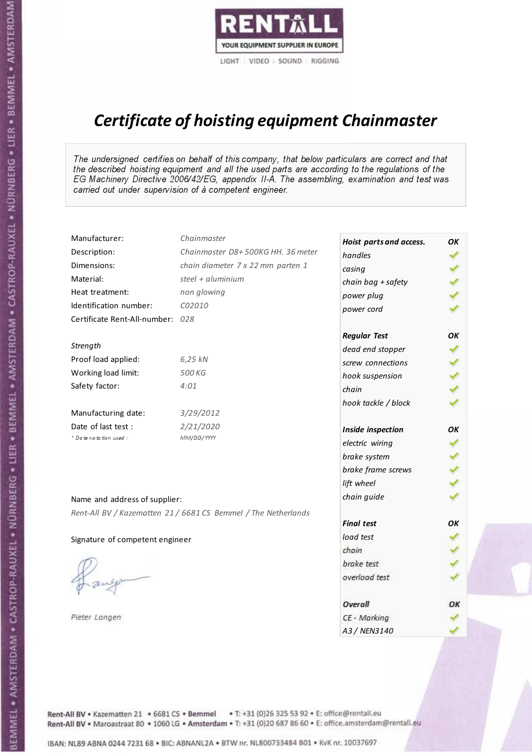

# Certificate of hoisting equipment Chainmaster

The undersigned certifies on behalf of this company, that below particulars are correct and that the described hoisting equipment and all the used parts are according to the regulations of the EG Machinery Directive 2006/42/EG, appendix II-A. The assembling, examination and test was carried out under supervision of à competent engineer.

| Manufacturer:                    | Chainmaster                                                    | Hoist parts and access. | OK  |
|----------------------------------|----------------------------------------------------------------|-------------------------|-----|
| Description:                     | Chainmaster D8+500KG HH. 36 meter                              | handles                 |     |
| Dimensions:                      | chain diameter 7 x 22 mm parten 1                              | casing                  |     |
| Material:                        | steel + aluminium                                              | chain bag + safety      |     |
| Heat treatment:                  | non glowing                                                    | power plug              |     |
| Identification number:           | C02010                                                         | power cord              |     |
| Certificate Rent-All-number: 028 |                                                                |                         |     |
|                                  |                                                                | <b>Regular Test</b>     | ОΚ  |
| Strength                         |                                                                | dead end stopper        | ✔   |
| Proof load applied:              | 6,25 kN                                                        | screw connections       |     |
| Working load limit:              | 500 KG                                                         | hook suspension         |     |
| Safety factor:                   | 4:01                                                           | chain                   | くくく |
|                                  |                                                                | hook tackle / block     |     |
| Manufacturing date:              | 3/29/2012                                                      |                         |     |
| Date of last test :              | 2/21/2020                                                      | Inside inspection       | ОΚ  |
| * Date notation used :           | MM/DD/YYYY                                                     | electric wiring         | ✔   |
|                                  |                                                                | brake system            |     |
|                                  |                                                                | brake frame screws      |     |
|                                  |                                                                | lift wheel              | くくく |
| Name and address of supplier:    |                                                                | chain guide             |     |
|                                  | Rent-All BV / Kazematten 21 / 6681 CS Bemmel / The Netherlands |                         |     |
|                                  |                                                                | <b>Final test</b>       | OK  |
| Signature of competent engineer  |                                                                | load test               |     |
|                                  |                                                                | chain                   |     |
|                                  |                                                                | brake test              |     |
|                                  |                                                                | overload test           |     |
|                                  |                                                                | Overall                 | ОК  |
| Pieter Langen                    |                                                                | CE - Marking            |     |
|                                  |                                                                | A3 / NEN3140            |     |

Rent-All BV . Kazematten 21 . 6681 CS . Bemmel . T: +31 (0)26 325 53 92 . E: office@rentall.eu Rent-All BV · Maroastraat 80 · 1060 LG · Amsterdam · T: +31 (0)20 687 86 60 · E: office.amsterdam@rentall.eu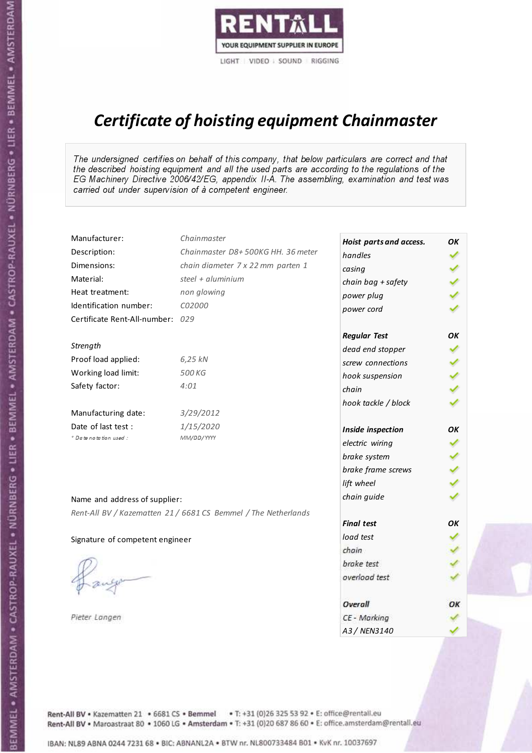

# Certificate of hoisting equipment Chainmaster

The undersigned certifies on behalf of this company, that below particulars are correct and that the described hoisting equipment and all the used parts are according to the regulations of the EG Machinery Directive 2006/42/EG, appendix II-A. The assembling, examination and test was carried out under supervision of à competent engineer.

| Manufacturer:                    | Chainmaster                                                    | Hoist parts and access. | OK  |
|----------------------------------|----------------------------------------------------------------|-------------------------|-----|
| Description:                     | Chainmaster D8+500KG HH. 36 meter                              | handles                 |     |
| Dimensions:                      | chain diameter 7 x 22 mm parten 1                              | casing                  |     |
| Material:                        | steel $+$ aluminium                                            | chain bag + safety      |     |
| Heat treatment:                  | non glowing                                                    | power plug              |     |
| Identification number:           | C02000                                                         | power cord              |     |
| Certificate Rent-All-number: 029 |                                                                |                         |     |
|                                  |                                                                | <b>Regular Test</b>     | OK  |
| Strength                         |                                                                | dead end stopper        |     |
| Proof load applied:              | 6,25 kN                                                        | screw connections       |     |
| Working load limit:              | 500 KG                                                         | hook suspension         |     |
| Safety factor:                   | 4:01                                                           | chain                   | くくく |
|                                  |                                                                | hook tackle / block     |     |
| Manufacturing date:              | 3/29/2012                                                      |                         |     |
| Date of last test :              | 1/15/2020                                                      | Inside inspection       | ОΚ  |
| + Date notation used :           | MM/DD/YYYY                                                     | electric wiring         | ✔   |
|                                  |                                                                | brake system            |     |
|                                  |                                                                | brake frame screws      |     |
|                                  |                                                                | lift wheel              | くくく |
| Name and address of supplier:    |                                                                | chain guide             |     |
|                                  | Rent-All BV / Kazematten 21 / 6681 CS Bemmel / The Netherlands |                         |     |
|                                  |                                                                | <b>Final test</b>       | OK  |
| Signature of competent engineer  |                                                                | load test               |     |
|                                  |                                                                | chain                   |     |
|                                  |                                                                | brake test              |     |
|                                  |                                                                | overload test           |     |
|                                  |                                                                | Overall                 | OK  |
| Pieter Langen                    |                                                                | CE - Marking            |     |
|                                  |                                                                | A3 / NEN3140            |     |

Rent-All BV . Kazematten 21 . 6681 CS . Bemmel . T: +31 (0)26 325 53 92 . E: office@rentall.eu Rent-All BV · Maroastraat 80 · 1060 LG · Amsterdam · T: +31 (0)20 687 86 60 · E: office.amsterdam@rentall.eu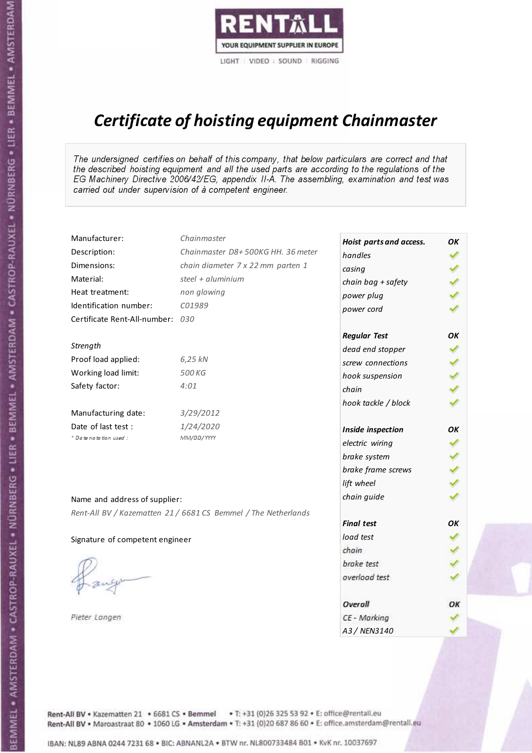

# Certificate of hoisting equipment Chainmaster

The undersigned certifies on behalf of this company, that below particulars are correct and that the described hoisting equipment and all the used parts are according to the regulations of the EG Machinery Directive 2006/42/EG, appendix II-A. The assembling, examination and test was carried out under supervision of à competent engineer.

| Manufacturer:                    | Chainmaster                                                    | Hoist parts and access. | OК |
|----------------------------------|----------------------------------------------------------------|-------------------------|----|
| Description:                     | Chainmaster D8+500KG HH. 36 meter                              | handles                 |    |
| Dimensions:                      | chain diameter 7 x 22 mm parten 1                              | casing                  |    |
| Material:                        | steel + aluminium                                              | chain bag + safety      |    |
| Heat treatment:                  | non glowing                                                    | power plug              |    |
| Identification number:           | C01989                                                         | power cord              |    |
| Certificate Rent-All-number: 030 |                                                                |                         |    |
|                                  |                                                                | <b>Regular Test</b>     | OK |
| Strength                         |                                                                | dead end stopper        |    |
| Proof load applied:              | 6,25 kN                                                        | screw connections       |    |
| Working load limit:              | 500 KG                                                         | hook suspension         |    |
| Safety factor:                   | 4:01                                                           | chain                   |    |
|                                  |                                                                | hook tackle / block     |    |
| Manufacturing date:              | 3/29/2012                                                      |                         |    |
| Date of last test :              | 1/24/2020                                                      | Inside inspection       | OK |
| * Date notation used :           | MM/DD/YYYY                                                     | electric wiring         | ✔  |
|                                  |                                                                | brake system            |    |
|                                  |                                                                | brake frame screws      |    |
|                                  |                                                                | lift wheel              |    |
| Name and address of supplier:    |                                                                | chain guide             |    |
|                                  | Rent-All BV / Kazematten 21 / 6681 CS Bemmel / The Netherlands |                         |    |
|                                  |                                                                | <b>Final test</b>       | OK |
| Signature of competent engineer  |                                                                | load test               |    |
|                                  |                                                                | chain                   |    |
|                                  |                                                                | brake test              |    |
|                                  |                                                                | overload test           |    |
|                                  |                                                                |                         |    |
|                                  |                                                                | <b>Overall</b>          | ОК |
| Pieter Langen                    |                                                                | CE - Marking            |    |
|                                  |                                                                | A3 / NEN3140            |    |

Rent-All BV . Kazematten 21 . 6681 CS . Bemmel . T: +31 (0)26 325 53 92 . E: office@rentall.eu Rent-All BV · Maroastraat 80 · 1060 LG · Amsterdam · T: +31 (0)20 687 86 60 · E: office.amsterdam@rentall.eu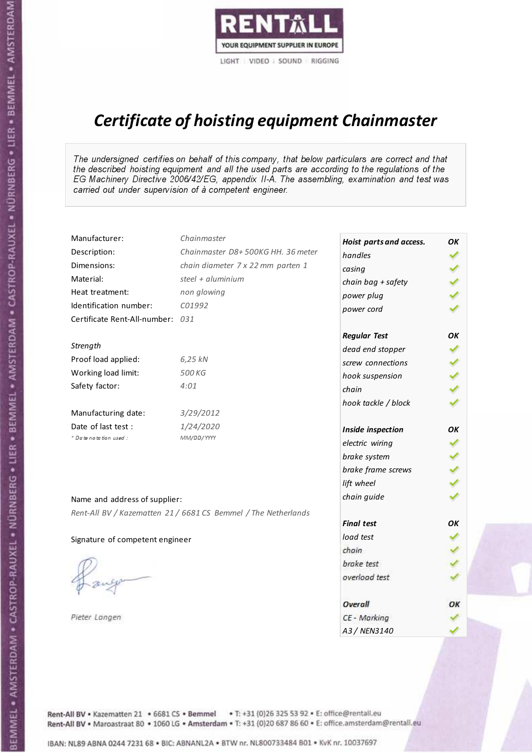

# Certificate of hoisting equipment Chainmaster

The undersigned certifies on behalf of this company, that below particulars are correct and that the described hoisting equipment and all the used parts are according to the regulations of the EG Machinery Directive 2006/42/EG, appendix II-A. The assembling, examination and test was carried out under supervision of à competent engineer.

| Manufacturer:                    | Chainmaster                                                    | Hoist parts and access. | OK  |
|----------------------------------|----------------------------------------------------------------|-------------------------|-----|
| Description:                     | Chainmaster D8+500KG HH. 36 meter                              | handles                 |     |
| Dimensions:                      | chain diameter 7 x 22 mm parten 1                              | casing                  |     |
| Material:                        | steel + aluminium                                              | chain bag + safety      |     |
| Heat treatment:                  | non glowing                                                    | power plug              |     |
| Identification number:           | C01992                                                         | power cord              |     |
| Certificate Rent-All-number: 031 |                                                                |                         |     |
|                                  |                                                                | <b>Regular Test</b>     | OK  |
| Strength                         |                                                                | dead end stopper        | ✔   |
| Proof load applied:              | 6,25 kN                                                        | screw connections       |     |
| Working load limit:              | 500 KG                                                         | hook suspension         |     |
| Safety factor:                   | 4:01                                                           | chain                   | くくく |
|                                  |                                                                | hook tackle / block     |     |
| Manufacturing date:              | 3/29/2012                                                      |                         |     |
| Date of last test :              | 1/24/2020                                                      | Inside inspection       | ОΚ  |
| * Date notation used :           | MM/DD/YYYY                                                     | electric wiring         | ✓   |
|                                  |                                                                | brake system            | ✔   |
|                                  |                                                                | brake frame screws      |     |
|                                  |                                                                | lift wheel              |     |
| Name and address of supplier:    |                                                                | chain guide             |     |
|                                  | Rent-All BV / Kazematten 21 / 6681 CS Bemmel / The Netherlands |                         |     |
|                                  |                                                                | <b>Final test</b>       | OK  |
| Signature of competent engineer  |                                                                | load test               |     |
|                                  |                                                                | chain                   |     |
|                                  |                                                                | brake test              |     |
|                                  |                                                                | overload test           |     |
|                                  |                                                                | Overall                 | ОК  |
| Pieter Langen                    |                                                                | CE - Marking            |     |
|                                  |                                                                | A3 / NEN3140            |     |

Rent-All BV . Kazematten 21 . 6681 CS . Bemmel . T: +31 (0)26 325 53 92 . E: office@rentall.eu Rent-All BV · Maroastraat 80 · 1060 LG · Amsterdam · T: +31 (0)20 687 86 60 · E: office.amsterdam@rentall.eu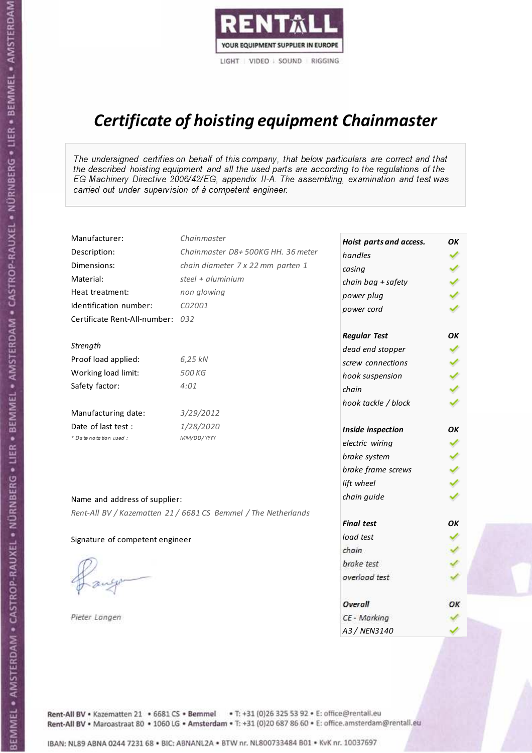

# Certificate of hoisting equipment Chainmaster

The undersigned certifies on behalf of this company, that below particulars are correct and that the described hoisting equipment and all the used parts are according to the regulations of the EG Machinery Directive 2006/42/EG, appendix II-A. The assembling, examination and test was carried out under supervision of à competent engineer.

| Manufacturer:                    | Chainmaster                                                    | Hoist parts and access. | OK  |
|----------------------------------|----------------------------------------------------------------|-------------------------|-----|
| Description:                     | Chainmaster D8+500KG HH. 36 meter                              | handles                 |     |
| Dimensions:                      | chain diameter 7 x 22 mm parten 1                              | casing                  |     |
| Material:                        | steel + aluminium                                              | chain bag + safety      |     |
| Heat treatment:                  | non glowing                                                    | power plug              |     |
| Identification number:           | C02001                                                         | power cord              |     |
| Certificate Rent-All-number: 032 |                                                                |                         |     |
|                                  |                                                                | <b>Regular Test</b>     | OK  |
| Strength                         |                                                                | dead end stopper        | ✔   |
| Proof load applied:              | 6,25 kN                                                        | screw connections       |     |
| Working load limit:              | 500 KG                                                         | hook suspension         |     |
| Safety factor:                   | 4:01                                                           | chain                   | くくく |
|                                  |                                                                | hook tackle / block     |     |
| Manufacturing date:              | 3/29/2012                                                      |                         |     |
| Date of last test :              | 1/28/2020                                                      | Inside inspection       | ОΚ  |
| * Date notation used :           | MM/DD/YYYY                                                     | electric wiring         | ✓   |
|                                  |                                                                | brake system            | ✔   |
|                                  |                                                                | brake frame screws      |     |
|                                  |                                                                | lift wheel              |     |
| Name and address of supplier:    |                                                                | chain guide             |     |
|                                  | Rent-All BV / Kazematten 21 / 6681 CS Bemmel / The Netherlands |                         |     |
|                                  |                                                                | <b>Final test</b>       | OK  |
| Signature of competent engineer  |                                                                | load test               |     |
|                                  |                                                                | chain                   |     |
|                                  |                                                                | brake test              |     |
|                                  |                                                                | overload test           |     |
|                                  |                                                                | Overall                 | ОК  |
| Pieter Langen                    |                                                                | CE - Marking            |     |
|                                  |                                                                | A3 / NEN3140            |     |

Rent-All BV . Kazematten 21 . 6681 CS . Bemmel . T: +31 (0)26 325 53 92 . E: office@rentall.eu Rent-All BV · Maroastraat 80 · 1060 LG · Amsterdam · T: +31 (0)20 687 86 60 · E: office.amsterdam@rentall.eu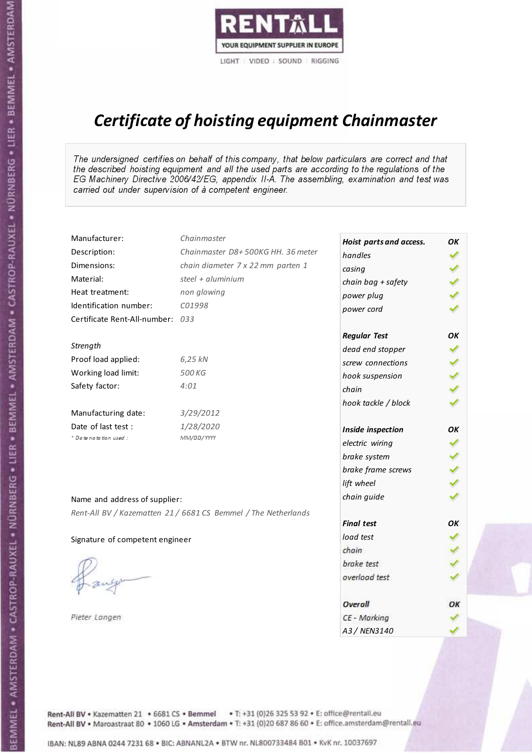

# Certificate of hoisting equipment Chainmaster

The undersigned certifies on behalf of this company, that below particulars are correct and that the described hoisting equipment and all the used parts are according to the regulations of the EG Machinery Directive 2006/42/EG, appendix II-A. The assembling, examination and test was carried out under supervision of à competent engineer.

| Manufacturer:                    | Chainmaster                                                    | Hoist parts and access. | OK  |
|----------------------------------|----------------------------------------------------------------|-------------------------|-----|
| Description:                     | Chainmaster D8+500KG HH. 36 meter                              | handles                 |     |
| Dimensions:                      | chain diameter 7 x 22 mm parten 1                              | casing                  |     |
| Material:                        | steel + aluminium                                              | chain bag + safety      |     |
| Heat treatment:                  | non glowing                                                    | power plug              |     |
| Identification number:           | C01998                                                         | power cord              |     |
| Certificate Rent-All-number: 033 |                                                                |                         |     |
|                                  |                                                                | <b>Regular Test</b>     | OK  |
| Strength                         |                                                                | dead end stopper        | ✔   |
| Proof load applied:              | 6,25 kN                                                        | screw connections       |     |
| Working load limit:              | 500 KG                                                         | hook suspension         |     |
| Safety factor:                   | 4:01                                                           | chain                   | くくく |
|                                  |                                                                | hook tackle / block     |     |
| Manufacturing date:              | 3/29/2012                                                      |                         |     |
| Date of last test :              | 1/28/2020                                                      | Inside inspection       | ОΚ  |
| * Date notation used :           | MM/DD/YYYY                                                     | electric wiring         | ✓   |
|                                  |                                                                | brake system            | ✔   |
|                                  |                                                                | brake frame screws      |     |
|                                  |                                                                | lift wheel              |     |
| Name and address of supplier:    |                                                                | chain guide             |     |
|                                  | Rent-All BV / Kazematten 21 / 6681 CS Bemmel / The Netherlands |                         |     |
|                                  |                                                                | <b>Final test</b>       | OK  |
| Signature of competent engineer  |                                                                | load test               |     |
|                                  |                                                                | chain                   |     |
|                                  |                                                                | brake test              |     |
|                                  |                                                                | overload test           |     |
|                                  |                                                                | Overall                 | ОК  |
| Pieter Langen                    |                                                                | CE - Marking            |     |
|                                  |                                                                | A3 / NEN3140            |     |

Rent-All BV . Kazematten 21 . 6681 CS . Bemmel . T: +31 (0)26 325 53 92 . E: office@rentall.eu Rent-All BV · Maroastraat 80 · 1060 LG · Amsterdam · T: +31 (0)20 687 86 60 · E: office.amsterdam@rentall.eu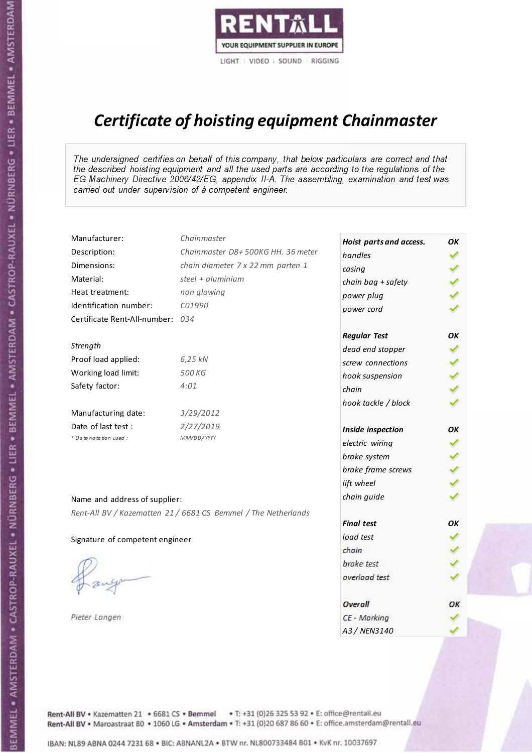

# Certificate of hoisting equipment Chainmaster

The undersigned certifies on behalf of this company, that below particulars are correct and that the described hoisting equipment and all the used parts are according to the regulations of the EG Machinery Directive 2006/42/EG, appendix II-A. The assembling, examination and test was carried out under supervision of à competent engineer.

| Manufacturer:                    | Chainmaster                                                    | Hoist parts and access. | OK |
|----------------------------------|----------------------------------------------------------------|-------------------------|----|
| Description:                     | Chainmaster D8+500KG HH. 36 meter                              | handles                 |    |
| Dimensions:                      | chain diameter 7 x 22 mm parten 1                              | casing                  |    |
| Material:                        | steel + aluminium                                              | chain bag + safety      |    |
| Heat treatment:                  | non glowing                                                    | power plug              |    |
| Identification number:           | C01990                                                         | power cord              |    |
| Certificate Rent-All-number: 034 |                                                                |                         |    |
|                                  |                                                                | <b>Regular Test</b>     | OK |
| Strength                         |                                                                | dead end stopper        |    |
| Proof load applied:              | 6,25 kN                                                        | screw connections       |    |
| Working load limit:              | 500 KG                                                         | hook suspension         |    |
| Safety factor:                   | 4:01                                                           | chain                   |    |
|                                  |                                                                | hook tackle / block     |    |
| Manufacturing date:              | 3/29/2012                                                      |                         |    |
| Date of last test :              | 2/27/2019                                                      | Inside inspection       | OK |
| * Date notation used :           | MM/DD/YYYY                                                     | electric wiring         | ✓  |
|                                  |                                                                | brake system            |    |
|                                  |                                                                | brake frame screws      |    |
|                                  |                                                                | lift wheel              |    |
| Name and address of supplier:    |                                                                | chain guide             |    |
|                                  | Rent-All BV / Kazematten 21 / 6681 CS Bemmel / The Netherlands |                         |    |
|                                  |                                                                | <b>Final test</b>       | OK |
| Signature of competent engineer  |                                                                | load test               |    |
|                                  |                                                                | chain                   |    |
|                                  |                                                                | brake test              |    |
|                                  |                                                                | overload test           |    |
|                                  |                                                                | Overall                 | ОК |
| Pieter Langen                    |                                                                | CE - Marking            |    |
|                                  |                                                                | A3 / NEN3140            |    |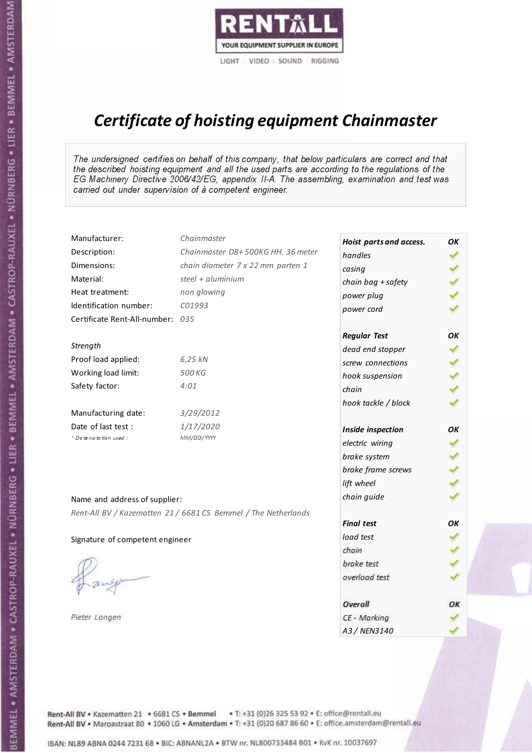

# Certificate of hoisting equipment Chainmaster

The undersigned certifies on behalf of this company, that below particulars are correct and that the described hoisting equipment and all the used parts are according to the regulations of the EG Machinery Directive 2006/42/EG, appendix II-A. The assembling, examination and test was carried out under supervision of à competent engineer.

| Manufacturer:                    | Chainmaster                                                    | Hoist parts and access. | OK  |
|----------------------------------|----------------------------------------------------------------|-------------------------|-----|
| Description:                     | Chainmaster D8+500KG HH. 36 meter                              | handles                 |     |
| Dimensions:                      | chain diameter 7 x 22 mm parten 1                              | casing                  |     |
| Material:                        | steel + aluminium                                              | chain bag + safety      |     |
| Heat treatment:                  | non glowing                                                    | power plug              |     |
| Identification number:           | C01993                                                         | power cord              |     |
| Certificate Rent-All-number: 035 |                                                                |                         |     |
|                                  |                                                                | <b>Regular Test</b>     | OK  |
| Strength                         |                                                                | dead end stopper        | ✔   |
| Proof load applied:              | 6,25 kN                                                        | screw connections       |     |
| Working load limit:              | 500 KG                                                         | hook suspension         |     |
| Safety factor:                   | 4:01                                                           | chain                   | くくく |
|                                  |                                                                | hook tackle / block     |     |
| Manufacturing date:              | 3/29/2012                                                      |                         |     |
| Date of last test :              | 1/17/2020                                                      | Inside inspection       | ОΚ  |
| * Date notation used :           | MM/DD/YYYY                                                     | electric wiring         | ✓   |
|                                  |                                                                | brake system            | ✔   |
|                                  |                                                                | brake frame screws      |     |
|                                  |                                                                | lift wheel              |     |
| Name and address of supplier:    |                                                                | chain guide             |     |
|                                  | Rent-All BV / Kazematten 21 / 6681 CS Bemmel / The Netherlands |                         |     |
|                                  |                                                                | <b>Final test</b>       | OK  |
| Signature of competent engineer  |                                                                | load test               |     |
|                                  |                                                                | chain                   |     |
|                                  |                                                                | brake test              |     |
|                                  |                                                                | overload test           |     |
|                                  |                                                                | Overall                 | ОК  |
| Pieter Langen                    |                                                                | CE - Marking            |     |
|                                  |                                                                | A3 / NEN3140            |     |

Rent-All BV . Kazematten 21 . 6681 CS . Bemmel . T: +31 (0)26 325 53 92 . E: office@rentall.eu Rent-All BV · Maroastraat 80 · 1060 LG · Amsterdam · T: +31 (0)20 687 86 60 · E: office.amsterdam@rentall.eu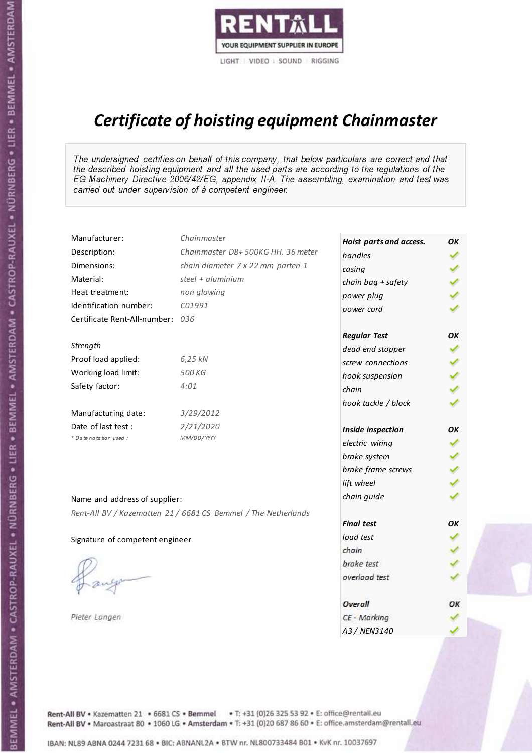

# Certificate of hoisting equipment Chainmaster

The undersigned certifies on behalf of this company, that below particulars are correct and that the described hoisting equipment and all the used parts are according to the regulations of the EG Machinery Directive 2006/42/EG, appendix II-A. The assembling, examination and test was carried out under supervision of à competent engineer.

| Manufacturer:                    | Chainmaster                                                    | Hoist parts and access. | OK  |
|----------------------------------|----------------------------------------------------------------|-------------------------|-----|
| Description:                     | Chainmaster D8+500KG HH. 36 meter                              | handles                 |     |
| Dimensions:                      | chain diameter 7 x 22 mm parten 1                              | casing                  |     |
| Material:                        | steel + aluminium                                              | chain bag + safety      |     |
| Heat treatment:                  | non glowing                                                    | power plug              |     |
| Identification number:           | C01991                                                         | power cord              |     |
| Certificate Rent-All-number: 036 |                                                                |                         |     |
|                                  |                                                                | <b>Regular Test</b>     | ОΚ  |
| Strength                         |                                                                | dead end stopper        | ✔   |
| Proof load applied:              | 6,25 kN                                                        | screw connections       |     |
| Working load limit:              | 500 KG                                                         | hook suspension         |     |
| Safety factor:                   | 4:01                                                           | chain                   | くくく |
|                                  |                                                                | hook tackle / block     |     |
| Manufacturing date:              | 3/29/2012                                                      |                         |     |
| Date of last test :              | 2/21/2020                                                      | Inside inspection       | ОΚ  |
| * Date notation used :           | MM/DD/YYYY                                                     | electric wiring         | ✔   |
|                                  |                                                                | brake system            |     |
|                                  |                                                                | brake frame screws      |     |
|                                  |                                                                | lift wheel              | くくく |
| Name and address of supplier:    |                                                                | chain guide             |     |
|                                  | Rent-All BV / Kazematten 21 / 6681 CS Bemmel / The Netherlands |                         |     |
|                                  |                                                                | <b>Final test</b>       | OK  |
| Signature of competent engineer  |                                                                | load test               |     |
|                                  |                                                                | chain                   |     |
|                                  |                                                                | brake test              |     |
|                                  |                                                                | overload test           |     |
|                                  |                                                                | Overall                 | ОК  |
| Pieter Langen                    |                                                                | CE - Marking            |     |
|                                  |                                                                | A3 / NEN3140            |     |

Rent-All BV . Kazematten 21 . 6681 CS . Bemmel . T: +31 (0)26 325 53 92 . E: office@rentall.eu Rent-All BV · Maroastraat 80 · 1060 LG · Amsterdam · T: +31 (0)20 687 86 60 · E: office.amsterdam@rentall.eu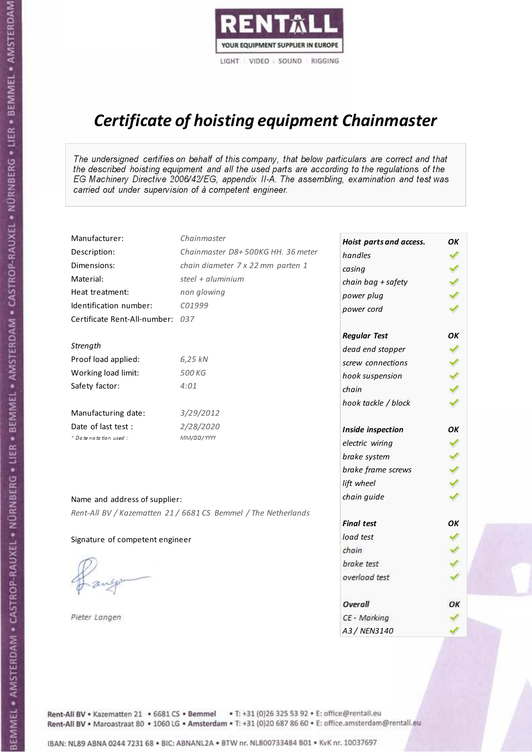

# Certificate of hoisting equipment Chainmaster

The undersigned certifies on behalf of this company, that below particulars are correct and that the described hoisting equipment and all the used parts are according to the regulations of the EG Machinery Directive 2006/42/EG, appendix II-A. The assembling, examination and test was carried out under supervision of à competent engineer.

| Manufacturer:                    | Chainmaster                                                    | Hoist parts and access. | OK  |
|----------------------------------|----------------------------------------------------------------|-------------------------|-----|
| Description:                     | Chainmaster D8+500KG HH. 36 meter                              | handles                 |     |
| Dimensions:                      | chain diameter 7 x 22 mm parten 1                              | casing                  |     |
| Material:                        | steel + aluminium                                              | chain bag + safety      |     |
| Heat treatment:                  | non glowing                                                    | power plug              |     |
| Identification number:           | C01999                                                         | power cord              |     |
| Certificate Rent-All-number: 037 |                                                                |                         |     |
|                                  |                                                                | <b>Regular Test</b>     | OK  |
| Strength                         |                                                                | dead end stopper        |     |
| Proof load applied:              | 6,25 kN                                                        | screw connections       |     |
| Working load limit:              | 500 KG                                                         | hook suspension         |     |
| Safety factor:                   | 4:01                                                           | chain                   | くくく |
|                                  |                                                                | hook tackle / block     |     |
| Manufacturing date:              | 3/29/2012                                                      |                         |     |
| Date of last test :              | 2/28/2020                                                      | Inside inspection       | OK  |
| * Date notation used :           | MM/DD/YYYY                                                     | electric wiring         |     |
|                                  |                                                                | brake system            |     |
|                                  |                                                                | brake frame screws      |     |
|                                  |                                                                | lift wheel              |     |
| Name and address of supplier:    |                                                                | chain guide             |     |
|                                  | Rent-All BV / Kazematten 21 / 6681 CS Bemmel / The Netherlands |                         |     |
|                                  |                                                                | <b>Final test</b>       | OK  |
| Signature of competent engineer  |                                                                | load test               |     |
|                                  |                                                                | chain                   |     |
|                                  |                                                                | brake test              |     |
|                                  |                                                                | overload test           |     |
|                                  |                                                                | Overall                 | ОК  |
| Pieter Langen                    |                                                                | CE - Marking            |     |
|                                  |                                                                | A3 / NEN3140            |     |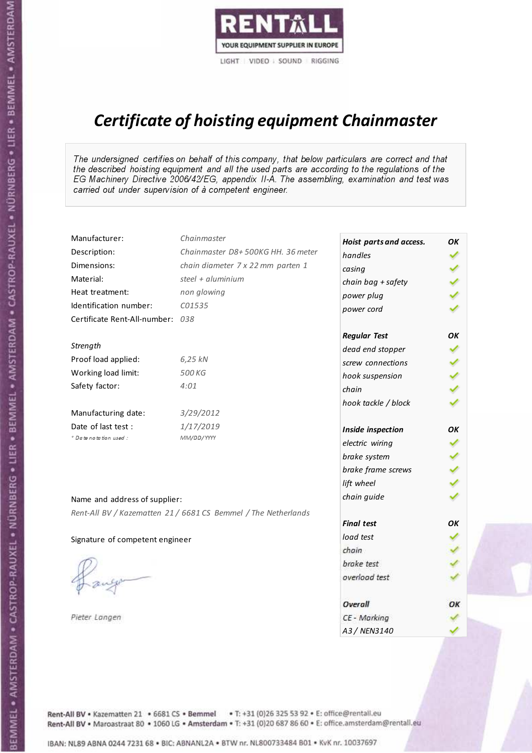

# Certificate of hoisting equipment Chainmaster

The undersigned certifies on behalf of this company, that below particulars are correct and that the described hoisting equipment and all the used parts are according to the regulations of the EG Machinery Directive 2006/42/EG, appendix II-A. The assembling, examination and test was carried out under supervision of à competent engineer.

| Manufacturer:                    | Chainmaster                                                    | Hoist parts and access. | OK  |
|----------------------------------|----------------------------------------------------------------|-------------------------|-----|
| Description:                     | Chainmaster D8+500KG HH. 36 meter                              | handles                 |     |
| Dimensions:                      | chain diameter 7 x 22 mm parten 1                              | casing                  |     |
| Material:                        | steel + aluminium                                              | chain bag + safety      |     |
| Heat treatment:                  | non glowing                                                    | power plug              |     |
| Identification number:           | C01535                                                         | power cord              |     |
| Certificate Rent-All-number: 038 |                                                                |                         |     |
|                                  |                                                                | <b>Regular Test</b>     | OK  |
| Strength                         |                                                                | dead end stopper        | ✔   |
| Proof load applied:              | 6,25 kN                                                        | screw connections       |     |
| Working load limit:              | 500 KG                                                         | hook suspension         |     |
| Safety factor:                   | 4:01                                                           | chain                   | くくく |
|                                  |                                                                | hook tackle / block     |     |
| Manufacturing date:              | 3/29/2012                                                      |                         |     |
| Date of last test :              | 1/17/2019                                                      | Inside inspection       | ОΚ  |
| * Date notation used :           | MM/DD/YYYY                                                     | electric wiring         | ✓   |
|                                  |                                                                | brake system            | ✔   |
|                                  |                                                                | brake frame screws      |     |
|                                  |                                                                | lift wheel              |     |
| Name and address of supplier:    |                                                                | chain guide             |     |
|                                  | Rent-All BV / Kazematten 21 / 6681 CS Bemmel / The Netherlands |                         |     |
|                                  |                                                                | <b>Final test</b>       | OK  |
| Signature of competent engineer  |                                                                | load test               |     |
|                                  |                                                                | chain                   |     |
|                                  |                                                                | brake test              |     |
|                                  |                                                                | overload test           |     |
|                                  |                                                                | Overall                 | ОК  |
| Pieter Langen                    |                                                                | CE - Marking            |     |
|                                  |                                                                | A3 / NEN3140            |     |

Rent-All BV . Kazematten 21 . 6681 CS . Bemmel . T: +31 (0)26 325 53 92 . E: office@rentall.eu Rent-All BV · Maroastraat 80 · 1060 LG · Amsterdam · T: +31 (0)20 687 86 60 · E: office.amsterdam@rentall.eu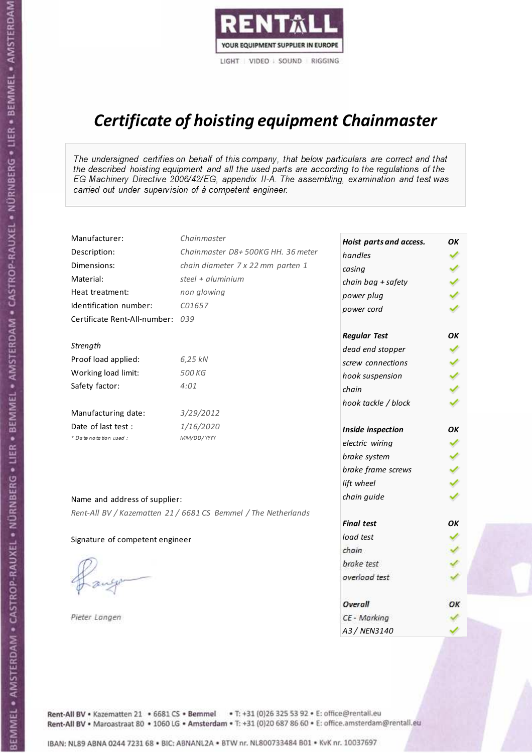

# Certificate of hoisting equipment Chainmaster

The undersigned certifies on behalf of this company, that below particulars are correct and that the described hoisting equipment and all the used parts are according to the regulations of the EG Machinery Directive 2006/42/EG, appendix II-A. The assembling, examination and test was carried out under supervision of à competent engineer.

| Manufacturer:                    | Chainmaster                                                    | Hoist parts and access. | OK  |
|----------------------------------|----------------------------------------------------------------|-------------------------|-----|
| Description:                     | Chainmaster D8+500KG HH. 36 meter                              | handles                 |     |
| Dimensions:                      | chain diameter 7 x 22 mm parten 1                              | casing                  |     |
| Material:                        | steel + aluminium                                              | chain bag + safety      |     |
| Heat treatment:                  | non glowing                                                    | power plug              |     |
| Identification number:           | C01657                                                         | power cord              |     |
| Certificate Rent-All-number: 039 |                                                                |                         |     |
|                                  |                                                                | <b>Regular Test</b>     | OK  |
| Strength                         |                                                                | dead end stopper        | ✔   |
| Proof load applied:              | 6,25 kN                                                        | screw connections       |     |
| Working load limit:              | 500 KG                                                         | hook suspension         |     |
| Safety factor:                   | 4:01                                                           | chain                   | くくく |
|                                  |                                                                | hook tackle / block     |     |
| Manufacturing date:              | 3/29/2012                                                      |                         |     |
| Date of last test :              | 1/16/2020                                                      | Inside inspection       | ОΚ  |
| * Date notation used :           | MM/DD/YYYY                                                     | electric wiring         | ✔   |
|                                  |                                                                | brake system            |     |
|                                  |                                                                | brake frame screws      |     |
|                                  |                                                                | lift wheel              |     |
| Name and address of supplier:    |                                                                | chain guide             |     |
|                                  | Rent-All BV / Kazematten 21 / 6681 CS Bemmel / The Netherlands |                         |     |
|                                  |                                                                | <b>Final test</b>       | OK  |
| Signature of competent engineer  |                                                                | load test               |     |
|                                  |                                                                | chain                   |     |
|                                  |                                                                | brake test              |     |
|                                  |                                                                | overload test           |     |
|                                  |                                                                | Overall                 | ОК  |
| Pieter Langen                    |                                                                | CE - Marking            |     |
|                                  |                                                                | A3 / NEN3140            |     |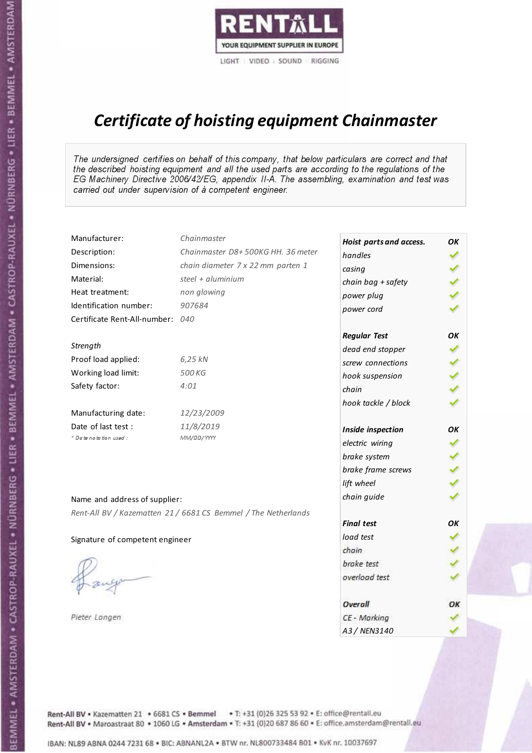

# Certificate of hoisting equipment Chainmaster

The undersigned certifies on behalf of this company, that below particulars are correct and that the described hoisting equipment and all the used parts are according to the regulations of the EG Machinery Directive 2006/42/EG, appendix II-A. The assembling, examination and test was carried out under supervision of à competent engineer.

| Manufacturer:                    | Chainmaster                                                    | Hoist parts and access. | OK  |
|----------------------------------|----------------------------------------------------------------|-------------------------|-----|
| Description:                     | Chainmaster D8+500KG HH. 36 meter                              | handles                 |     |
| Dimensions:                      | chain diameter 7 x 22 mm parten 1                              | casing                  |     |
| Material:                        | steel + $aluminim$                                             | chain bag + safety      |     |
| Heat treatment:                  | non glowing                                                    | power plug              |     |
| Identification number:           | 907684                                                         | power cord              |     |
| Certificate Rent-All-number: 040 |                                                                |                         |     |
|                                  |                                                                | <b>Regular Test</b>     | ΟK  |
| Strength                         |                                                                | dead end stopper        |     |
| Proof load applied:              | 6,25 kN                                                        | screw connections       |     |
| Working load limit:              | 500 KG                                                         | hook suspension         |     |
| Safety factor:                   | 4:01                                                           | chain                   | くくく |
|                                  |                                                                | hook tackle / block     |     |
| Manufacturing date:              | 12/23/2009                                                     |                         |     |
| Date of last test :              | 11/8/2019                                                      | Inside inspection       | ОΚ  |
| + Date notation used:            | MM/DD/YYYY                                                     | electric wiring         |     |
|                                  |                                                                | brake system            |     |
|                                  |                                                                | brake frame screws      |     |
|                                  |                                                                | lift wheel              |     |
| Name and address of supplier:    |                                                                | chain guide             |     |
|                                  | Rent-All BV / Kazematten 21 / 6681 CS Bemmel / The Netherlands |                         |     |
|                                  |                                                                | <b>Final test</b>       | OK  |
| Signature of competent engineer  |                                                                | load test               |     |
|                                  |                                                                | chain                   |     |
|                                  |                                                                | brake test              |     |
|                                  |                                                                | overload test           |     |
|                                  |                                                                | Overall                 | OK  |
| Pieter Langen                    |                                                                | CE - Marking            |     |
|                                  |                                                                | A3 / NEN3140            |     |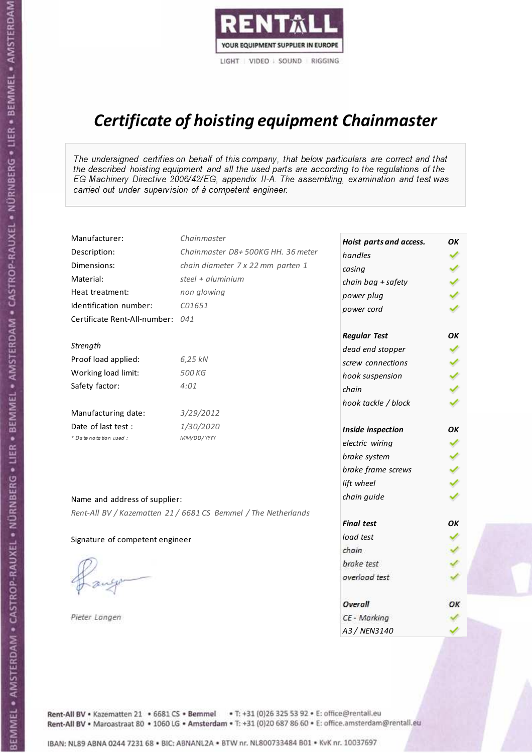

# Certificate of hoisting equipment Chainmaster

The undersigned certifies on behalf of this company, that below particulars are correct and that the described hoisting equipment and all the used parts are according to the regulations of the EG Machinery Directive 2006/42/EG, appendix II-A. The assembling, examination and test was carried out under supervision of à competent engineer.

| Manufacturer:                    | Chainmaster                                                    | Hoist parts and access. | OK  |
|----------------------------------|----------------------------------------------------------------|-------------------------|-----|
| Description:                     | Chainmaster D8+500KG HH. 36 meter                              | handles                 |     |
| Dimensions:                      | chain diameter 7 x 22 mm parten 1                              | casing                  |     |
| Material:                        | steel + aluminium                                              | chain bag + safety      |     |
| Heat treatment:                  | non glowing                                                    | power plug              |     |
| Identification number:           | C01651                                                         | power cord              |     |
| Certificate Rent-All-number: 041 |                                                                |                         |     |
|                                  |                                                                | <b>Regular Test</b>     | OK  |
| Strength                         |                                                                | dead end stopper        | ✔   |
| Proof load applied:              | 6,25 kN                                                        | screw connections       |     |
| Working load limit:              | 500 KG                                                         | hook suspension         |     |
| Safety factor:                   | 4:01                                                           | chain                   | くくく |
|                                  |                                                                | hook tackle / block     |     |
| Manufacturing date:              | 3/29/2012                                                      |                         |     |
| Date of last test :              | 1/30/2020                                                      | Inside inspection       | ОΚ  |
| * Date notation used :           | MM/DD/YYYY                                                     | electric wiring         | ✓   |
|                                  |                                                                | brake system            | ✔   |
|                                  |                                                                | brake frame screws      |     |
|                                  |                                                                | lift wheel              |     |
| Name and address of supplier:    |                                                                | chain guide             |     |
|                                  | Rent-All BV / Kazematten 21 / 6681 CS Bemmel / The Netherlands |                         |     |
|                                  |                                                                | <b>Final test</b>       | OK  |
| Signature of competent engineer  |                                                                | load test               |     |
|                                  |                                                                | chain                   |     |
|                                  |                                                                | brake test              |     |
|                                  |                                                                | overload test           |     |
|                                  |                                                                | Overall                 | ОК  |
| Pieter Langen                    |                                                                | CE - Marking            |     |
|                                  |                                                                | A3 / NEN3140            |     |

Rent-All BV . Kazematten 21 . 6681 CS . Bemmel . T: +31 (0)26 325 53 92 . E: office@rentall.eu Rent-All BV · Maroastraat 80 · 1060 LG · Amsterdam · T: +31 (0)20 687 86 60 · E: office.amsterdam@rentall.eu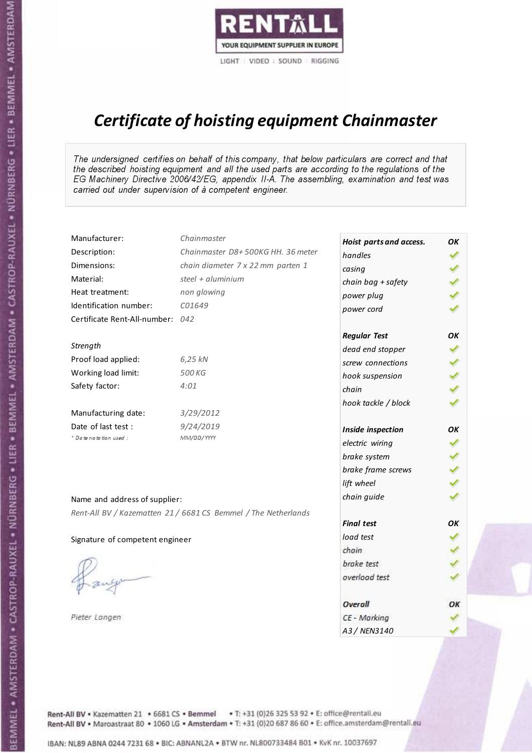

# Certificate of hoisting equipment Chainmaster

The undersigned certifies on behalf of this company, that below particulars are correct and that the described hoisting equipment and all the used parts are according to the regulations of the EG Machinery Directive 2006/42/EG, appendix II-A. The assembling, examination and test was carried out under supervision of à competent engineer.

| Manufacturer:                    | Chainmaster                                                    | Hoist parts and access. | OK  |
|----------------------------------|----------------------------------------------------------------|-------------------------|-----|
| Description:                     | Chainmaster D8+500KG HH. 36 meter                              | handles                 |     |
| Dimensions:                      | chain diameter 7 x 22 mm parten 1                              | casing                  |     |
| Material:                        | steel $+$ aluminium                                            | chain bag + safety      |     |
| Heat treatment:                  | non glowing                                                    | power plug              |     |
| Identification number:           | C01649                                                         | power cord              |     |
| Certificate Rent-All-number: 042 |                                                                |                         |     |
|                                  |                                                                | <b>Regular Test</b>     | OK  |
| Strength                         |                                                                | dead end stopper        |     |
| Proof load applied:              | 6,25 kN                                                        | screw connections       |     |
| Working load limit:              | 500 KG                                                         | hook suspension         |     |
| Safety factor:                   | 4:01                                                           | chain                   | くくく |
|                                  |                                                                | hook tackle / block     |     |
| Manufacturing date:              | 3/29/2012                                                      |                         |     |
| Date of last test :              | 9/24/2019                                                      | Inside inspection       | ОΚ  |
| * Date notation used :           | MM/DD/YYYY                                                     | electric wiring         | ✔   |
|                                  |                                                                | brake system            |     |
|                                  |                                                                | brake frame screws      |     |
|                                  |                                                                | lift wheel              | くくく |
| Name and address of supplier:    |                                                                | chain guide             |     |
|                                  | Rent-All BV / Kazematten 21 / 6681 CS Bemmel / The Netherlands |                         |     |
|                                  |                                                                | <b>Final test</b>       | OK  |
| Signature of competent engineer  |                                                                | load test               |     |
|                                  |                                                                | chain                   |     |
|                                  |                                                                | brake test              |     |
|                                  |                                                                | overload test           |     |
|                                  |                                                                | Overall                 | OK  |
| Pieter Langen                    |                                                                | CE - Marking            |     |
|                                  |                                                                | A3 / NEN3140            |     |

Rent-All BV . Kazematten 21 . 6681 CS . Bemmel . T: +31 (0)26 325 53 92 . E: office@rentall.eu Rent-All BV · Maroastraat 80 · 1060 LG · Amsterdam · T: +31 (0)20 687 86 60 · E: office.amsterdam@rentall.eu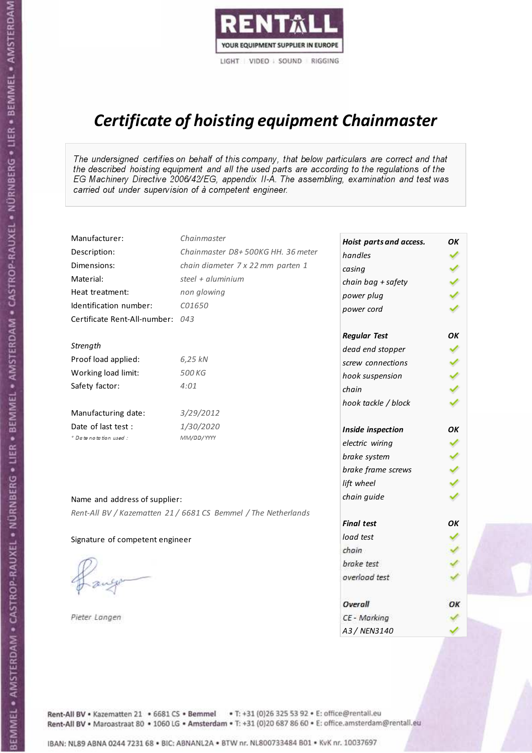

# Certificate of hoisting equipment Chainmaster

The undersigned certifies on behalf of this company, that below particulars are correct and that the described hoisting equipment and all the used parts are according to the regulations of the EG Machinery Directive 2006/42/EG, appendix II-A. The assembling, examination and test was carried out under supervision of à competent engineer.

| Manufacturer:                    | Chainmaster                                                    | Hoist parts and access. | OK  |
|----------------------------------|----------------------------------------------------------------|-------------------------|-----|
| Description:                     | Chainmaster D8+500KG HH. 36 meter                              | handles                 |     |
| Dimensions:                      | chain diameter 7 x 22 mm parten 1                              | casing                  |     |
| Material:                        | steel + aluminium                                              | chain bag + safety      |     |
| Heat treatment:                  | non glowing                                                    | power plug              |     |
| Identification number:           | C01650                                                         | power cord              |     |
| Certificate Rent-All-number: 043 |                                                                |                         |     |
|                                  |                                                                | <b>Regular Test</b>     | OK  |
| Strength                         |                                                                | dead end stopper        | ✔   |
| Proof load applied:              | 6,25 kN                                                        | screw connections       |     |
| Working load limit:              | 500 KG                                                         | hook suspension         |     |
| Safety factor:                   | 4:01                                                           | chain                   | くくく |
|                                  |                                                                | hook tackle / block     |     |
| Manufacturing date:              | 3/29/2012                                                      |                         |     |
| Date of last test :              | 1/30/2020                                                      | Inside inspection       | ОΚ  |
| * Date notation used :           | MM/DD/YYYY                                                     | electric wiring         | ✓   |
|                                  |                                                                | brake system            | ✔   |
|                                  |                                                                | brake frame screws      |     |
|                                  |                                                                | lift wheel              |     |
| Name and address of supplier:    |                                                                | chain guide             |     |
|                                  | Rent-All BV / Kazematten 21 / 6681 CS Bemmel / The Netherlands |                         |     |
|                                  |                                                                | <b>Final test</b>       | OK  |
| Signature of competent engineer  |                                                                | load test               |     |
|                                  |                                                                | chain                   |     |
|                                  |                                                                | brake test              |     |
|                                  |                                                                | overload test           |     |
|                                  |                                                                | Overall                 | ОК  |
| Pieter Langen                    |                                                                | CE - Marking            |     |
|                                  |                                                                | A3 / NEN3140            |     |

Rent-All BV . Kazematten 21 . 6681 CS . Bemmel . T: +31 (0)26 325 53 92 . E: office@rentall.eu Rent-All BV · Maroastraat 80 · 1060 LG · Amsterdam · T: +31 (0)20 687 86 60 · E: office.amsterdam@rentall.eu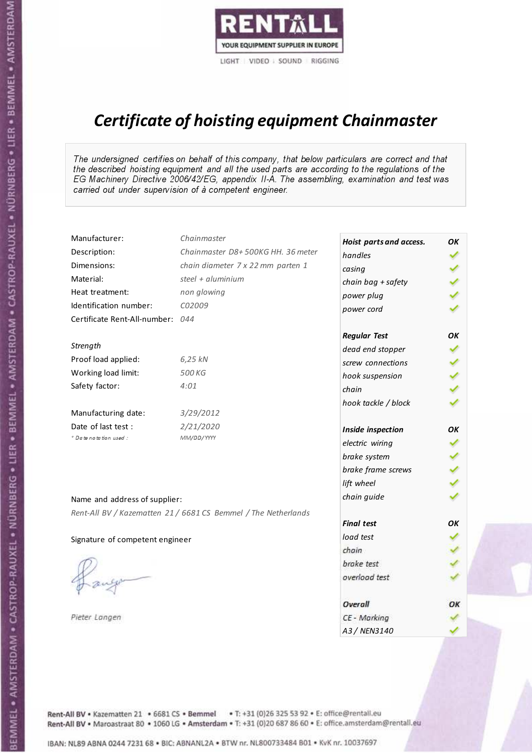

# Certificate of hoisting equipment Chainmaster

The undersigned certifies on behalf of this company, that below particulars are correct and that the described hoisting equipment and all the used parts are according to the regulations of the EG Machinery Directive 2006/42/EG, appendix II-A. The assembling, examination and test was carried out under supervision of à competent engineer.

| Manufacturer:                    | Chainmaster                                                    | Hoist parts and access. | OK  |
|----------------------------------|----------------------------------------------------------------|-------------------------|-----|
| Description:                     | Chainmaster D8+500KG HH. 36 meter                              | handles                 |     |
| Dimensions:                      | chain diameter 7 x 22 mm parten 1                              | casing                  |     |
| Material:                        | steel $+$ aluminium                                            | chain bag + safety      |     |
| Heat treatment:                  | non glowing                                                    | power plug              |     |
| Identification number:           | C02009                                                         | power cord              |     |
| Certificate Rent-All-number: 044 |                                                                |                         |     |
|                                  |                                                                | <b>Regular Test</b>     | OK  |
| Strength                         |                                                                | dead end stopper        |     |
| Proof load applied:              | 6,25 kN                                                        | screw connections       |     |
| Working load limit:              | 500 KG                                                         | hook suspension         |     |
| Safety factor:                   | 4:01                                                           | chain                   | くくく |
|                                  |                                                                | hook tackle / block     |     |
| Manufacturing date:              | 3/29/2012                                                      |                         |     |
| Date of last test :              | 2/21/2020                                                      | Inside inspection       | ОΚ  |
| * Date notation used :           | MM/DD/YYYY                                                     | electric wiring         | ✔   |
|                                  |                                                                | brake system            |     |
|                                  |                                                                | brake frame screws      |     |
|                                  |                                                                | lift wheel              | くくく |
| Name and address of supplier:    |                                                                | chain guide             |     |
|                                  | Rent-All BV / Kazematten 21 / 6681 CS Bemmel / The Netherlands |                         |     |
|                                  |                                                                | <b>Final test</b>       | OK  |
| Signature of competent engineer  |                                                                | load test               |     |
|                                  |                                                                | chain                   |     |
|                                  |                                                                | brake test              |     |
|                                  |                                                                | overload test           |     |
|                                  |                                                                | Overall                 | OK  |
| Pieter Langen                    |                                                                | CE - Marking            |     |
|                                  |                                                                | A3 / NEN3140            |     |

Rent-All BV . Kazematten 21 . 6681 CS . Bemmel . T: +31 (0)26 325 53 92 . E: office@rentall.eu Rent-All BV · Maroastraat 80 · 1060 LG · Amsterdam · T: +31 (0)20 687 86 60 · E: office.amsterdam@rentall.eu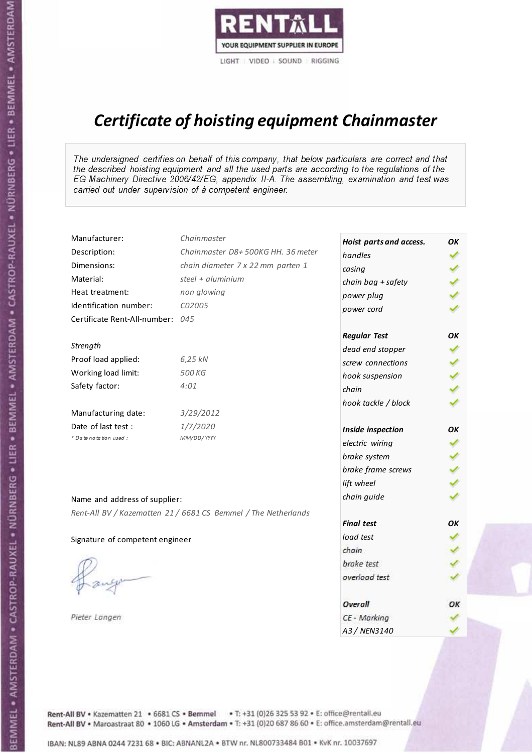

# Certificate of hoisting equipment Chainmaster

The undersigned certifies on behalf of this company, that below particulars are correct and that the described hoisting equipment and all the used parts are according to the regulations of the EG Machinery Directive 2006/42/EG, appendix II-A. The assembling, examination and test was carried out under supervision of à competent engineer.

| Manufacturer:                    | Chainmaster                                                    | Hoist parts and access. | OК |
|----------------------------------|----------------------------------------------------------------|-------------------------|----|
| Description:                     | Chainmaster D8+500KG HH. 36 meter                              | handles                 |    |
| Dimensions:                      | chain diameter 7 x 22 mm parten 1                              | casing                  |    |
| Material:                        | steel + aluminium                                              | chain bag + safety      |    |
| Heat treatment:                  | non glowing                                                    | power plug              |    |
| Identification number:           | C02005                                                         | power cord              |    |
| Certificate Rent-All-number: 045 |                                                                |                         |    |
|                                  |                                                                | <b>Regular Test</b>     | OK |
| Strength                         |                                                                | dead end stopper        |    |
| Proof load applied:              | 6,25 kN                                                        | screw connections       |    |
| Working load limit:              | 500 KG                                                         | hook suspension         |    |
| Safety factor:                   | 4:01                                                           | chain                   |    |
|                                  |                                                                | hook tackle / block     |    |
| Manufacturing date:              | 3/29/2012                                                      |                         |    |
| Date of last test :              | 1/7/2020                                                       | Inside inspection       | OK |
| * Date notation used :           | MM/DD/YYYY                                                     | electric wiring         | ✔  |
|                                  |                                                                | brake system            |    |
|                                  |                                                                | brake frame screws      |    |
|                                  |                                                                | lift wheel              |    |
| Name and address of supplier:    |                                                                | chain guide             |    |
|                                  | Rent-All BV / Kazematten 21 / 6681 CS Bemmel / The Netherlands |                         |    |
|                                  |                                                                | <b>Final test</b>       | OK |
| Signature of competent engineer  |                                                                | load test               |    |
|                                  |                                                                | chain                   |    |
|                                  |                                                                | brake test              |    |
|                                  |                                                                | overload test           |    |
|                                  |                                                                |                         |    |
|                                  |                                                                | <b>Overall</b>          | ОК |
| Pieter Langen                    |                                                                | CE - Marking            |    |
|                                  |                                                                | A3 / NEN3140            |    |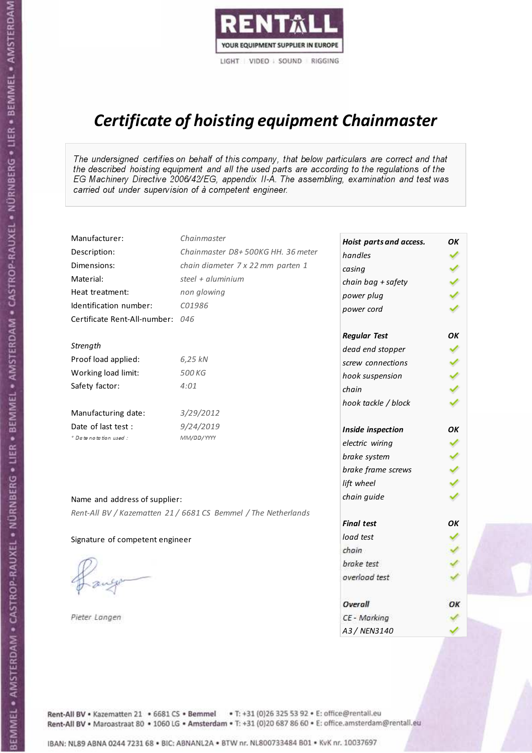

# Certificate of hoisting equipment Chainmaster

The undersigned certifies on behalf of this company, that below particulars are correct and that the described hoisting equipment and all the used parts are according to the regulations of the EG Machinery Directive 2006/42/EG, appendix II-A. The assembling, examination and test was carried out under supervision of à competent engineer.

| Manufacturer:                    | Chainmaster                                                    | Hoist parts and access. | OK  |
|----------------------------------|----------------------------------------------------------------|-------------------------|-----|
| Description:                     | Chainmaster D8+500KG HH. 36 meter                              | handles                 |     |
| Dimensions:                      | chain diameter 7 x 22 mm parten 1                              | casing                  |     |
| Material:                        | steel + aluminium                                              | chain bag + safety      |     |
| Heat treatment:                  | non glowing                                                    | power plug              |     |
| Identification number:           | C01986                                                         | power cord              |     |
| Certificate Rent-All-number: 046 |                                                                |                         |     |
|                                  |                                                                | <b>Regular Test</b>     | OK  |
| Strength                         |                                                                | dead end stopper        | ✔   |
| Proof load applied:              | 6,25 kN                                                        | screw connections       |     |
| Working load limit:              | 500 KG                                                         | hook suspension         |     |
| Safety factor:                   | 4:01                                                           | chain                   | くくく |
|                                  |                                                                | hook tackle / block     |     |
| Manufacturing date:              | 3/29/2012                                                      |                         |     |
| Date of last test :              | 9/24/2019                                                      | Inside inspection       | ОΚ  |
| * Date notation used :           | MM/DD/YYYY                                                     | electric wiring         | ✓   |
|                                  |                                                                | brake system            | ✔   |
|                                  |                                                                | brake frame screws      |     |
|                                  |                                                                | lift wheel              |     |
| Name and address of supplier:    |                                                                | chain guide             |     |
|                                  | Rent-All BV / Kazematten 21 / 6681 CS Bemmel / The Netherlands |                         |     |
|                                  |                                                                | <b>Final test</b>       | OK  |
| Signature of competent engineer  |                                                                | load test               |     |
|                                  |                                                                | chain                   |     |
|                                  |                                                                | brake test              |     |
|                                  |                                                                | overload test           |     |
|                                  |                                                                | Overall                 | ОК  |
| Pieter Langen                    |                                                                | CE - Marking            |     |
|                                  |                                                                | A3 / NEN3140            |     |

Rent-All BV . Kazematten 21 . 6681 CS . Bemmel . T: +31 (0)26 325 53 92 . E: office@rentall.eu Rent-All BV · Maroastraat 80 · 1060 LG · Amsterdam · T: +31 (0)20 687 86 60 · E: office.amsterdam@rentall.eu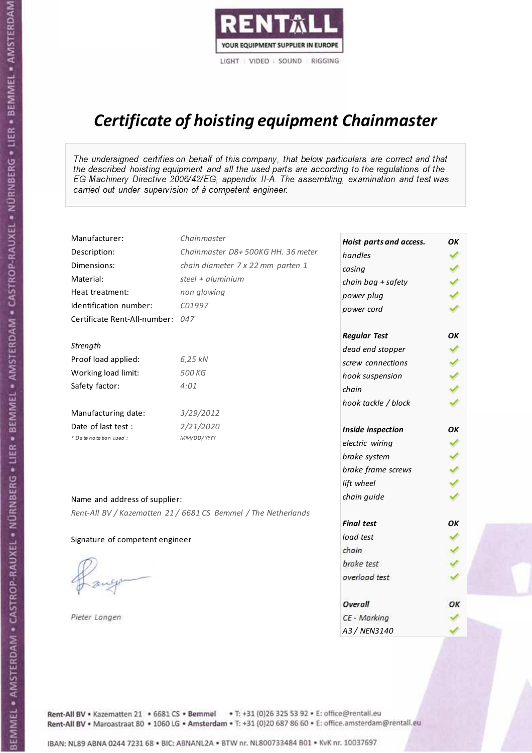

# Certificate of hoisting equipment Chainmaster

The undersigned certifies on behalf of this company, that below particulars are correct and that the described hoisting equipment and all the used parts are according to the regulations of the EG Machinery Directive 2006/42/EG, appendix II-A. The assembling, examination and test was carried out under supervision of à competent engineer.

| Manufacturer:                    | Chainmaster                                                    | Hoist parts and access. | OK  |
|----------------------------------|----------------------------------------------------------------|-------------------------|-----|
| Description:                     | Chainmaster D8+500KG HH. 36 meter                              | handles                 |     |
| Dimensions:                      | chain diameter 7 x 22 mm parten 1                              | casing                  |     |
| Material:                        | steel + aluminium                                              | chain bag + safety      |     |
| Heat treatment:                  | non glowing                                                    | power plug              |     |
| Identification number:           | C01997                                                         | power cord              |     |
| Certificate Rent-All-number: 047 |                                                                |                         |     |
|                                  |                                                                | <b>Regular Test</b>     | OK  |
| Strength                         |                                                                | dead end stopper        | ✔   |
| Proof load applied:              | 6,25 kN                                                        | screw connections       |     |
| Working load limit:              | 500 KG                                                         | hook suspension         |     |
| Safety factor:                   | 4:01                                                           | chain                   | くくく |
|                                  |                                                                | hook tackle / block     |     |
| Manufacturing date:              | 3/29/2012                                                      |                         |     |
| Date of last test :              | 2/21/2020                                                      | Inside inspection       | ОΚ  |
| * Date notation used :           | MM/DD/YYYY                                                     | electric wiring         | ✓   |
|                                  |                                                                | brake system            | ✔   |
|                                  |                                                                | brake frame screws      |     |
|                                  |                                                                | lift wheel              |     |
| Name and address of supplier:    |                                                                | chain guide             |     |
|                                  | Rent-All BV / Kazematten 21 / 6681 CS Bemmel / The Netherlands |                         |     |
|                                  |                                                                | <b>Final test</b>       | OK  |
| Signature of competent engineer  |                                                                | load test               |     |
|                                  |                                                                | chain                   |     |
|                                  |                                                                | brake test              |     |
|                                  |                                                                | overload test           |     |
|                                  |                                                                | Overall                 | ОК  |
| Pieter Langen                    |                                                                | CE - Marking            |     |
|                                  |                                                                | A3 / NEN3140            |     |

Rent-All BV . Kazematten 21 . 6681 CS . Bemmel . T: +31 (0)26 325 53 92 . E: office@rentall.eu Rent-All BV · Maroastraat 80 · 1060 LG · Amsterdam · T: +31 (0)20 687 86 60 · E: office.amsterdam@rentall.eu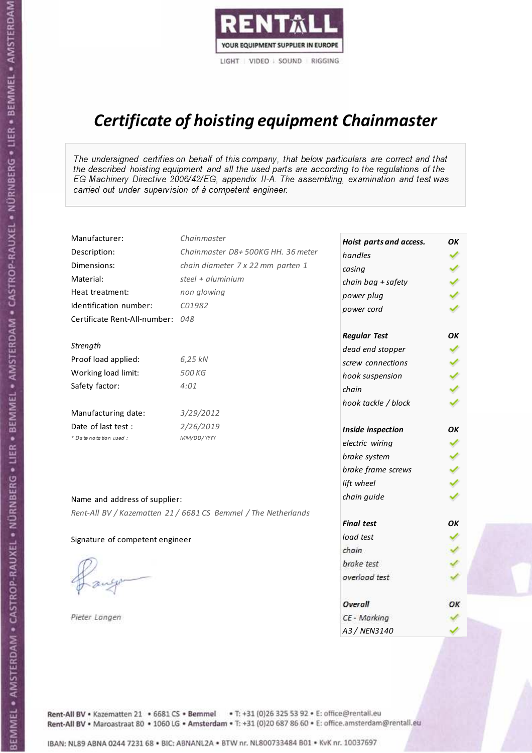

# Certificate of hoisting equipment Chainmaster

The undersigned certifies on behalf of this company, that below particulars are correct and that the described hoisting equipment and all the used parts are according to the regulations of the EG Machinery Directive 2006/42/EG, appendix II-A. The assembling, examination and test was carried out under supervision of à competent engineer.

| Manufacturer:                    | Chainmaster                                                    | Hoist parts and access. | OK  |
|----------------------------------|----------------------------------------------------------------|-------------------------|-----|
| Description:                     | Chainmaster D8+500KG HH. 36 meter                              | handles                 |     |
| Dimensions:                      | chain diameter 7 x 22 mm parten 1                              | casing                  |     |
| Material:                        | steel + aluminium                                              | chain bag + safety      |     |
| Heat treatment:                  | non glowing                                                    | power plug              |     |
| Identification number:           | C01982                                                         | power cord              |     |
| Certificate Rent-All-number: 048 |                                                                |                         |     |
|                                  |                                                                | <b>Regular Test</b>     | OK  |
| Strength                         |                                                                | dead end stopper        | ✔   |
| Proof load applied:              | 6,25 kN                                                        | screw connections       |     |
| Working load limit:              | 500 KG                                                         | hook suspension         |     |
| Safety factor:                   | 4:01                                                           | chain                   | くくく |
|                                  |                                                                | hook tackle / block     |     |
| Manufacturing date:              | 3/29/2012                                                      |                         |     |
| Date of last test :              | 2/26/2019                                                      | Inside inspection       | ОΚ  |
| * Date notation used :           | MM/DD/YYYY                                                     | electric wiring         | ✔   |
|                                  |                                                                | brake system            |     |
|                                  |                                                                | brake frame screws      |     |
|                                  |                                                                | lift wheel              |     |
| Name and address of supplier:    |                                                                | chain guide             |     |
|                                  | Rent-All BV / Kazematten 21 / 6681 CS Bemmel / The Netherlands |                         |     |
|                                  |                                                                | <b>Final test</b>       | OK  |
| Signature of competent engineer  |                                                                | load test               |     |
|                                  |                                                                | chain                   |     |
|                                  |                                                                | brake test              |     |
|                                  |                                                                | overload test           |     |
|                                  |                                                                | Overall                 | ОК  |
| Pieter Langen                    |                                                                | CE - Marking            |     |
|                                  |                                                                | A3 / NEN3140            |     |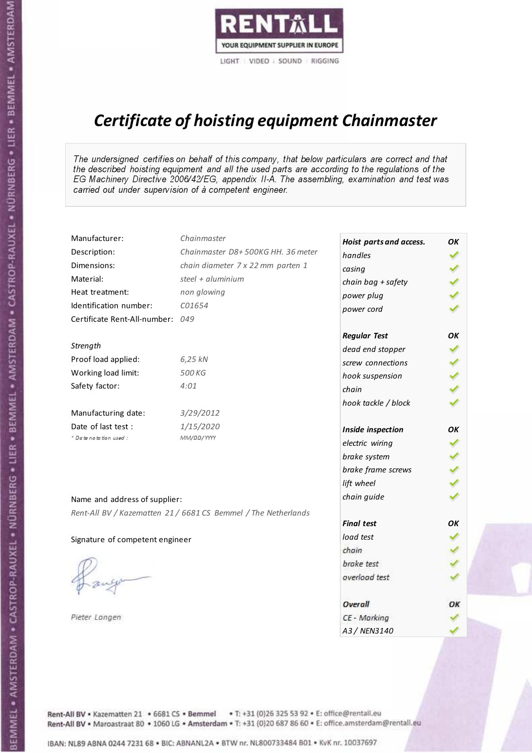

# Certificate of hoisting equipment Chainmaster

The undersigned certifies on behalf of this company, that below particulars are correct and that the described hoisting equipment and all the used parts are according to the regulations of the EG Machinery Directive 2006/42/EG, appendix II-A. The assembling, examination and test was carried out under supervision of à competent engineer.

| Manufacturer:                    | Chainmaster                                                    | Hoist parts and access. | OK  |
|----------------------------------|----------------------------------------------------------------|-------------------------|-----|
| Description:                     | Chainmaster D8+500KG HH. 36 meter                              | handles                 |     |
| Dimensions:                      | chain diameter 7 x 22 mm parten 1                              | casing                  |     |
| Material:                        | steel + aluminium                                              | chain bag + safety      |     |
| Heat treatment:                  | non glowing                                                    | power plug              |     |
| Identification number:           | C01654                                                         | power cord              |     |
| Certificate Rent-All-number: 049 |                                                                |                         |     |
|                                  |                                                                | <b>Regular Test</b>     | ОΚ  |
| Strength                         |                                                                | dead end stopper        | ✔   |
| Proof load applied:              | 6,25 kN                                                        | screw connections       |     |
| Working load limit:              | 500 KG                                                         | hook suspension         |     |
| Safety factor:                   | 4:01                                                           | chain                   | くくく |
|                                  |                                                                | hook tackle / block     |     |
| Manufacturing date:              | 3/29/2012                                                      |                         |     |
| Date of last test :              | 1/15/2020                                                      | Inside inspection       | ОΚ  |
| * Date notation used :           | MM/DD/YYYY                                                     | electric wiring         | ✔   |
|                                  |                                                                | brake system            |     |
|                                  |                                                                | brake frame screws      |     |
|                                  |                                                                | lift wheel              |     |
| Name and address of supplier:    |                                                                | chain guide             |     |
|                                  | Rent-All BV / Kazematten 21 / 6681 CS Bemmel / The Netherlands |                         |     |
|                                  |                                                                | <b>Final test</b>       | OK  |
| Signature of competent engineer  |                                                                | load test               |     |
|                                  |                                                                | chain                   |     |
|                                  |                                                                | brake test              |     |
|                                  |                                                                | overload test           |     |
|                                  |                                                                | Overall                 | ОК  |
| Pieter Langen                    |                                                                | CE - Marking            |     |
|                                  |                                                                | A3 / NEN3140            |     |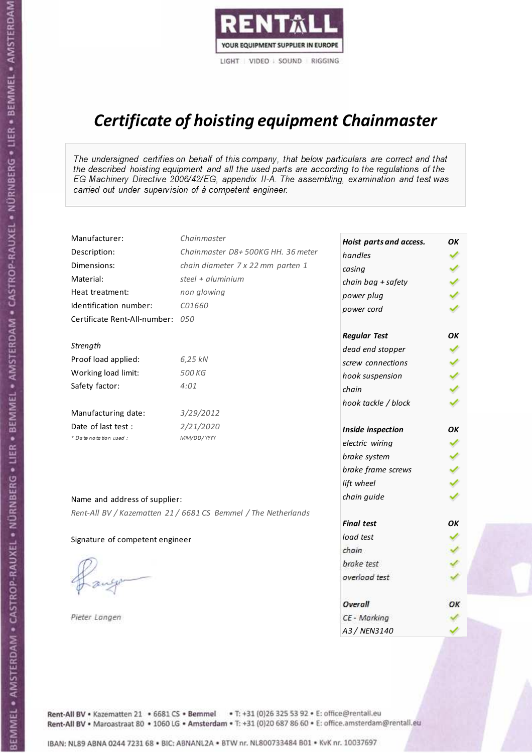

# Certificate of hoisting equipment Chainmaster

The undersigned certifies on behalf of this company, that below particulars are correct and that the described hoisting equipment and all the used parts are according to the regulations of the EG Machinery Directive 2006/42/EG, appendix II-A. The assembling, examination and test was carried out under supervision of à competent engineer.

| Manufacturer:                    | Chainmaster                                                    | Hoist parts and access. | OK  |
|----------------------------------|----------------------------------------------------------------|-------------------------|-----|
| Description:                     | Chainmaster D8+500KG HH. 36 meter                              | handles                 |     |
| Dimensions:                      | chain diameter 7 x 22 mm parten 1                              | casing                  |     |
| Material:                        | steel + aluminium                                              | chain bag + safety      |     |
| Heat treatment:                  | non glowing                                                    | power plug              |     |
| Identification number:           | C01660                                                         | power cord              |     |
| Certificate Rent-All-number: 050 |                                                                |                         |     |
|                                  |                                                                | <b>Regular Test</b>     | OK  |
| Strength                         |                                                                | dead end stopper        | ✔   |
| Proof load applied:              | 6,25 kN                                                        | screw connections       |     |
| Working load limit:              | 500 KG                                                         | hook suspension         |     |
| Safety factor:                   | 4:01                                                           | chain                   | くくく |
|                                  |                                                                | hook tackle / block     |     |
| Manufacturing date:              | 3/29/2012                                                      |                         |     |
| Date of last test :              | 2/21/2020                                                      | Inside inspection       | ОΚ  |
| * Date notation used :           | MM/DD/YYYY                                                     | electric wiring         | ✓   |
|                                  |                                                                | brake system            | ✔   |
|                                  |                                                                | brake frame screws      |     |
|                                  |                                                                | lift wheel              |     |
| Name and address of supplier:    |                                                                | chain guide             |     |
|                                  | Rent-All BV / Kazematten 21 / 6681 CS Bemmel / The Netherlands |                         |     |
|                                  |                                                                | <b>Final test</b>       | OK  |
| Signature of competent engineer  |                                                                | load test               |     |
|                                  |                                                                | chain                   |     |
|                                  |                                                                | brake test              |     |
|                                  |                                                                | overload test           |     |
|                                  |                                                                | Overall                 | ОК  |
| Pieter Langen                    |                                                                | CE - Marking            |     |
|                                  |                                                                | A3 / NEN3140            |     |

Rent-All BV . Kazematten 21 . 6681 CS . Bemmel . T: +31 (0)26 325 53 92 . E: office@rentall.eu Rent-All BV · Maroastraat 80 · 1060 LG · Amsterdam · T: +31 (0)20 687 86 60 · E: office.amsterdam@rentall.eu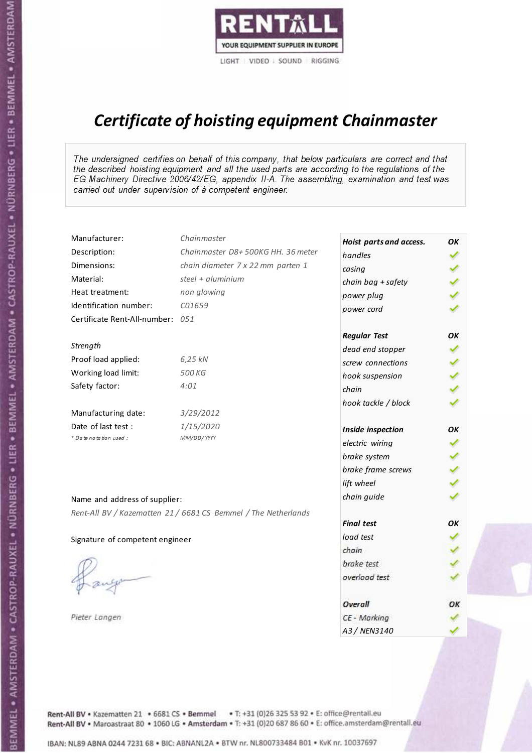

# Certificate of hoisting equipment Chainmaster

The undersigned certifies on behalf of this company, that below particulars are correct and that the described hoisting equipment and all the used parts are according to the regulations of the EG Machinery Directive 2006/42/EG, appendix II-A. The assembling, examination and test was carried out under supervision of à competent engineer.

| Manufacturer:                    | Chainmaster                                                    | Hoist parts and access. | OK  |
|----------------------------------|----------------------------------------------------------------|-------------------------|-----|
| Description:                     | Chainmaster D8+500KG HH. 36 meter                              | handles                 |     |
| Dimensions:                      | chain diameter 7 x 22 mm parten 1                              | casing                  |     |
| Material:                        | steel + aluminium                                              | chain bag + safety      |     |
| Heat treatment:                  | non glowing                                                    | power plug              |     |
| Identification number:           | C01659                                                         | power cord              |     |
| Certificate Rent-All-number: 051 |                                                                |                         |     |
|                                  |                                                                | <b>Regular Test</b>     | OK  |
| Strength                         |                                                                | dead end stopper        |     |
| Proof load applied:              | 6,25 kN                                                        | screw connections       |     |
| Working load limit:              | 500 KG                                                         | hook suspension         |     |
| Safety factor:                   | 4:01                                                           | chain                   | くくく |
|                                  |                                                                | hook tackle / block     |     |
| Manufacturing date:              | 3/29/2012                                                      |                         |     |
| Date of last test :              | 1/15/2020                                                      | Inside inspection       | OΚ  |
| + Date notation used:            | MM/DD/YYYY                                                     | electric wiring         |     |
|                                  |                                                                | brake system            | ✔   |
|                                  |                                                                | brake frame screws      |     |
|                                  |                                                                | lift wheel              |     |
| Name and address of supplier:    |                                                                | chain guide             |     |
|                                  | Rent-All BV / Kazematten 21 / 6681 CS Bemmel / The Netherlands |                         |     |
|                                  |                                                                | <b>Final test</b>       | OK  |
| Signature of competent engineer  |                                                                | load test               |     |
|                                  |                                                                | chain                   |     |
|                                  |                                                                | brake test              |     |
|                                  |                                                                | overload test           |     |
|                                  |                                                                | Overall                 | ОК  |
| Pieter Langen                    |                                                                | CE - Marking            |     |
|                                  |                                                                | A3 / NEN3140            |     |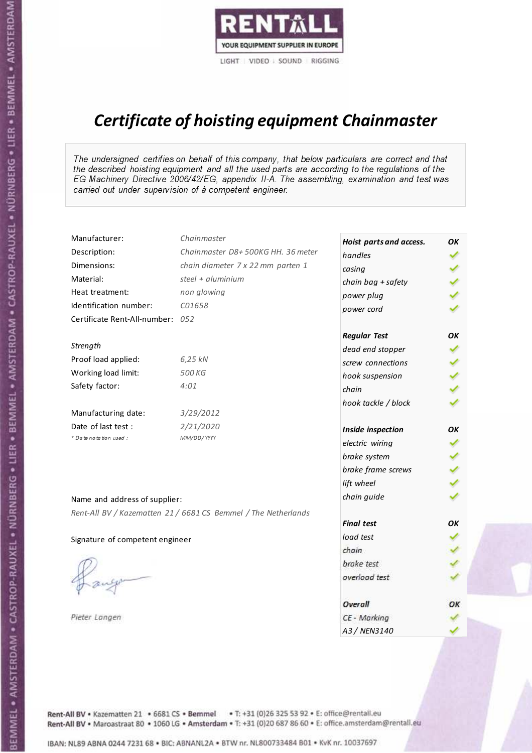

# Certificate of hoisting equipment Chainmaster

The undersigned certifies on behalf of this company, that below particulars are correct and that the described hoisting equipment and all the used parts are according to the regulations of the EG Machinery Directive 2006/42/EG, appendix II-A. The assembling, examination and test was carried out under supervision of à competent engineer.

| Manufacturer:                    | Chainmaster                                                    | Hoist parts and access. | OK  |
|----------------------------------|----------------------------------------------------------------|-------------------------|-----|
| Description:                     | Chainmaster D8+500KG HH. 36 meter                              | handles                 |     |
| Dimensions:                      | chain diameter 7 x 22 mm parten 1                              | casing                  |     |
| Material:                        | steel $+$ aluminium                                            | chain bag + safety      |     |
| Heat treatment:                  | non glowing                                                    | power plug              |     |
| Identification number:           | C01658                                                         | power cord              |     |
| Certificate Rent-All-number: 052 |                                                                |                         |     |
|                                  |                                                                | <b>Regular Test</b>     | OK  |
| Strength                         |                                                                | dead end stopper        |     |
| Proof load applied:              | 6,25 kN                                                        | screw connections       |     |
| Working load limit:              | 500 KG                                                         | hook suspension         |     |
| Safety factor:                   | 4:01                                                           | chain                   | くくく |
|                                  |                                                                | hook tackle / block     |     |
| Manufacturing date:              | 3/29/2012                                                      |                         |     |
| Date of last test :              | 2/21/2020                                                      | Inside inspection       | ОΚ  |
| * Date notation used :           | MM/DD/YYYY                                                     | electric wiring         | ✔   |
|                                  |                                                                | brake system            |     |
|                                  |                                                                | brake frame screws      |     |
|                                  |                                                                | lift wheel              | くくく |
| Name and address of supplier:    |                                                                | chain guide             |     |
|                                  | Rent-All BV / Kazematten 21 / 6681 CS Bemmel / The Netherlands |                         |     |
|                                  |                                                                | <b>Final test</b>       | OK  |
| Signature of competent engineer  |                                                                | load test               |     |
|                                  |                                                                | chain                   |     |
|                                  |                                                                | brake test              |     |
|                                  |                                                                | overload test           |     |
|                                  |                                                                | Overall                 | OK  |
| Pieter Langen                    |                                                                | CE - Marking            |     |
|                                  |                                                                | A3 / NEN3140            |     |

Rent-All BV . Kazematten 21 . 6681 CS . Bemmel . T: +31 (0)26 325 53 92 . E: office@rentall.eu Rent-All BV · Maroastraat 80 · 1060 LG · Amsterdam · T: +31 (0)20 687 86 60 · E: office.amsterdam@rentall.eu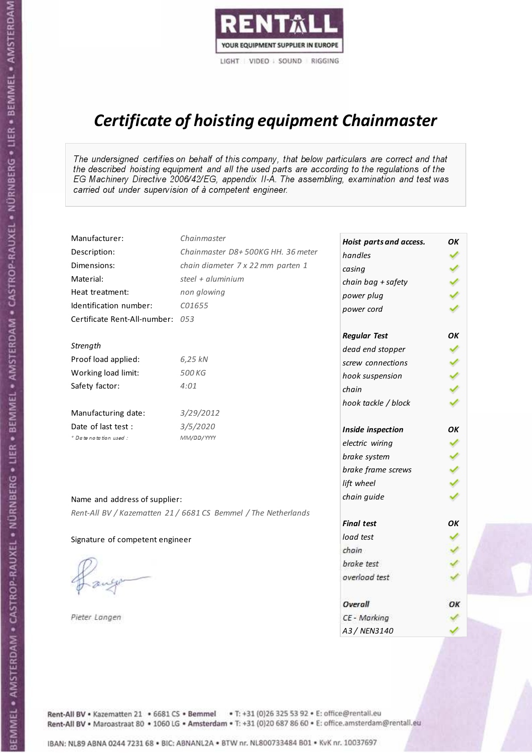

# Certificate of hoisting equipment Chainmaster

The undersigned certifies on behalf of this company, that below particulars are correct and that the described hoisting equipment and all the used parts are according to the regulations of the EG Machinery Directive 2006/42/EG, appendix II-A. The assembling, examination and test was carried out under supervision of à competent engineer.

| Manufacturer:                    | Chainmaster                                                    | Hoist parts and access. | OK |
|----------------------------------|----------------------------------------------------------------|-------------------------|----|
| Description:                     | Chainmaster D8+500KG HH. 36 meter                              | handles                 |    |
| Dimensions:                      | chain diameter 7 x 22 mm parten 1                              | casing                  |    |
| Material:                        | steel $+$ aluminium                                            | chain bag + safety      |    |
| Heat treatment:                  | non glowing                                                    | power plug              |    |
| Identification number:           | C01655                                                         | power cord              |    |
| Certificate Rent-All-number: 053 |                                                                |                         |    |
|                                  |                                                                | <b>Regular Test</b>     | OK |
| Strength                         |                                                                | dead end stopper        |    |
| Proof load applied:              | 6,25 kN                                                        | screw connections       |    |
| Working load limit:              | 500 KG                                                         | hook suspension         |    |
| Safety factor:                   | 4:01                                                           | chain                   |    |
|                                  |                                                                | hook tackle / block     |    |
| Manufacturing date:              | 3/29/2012                                                      |                         |    |
| Date of last test :              | 3/5/2020                                                       | Inside inspection       | ОΚ |
| * Date notation used :           | MM/DD/YYYY                                                     | electric wiring         | ✔  |
|                                  |                                                                | brake system            |    |
|                                  |                                                                | brake frame screws      |    |
|                                  |                                                                | lift wheel              |    |
| Name and address of supplier:    |                                                                | chain guide             |    |
|                                  | Rent-All BV / Kazematten 21 / 6681 CS Bemmel / The Netherlands |                         |    |
|                                  |                                                                | <b>Final test</b>       | OK |
| Signature of competent engineer  |                                                                | load test               |    |
|                                  |                                                                | chain                   |    |
|                                  |                                                                | brake test              |    |
|                                  |                                                                | overload test           |    |
|                                  |                                                                |                         |    |
|                                  |                                                                | Overall                 | ОΚ |
| Pieter Langen                    |                                                                | CE - Marking            |    |
|                                  |                                                                | A3 / NEN3140            |    |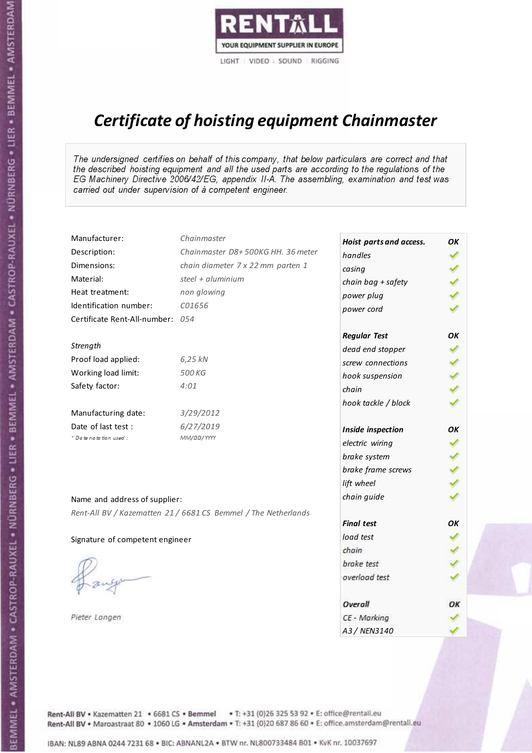

# Certificate of hoisting equipment Chainmaster

The undersigned certifies on behalf of this company, that below particulars are correct and that the described hoisting equipment and all the used parts are according to the regulations of the EG Machinery Directive 2006/42/EG, appendix II-A. The assembling, examination and test was carried out under supervision of à competent engineer.

| Manufacturer:                    | Chainmaster                                                    | Hoist parts and access. | OK  |
|----------------------------------|----------------------------------------------------------------|-------------------------|-----|
| Description:                     | Chainmaster D8+500KG HH. 36 meter                              | handles                 |     |
| Dimensions:                      | chain diameter 7 x 22 mm parten 1                              | casing                  |     |
| Material:                        | steel $+$ aluminium                                            | chain bag + safety      |     |
| Heat treatment:                  | non glowing                                                    | power plug              |     |
| Identification number:           | C01656                                                         | power cord              |     |
| Certificate Rent-All-number: 054 |                                                                |                         |     |
|                                  |                                                                | <b>Regular Test</b>     | OK  |
| Strength                         |                                                                | dead end stopper        |     |
| Proof load applied:              | 6,25 kN                                                        | screw connections       |     |
| Working load limit:              | 500 KG                                                         | hook suspension         |     |
| Safety factor:                   | 4:01                                                           | chain                   | くくく |
|                                  |                                                                | hook tackle / block     |     |
| Manufacturing date:              | 3/29/2012                                                      |                         |     |
| Date of last test :              | 6/27/2019                                                      | Inside inspection       | ОΚ  |
| + Date notation used :           | MM/DD/YYYY                                                     | electric wiring         | ✔   |
|                                  |                                                                | brake system            |     |
|                                  |                                                                | brake frame screws      |     |
|                                  |                                                                | lift wheel              | くくく |
| Name and address of supplier:    |                                                                | chain guide             |     |
|                                  | Rent-All BV / Kazematten 21 / 6681 CS Bemmel / The Netherlands |                         |     |
|                                  |                                                                | <b>Final test</b>       | OK  |
| Signature of competent engineer  |                                                                | load test               |     |
|                                  |                                                                | chain                   |     |
|                                  |                                                                | brake test              |     |
|                                  |                                                                | overload test           |     |
|                                  |                                                                | Overall                 | OK  |
| Pieter Langen                    |                                                                | CE - Marking            |     |
|                                  |                                                                | A3 / NEN3140            |     |

Rent-All BV . Kazematten 21 . 6681 CS . Bemmel . T: +31 (0)26 325 53 92 . E: office@rentall.eu Rent-All BV · Maroastraat 80 · 1060 LG · Amsterdam · T: +31 (0)20 687 86 60 · E: office.amsterdam@rentall.eu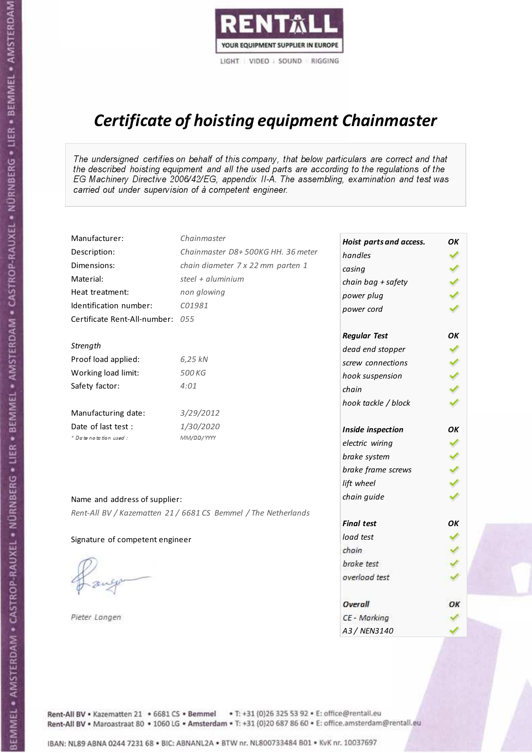

# Certificate of hoisting equipment Chainmaster

The undersigned certifies on behalf of this company, that below particulars are correct and that the described hoisting equipment and all the used parts are according to the regulations of the EG Machinery Directive 2006/42/EG, appendix II-A. The assembling, examination and test was carried out under supervision of à competent engineer.

| Manufacturer:                    | Chainmaster                                                    | Hoist parts and access. | OК  |
|----------------------------------|----------------------------------------------------------------|-------------------------|-----|
| Description:                     | Chainmaster D8+500KG HH. 36 meter                              | handles                 |     |
| Dimensions:                      | chain diameter 7 x 22 mm parten 1                              | casing                  |     |
| Material:                        | steel + $aluminium$                                            | chain bag + safety      |     |
| Heat treatment:                  | non glowing                                                    | power plug              |     |
| Identification number:           | C01981                                                         | power cord              |     |
| Certificate Rent-All-number: 055 |                                                                |                         |     |
|                                  |                                                                | <b>Regular Test</b>     | OK  |
| Strength                         |                                                                | dead end stopper        |     |
| Proof load applied:              | 6,25 kN                                                        | screw connections       |     |
| Working load limit:              | 500 KG                                                         | hook suspension         |     |
| Safety factor:                   | 4:01                                                           | chain                   | くくく |
|                                  |                                                                | hook tackle / block     |     |
| Manufacturing date:              | 3/29/2012                                                      |                         |     |
| Date of last test :              | 1/30/2020                                                      | Inside inspection       | OK  |
| + Date notation used:            | MM/DD/YYYY                                                     | electric wiring         |     |
|                                  |                                                                | brake system            |     |
|                                  |                                                                | brake frame screws      |     |
|                                  |                                                                | lift wheel              |     |
| Name and address of supplier:    |                                                                | chain guide             |     |
|                                  | Rent-All BV / Kazematten 21 / 6681 CS Bemmel / The Netherlands |                         |     |
|                                  |                                                                | <b>Final test</b>       | OK  |
| Signature of competent engineer  |                                                                | load test               |     |
|                                  |                                                                | chain                   |     |
|                                  |                                                                | brake test              |     |
|                                  |                                                                | overload test           |     |
|                                  |                                                                | Overall                 | ОК  |
| Pieter Langen                    |                                                                | CE - Marking            |     |
|                                  |                                                                | A3 / NEN3140            |     |

Rent-All BV . Kazematten 21 . 6681 CS . Bemmel . T: +31 (0)26 325 53 92 . E: office@rentall.eu Rent-All BV · Maroastraat 80 · 1060 LG · Amsterdam · T: +31 (0)20 687 86 60 · E: office.amsterdam@rentall.eu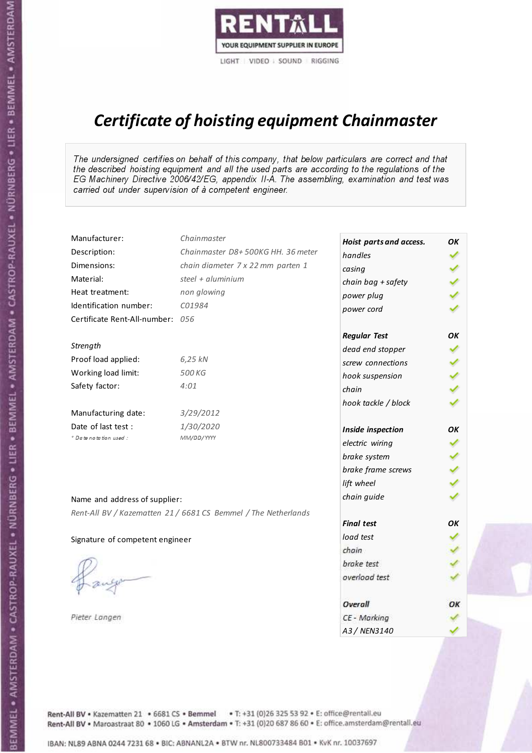

# Certificate of hoisting equipment Chainmaster

The undersigned certifies on behalf of this company, that below particulars are correct and that the described hoisting equipment and all the used parts are according to the regulations of the EG Machinery Directive 2006/42/EG, appendix II-A. The assembling, examination and test was carried out under supervision of à competent engineer.

| Manufacturer:                    | Chainmaster                                                    | Hoist parts and access. | OК  |
|----------------------------------|----------------------------------------------------------------|-------------------------|-----|
| Description:                     | Chainmaster D8+500KG HH. 36 meter                              | handles                 |     |
| Dimensions:                      | chain diameter 7 x 22 mm parten 1                              | casing                  |     |
| Material:                        | steel + aluminium                                              | chain bag + safety      |     |
| Heat treatment:                  | non glowing                                                    | power plug              |     |
| Identification number:           | C01984                                                         | power cord              |     |
| Certificate Rent-All-number: 056 |                                                                |                         |     |
|                                  |                                                                | <b>Regular Test</b>     | OK  |
| Strength                         |                                                                | dead end stopper        |     |
| Proof load applied:              | 6,25 kN                                                        | screw connections       |     |
| Working load limit:              | 500 KG                                                         | hook suspension         |     |
| Safety factor:                   | 4:01                                                           | chain                   | くくく |
|                                  |                                                                | hook tackle / block     |     |
| Manufacturing date:              | 3/29/2012                                                      |                         |     |
| Date of last test :              | 1/30/2020                                                      | Inside inspection       | OK  |
| * Date notation used :           | MM/DD/YYYY                                                     | electric wiring         |     |
|                                  |                                                                | brake system            |     |
|                                  |                                                                | brake frame screws      |     |
|                                  |                                                                | lift wheel              |     |
|                                  |                                                                | chain guide             |     |
| Name and address of supplier:    |                                                                |                         |     |
|                                  | Rent-All BV / Kazematten 21 / 6681 CS Bemmel / The Netherlands | <b>Final test</b>       | OK  |
| Signature of competent engineer  |                                                                | load test               |     |
|                                  |                                                                | chain                   |     |
|                                  |                                                                | brake test              |     |
|                                  |                                                                | overload test           |     |
|                                  |                                                                |                         |     |
|                                  |                                                                | Overall                 | ОК  |
| Pieter Langen                    |                                                                | CE - Marking            |     |
|                                  |                                                                | A3 / NEN3140            |     |

Rent-All BV . Kazematten 21 . 6681 CS . Bemmel . T: +31 (0)26 325 53 92 . E: office@rentall.eu Rent-All BV · Maroastraat 80 · 1060 LG · Amsterdam · T: +31 (0)20 687 86 60 · E: office.amsterdam@rentall.eu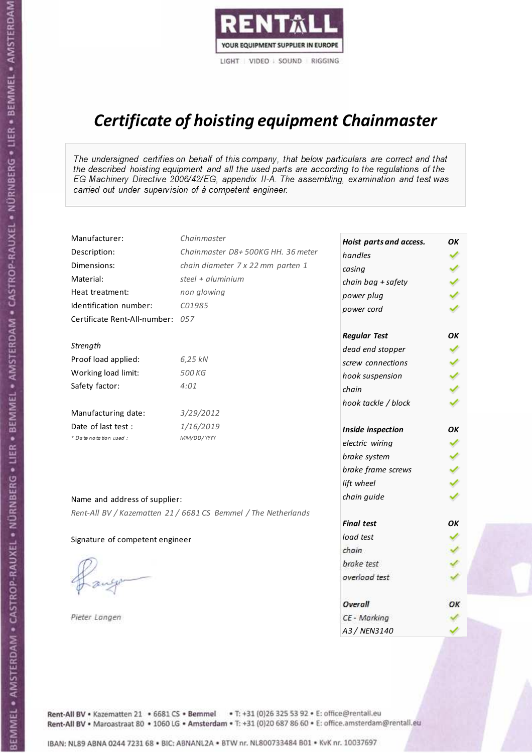

# Certificate of hoisting equipment Chainmaster

The undersigned certifies on behalf of this company, that below particulars are correct and that the described hoisting equipment and all the used parts are according to the regulations of the EG Machinery Directive 2006/42/EG, appendix II-A. The assembling, examination and test was carried out under supervision of à competent engineer.

| Manufacturer:                    | Chainmaster                                                    | Hoist parts and access. | OK  |
|----------------------------------|----------------------------------------------------------------|-------------------------|-----|
| Description:                     | Chainmaster D8+500KG HH. 36 meter                              | handles                 |     |
| Dimensions:                      | chain diameter 7 x 22 mm parten 1                              | casing                  |     |
| Material:                        | steel + aluminium                                              | chain bag + safety      |     |
| Heat treatment:                  | non glowing                                                    | power plug              |     |
| Identification number:           | C01985                                                         | power cord              |     |
| Certificate Rent-All-number: 057 |                                                                |                         |     |
|                                  |                                                                | <b>Regular Test</b>     | OK  |
| Strength                         |                                                                | dead end stopper        |     |
| Proof load applied:              | 6,25 kN                                                        | screw connections       |     |
| Working load limit:              | 500 KG                                                         | hook suspension         |     |
| Safety factor:                   | 4:01                                                           | chain                   | くくく |
|                                  |                                                                | hook tackle / block     |     |
| Manufacturing date:              | 3/29/2012                                                      |                         |     |
| Date of last test :              | 1/16/2019                                                      | Inside inspection       | OK  |
| * Date notation used :           | MM/DD/YYYY                                                     | electric wiring         |     |
|                                  |                                                                | brake system            |     |
|                                  |                                                                | brake frame screws      |     |
|                                  |                                                                | lift wheel              |     |
| Name and address of supplier:    |                                                                | chain guide             |     |
|                                  | Rent-All BV / Kazematten 21 / 6681 CS Bemmel / The Netherlands |                         |     |
|                                  |                                                                | <b>Final test</b>       | OK  |
| Signature of competent engineer  |                                                                | load test               |     |
|                                  |                                                                | chain                   |     |
|                                  |                                                                | brake test              |     |
|                                  |                                                                | overload test           |     |
|                                  |                                                                |                         |     |
|                                  |                                                                | <b>Overall</b>          | ОК  |
| Pieter Langen                    |                                                                | CE - Marking            |     |
|                                  |                                                                | A3 / NEN3140            |     |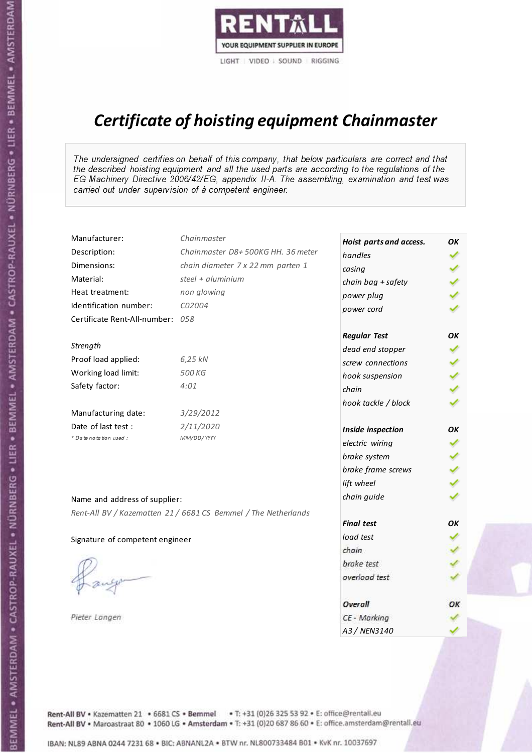

# Certificate of hoisting equipment Chainmaster

The undersigned certifies on behalf of this company, that below particulars are correct and that the described hoisting equipment and all the used parts are according to the regulations of the EG Machinery Directive 2006/42/EG, appendix II-A. The assembling, examination and test was carried out under supervision of à competent engineer.

| Manufacturer:                    | Chainmaster                                                    | Hoist parts and access. | OK  |
|----------------------------------|----------------------------------------------------------------|-------------------------|-----|
| Description:                     | Chainmaster D8+500KG HH. 36 meter                              | handles                 |     |
| Dimensions:                      | chain diameter 7 x 22 mm parten 1                              | casing                  |     |
| Material:                        | steel + aluminium                                              | chain bag + safety      |     |
| Heat treatment:                  | non glowing                                                    | power plug              |     |
| Identification number:           | C02004                                                         | power cord              |     |
| Certificate Rent-All-number: 058 |                                                                |                         |     |
|                                  |                                                                | <b>Regular Test</b>     | OK  |
| Strength                         |                                                                | dead end stopper        | ✔   |
| Proof load applied:              | 6,25 kN                                                        | screw connections       |     |
| Working load limit:              | 500 KG                                                         | hook suspension         |     |
| Safety factor:                   | 4:01                                                           | chain                   | くくく |
|                                  |                                                                | hook tackle / block     |     |
| Manufacturing date:              | 3/29/2012                                                      |                         |     |
| Date of last test :              | 2/11/2020                                                      | Inside inspection       | ОΚ  |
| * Date notation used :           | MM/DD/YYYY                                                     | electric wiring         | ✓   |
|                                  |                                                                | brake system            | ✔   |
|                                  |                                                                | brake frame screws      |     |
|                                  |                                                                | lift wheel              |     |
| Name and address of supplier:    |                                                                | chain guide             |     |
|                                  | Rent-All BV / Kazematten 21 / 6681 CS Bemmel / The Netherlands |                         |     |
|                                  |                                                                | <b>Final test</b>       | OK  |
| Signature of competent engineer  |                                                                | load test               |     |
|                                  |                                                                | chain                   |     |
|                                  |                                                                | brake test              |     |
|                                  |                                                                | overload test           |     |
|                                  |                                                                | Overall                 | ОК  |
| Pieter Langen                    |                                                                | CE - Marking            |     |
|                                  |                                                                | A3 / NEN3140            |     |

Rent-All BV . Kazematten 21 . 6681 CS . Bemmel . T: +31 (0)26 325 53 92 . E: office@rentall.eu Rent-All BV · Maroastraat 80 · 1060 LG · Amsterdam · T: +31 (0)20 687 86 60 · E: office.amsterdam@rentall.eu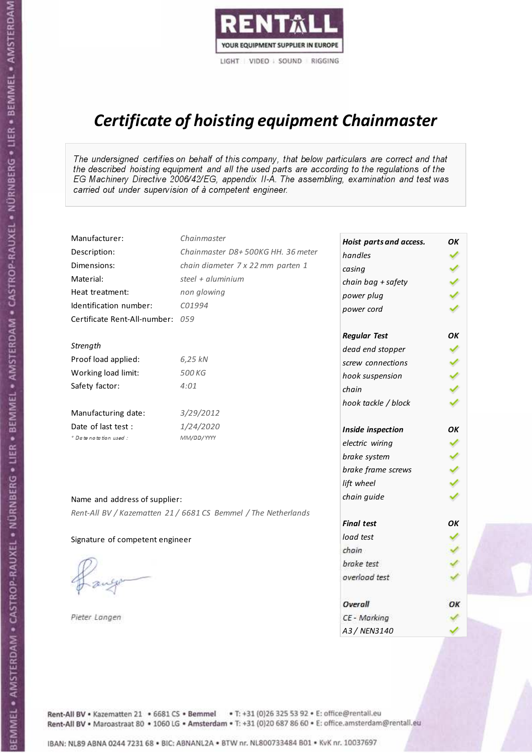

# Certificate of hoisting equipment Chainmaster

The undersigned certifies on behalf of this company, that below particulars are correct and that the described hoisting equipment and all the used parts are according to the regulations of the EG Machinery Directive 2006/42/EG, appendix II-A. The assembling, examination and test was carried out under supervision of à competent engineer.

| Manufacturer:                    | Chainmaster                                                    | Hoist parts and access. | OK  |
|----------------------------------|----------------------------------------------------------------|-------------------------|-----|
| Description:                     | Chainmaster D8+500KG HH. 36 meter                              | handles                 |     |
| Dimensions:                      | chain diameter 7 x 22 mm parten 1                              | casing                  |     |
| Material:                        | steel + aluminium                                              | chain bag + safety      |     |
| Heat treatment:                  | non glowing                                                    | power plug              |     |
| Identification number:           | C01994                                                         | power cord              |     |
| Certificate Rent-All-number: 059 |                                                                |                         |     |
|                                  |                                                                | <b>Regular Test</b>     | ОΚ  |
| Strength                         |                                                                | dead end stopper        | ✔   |
| Proof load applied:              | 6,25 kN                                                        | screw connections       |     |
| Working load limit:              | 500 KG                                                         | hook suspension         |     |
| Safety factor:                   | 4:01                                                           | chain                   | くくく |
|                                  |                                                                | hook tackle / block     |     |
| Manufacturing date:              | 3/29/2012                                                      |                         |     |
| Date of last test :              | 1/24/2020                                                      | Inside inspection       | ОΚ  |
| * Date notation used :           | MM/DD/YYYY                                                     | electric wiring         | ✔   |
|                                  |                                                                | brake system            |     |
|                                  |                                                                | brake frame screws      |     |
|                                  |                                                                | lift wheel              | くくく |
| Name and address of supplier:    |                                                                | chain guide             |     |
|                                  | Rent-All BV / Kazematten 21 / 6681 CS Bemmel / The Netherlands |                         |     |
|                                  |                                                                | <b>Final test</b>       | OK  |
| Signature of competent engineer  |                                                                | load test               |     |
|                                  |                                                                | chain                   |     |
|                                  |                                                                | brake test              |     |
|                                  |                                                                | overload test           |     |
|                                  |                                                                | Overall                 | ОК  |
| Pieter Langen                    |                                                                | CE - Marking            |     |
|                                  |                                                                | A3 / NEN3140            |     |

Rent-All BV . Kazematten 21 . 6681 CS . Bemmel . T: +31 (0)26 325 53 92 . E: office@rentall.eu Rent-All BV · Maroastraat 80 · 1060 LG · Amsterdam · T: +31 (0)20 687 86 60 · E: office.amsterdam@rentall.eu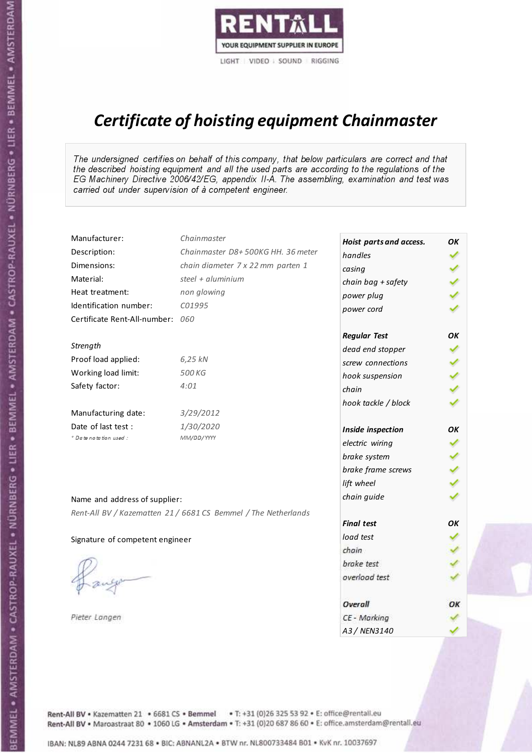

# Certificate of hoisting equipment Chainmaster

The undersigned certifies on behalf of this company, that below particulars are correct and that the described hoisting equipment and all the used parts are according to the regulations of the EG Machinery Directive 2006/42/EG, appendix II-A. The assembling, examination and test was carried out under supervision of à competent engineer.

| Manufacturer:                    | Chainmaster                                                    | Hoist parts and access. | OK  |
|----------------------------------|----------------------------------------------------------------|-------------------------|-----|
| Description:                     | Chainmaster D8+500KG HH. 36 meter                              | handles                 |     |
| Dimensions:                      | chain diameter 7 x 22 mm parten 1                              | casing                  |     |
| Material:                        | steel $+$ aluminium                                            | chain bag + safety      |     |
| Heat treatment:                  | non glowing                                                    | power plug              |     |
| Identification number:           | C01995                                                         | power cord              |     |
| Certificate Rent-All-number: 060 |                                                                |                         |     |
|                                  |                                                                | <b>Regular Test</b>     | ОΚ  |
| Strength                         |                                                                | dead end stopper        | ✔   |
| Proof load applied:              | 6,25 kN                                                        | screw connections       |     |
| Working load limit:              | 500 KG                                                         | hook suspension         |     |
| Safety factor:                   | 4:01                                                           | chain                   | くくく |
|                                  |                                                                | hook tackle / block     |     |
| Manufacturing date:              | 3/29/2012                                                      |                         |     |
| Date of last test :              | 1/30/2020                                                      | Inside inspection       | ОΚ  |
| * Date notation used :           | MM/DD/YYYY                                                     | electric wiring         |     |
|                                  |                                                                | brake system            | ✔   |
|                                  |                                                                | brake frame screws      |     |
|                                  |                                                                | lift wheel              |     |
| Name and address of supplier:    |                                                                | chain guide             |     |
|                                  | Rent-All BV / Kazematten 21 / 6681 CS Bemmel / The Netherlands |                         |     |
|                                  |                                                                | <b>Final test</b>       | OK  |
| Signature of competent engineer  |                                                                | load test               |     |
|                                  |                                                                | chain                   |     |
|                                  |                                                                | brake test              |     |
|                                  |                                                                | overload test           |     |
|                                  |                                                                | Overall                 | ОК  |
| Pieter Langen                    |                                                                | CE - Marking            |     |
|                                  |                                                                | A3 / NEN3140            |     |

Rent-All BV . Kazematten 21 . 6681 CS . Bemmel . T: +31 (0)26 325 53 92 . E: office@rentall.eu Rent-All BV · Maroastraat 80 · 1060 LG · Amsterdam · T: +31 (0)20 687 86 60 · E: office.amsterdam@rentall.eu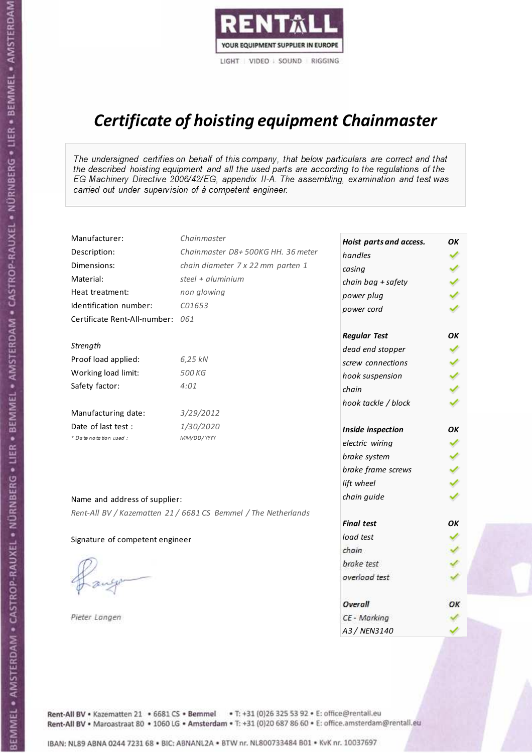

# Certificate of hoisting equipment Chainmaster

The undersigned certifies on behalf of this company, that below particulars are correct and that the described hoisting equipment and all the used parts are according to the regulations of the EG Machinery Directive 2006/42/EG, appendix II-A. The assembling, examination and test was carried out under supervision of à competent engineer.

| Manufacturer:                    | Chainmaster                                                    | Hoist parts and access. | OK  |
|----------------------------------|----------------------------------------------------------------|-------------------------|-----|
| Description:                     | Chainmaster D8+500KG HH. 36 meter                              | handles                 |     |
| Dimensions:                      | chain diameter 7 x 22 mm parten 1                              | casing                  |     |
| Material:                        | steel + aluminium                                              | chain bag + safety      |     |
| Heat treatment:                  | non glowing                                                    | power plug              |     |
| Identification number:           | C01653                                                         | power cord              |     |
| Certificate Rent-All-number: 061 |                                                                |                         |     |
|                                  |                                                                | <b>Regular Test</b>     | OK  |
| Strength                         |                                                                | dead end stopper        | ✔   |
| Proof load applied:              | 6,25 kN                                                        | screw connections       |     |
| Working load limit:              | 500 KG                                                         | hook suspension         |     |
| Safety factor:                   | 4:01                                                           | chain                   | くくく |
|                                  |                                                                | hook tackle / block     |     |
| Manufacturing date:              | 3/29/2012                                                      |                         |     |
| Date of last test :              | 1/30/2020                                                      | Inside inspection       | ОΚ  |
| * Date notation used :           | MM/DD/YYYY                                                     | electric wiring         | ✓   |
|                                  |                                                                | brake system            | ✔   |
|                                  |                                                                | brake frame screws      |     |
|                                  |                                                                | lift wheel              |     |
| Name and address of supplier:    |                                                                | chain guide             |     |
|                                  | Rent-All BV / Kazematten 21 / 6681 CS Bemmel / The Netherlands |                         |     |
|                                  |                                                                | <b>Final test</b>       | OK  |
| Signature of competent engineer  |                                                                | load test               |     |
|                                  |                                                                | chain                   |     |
|                                  |                                                                | brake test              |     |
|                                  |                                                                | overload test           |     |
|                                  |                                                                | Overall                 | ОК  |
| Pieter Langen                    |                                                                | CE - Marking            |     |
|                                  |                                                                | A3 / NEN3140            |     |

Rent-All BV . Kazematten 21 . 6681 CS . Bemmel . T: +31 (0)26 325 53 92 . E: office@rentall.eu Rent-All BV · Maroastraat 80 · 1060 LG · Amsterdam · T: +31 (0)20 687 86 60 · E: office.amsterdam@rentall.eu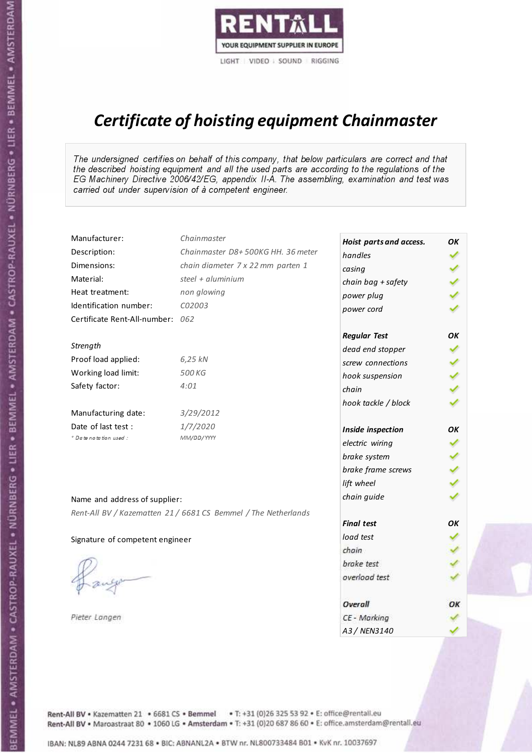

# Certificate of hoisting equipment Chainmaster

The undersigned certifies on behalf of this company, that below particulars are correct and that the described hoisting equipment and all the used parts are according to the regulations of the EG Machinery Directive 2006/42/EG, appendix II-A. The assembling, examination and test was carried out under supervision of à competent engineer.

| Manufacturer:                    | Chainmaster                                                    | Hoist parts and access. | OK  |
|----------------------------------|----------------------------------------------------------------|-------------------------|-----|
| Description:                     | Chainmaster D8+500KG HH. 36 meter                              | handles                 |     |
| Dimensions:                      | chain diameter 7 x 22 mm parten 1                              | casing                  |     |
| Material:                        | steel + aluminium                                              | chain bag + safety      |     |
| Heat treatment:                  | non glowing                                                    | power plug              |     |
| Identification number:           | C02003                                                         | power cord              |     |
| Certificate Rent-All-number: 062 |                                                                |                         |     |
|                                  |                                                                | <b>Regular Test</b>     | OK  |
| Strength                         |                                                                | dead end stopper        | ✔   |
| Proof load applied:              | 6,25 kN                                                        | screw connections       |     |
| Working load limit:              | 500 KG                                                         | hook suspension         |     |
| Safety factor:                   | 4:01                                                           | chain                   | くくく |
|                                  |                                                                | hook tackle / block     |     |
| Manufacturing date:              | 3/29/2012                                                      |                         |     |
| Date of last test :              | 1/7/2020                                                       | Inside inspection       | ОΚ  |
| * Date notation used :           | MM/DD/YYYY                                                     | electric wiring         | ✓   |
|                                  |                                                                | brake system            | ✔   |
|                                  |                                                                | brake frame screws      |     |
|                                  |                                                                | lift wheel              |     |
| Name and address of supplier:    |                                                                | chain guide             |     |
|                                  | Rent-All BV / Kazematten 21 / 6681 CS Bemmel / The Netherlands |                         |     |
|                                  |                                                                | <b>Final test</b>       | OK  |
| Signature of competent engineer  |                                                                | load test               |     |
|                                  |                                                                | chain                   |     |
|                                  |                                                                | brake test              |     |
|                                  |                                                                | overload test           |     |
|                                  |                                                                | Overall                 | ОК  |
| Pieter Langen                    |                                                                | CE - Marking            |     |
|                                  |                                                                | A3 / NEN3140            |     |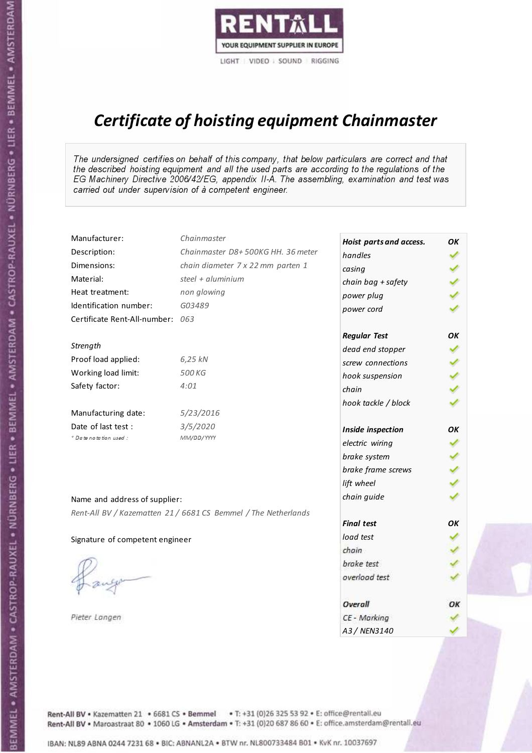

# Certificate of hoisting equipment Chainmaster

The undersigned certifies on behalf of this company, that below particulars are correct and that the described hoisting equipment and all the used parts are according to the regulations of the EG Machinery Directive 2006/42/EG, appendix II-A. The assembling, examination and test was carried out under supervision of à competent engineer.

| Manufacturer:                    | Chainmaster                                                    | Hoist parts and access. | OК  |
|----------------------------------|----------------------------------------------------------------|-------------------------|-----|
| Description:                     | Chainmaster D8+500KG HH. 36 meter                              | handles                 |     |
| Dimensions:                      | chain diameter 7 x 22 mm parten 1                              | casing                  |     |
| Material:                        | steel + aluminium                                              | chain bag + safety      |     |
| Heat treatment:                  | non glowing                                                    | power plug              |     |
| Identification number:           | G03489                                                         | power cord              |     |
| Certificate Rent-All-number: 063 |                                                                |                         |     |
|                                  |                                                                | <b>Regular Test</b>     | OK  |
| Strength                         |                                                                | dead end stopper        |     |
| Proof load applied:              | 6,25 kN                                                        | screw connections       |     |
| Working load limit:              | 500 KG                                                         | hook suspension         |     |
| Safety factor:                   | 4:01                                                           | chain                   | くくく |
|                                  |                                                                | hook tackle / block     |     |
| Manufacturing date:              | 5/23/2016                                                      |                         |     |
| Date of last test :              | 3/5/2020                                                       | Inside inspection       | OK  |
| * Date notation used :           | MM/DD/YYYY                                                     | electric wiring         |     |
|                                  |                                                                | brake system            |     |
|                                  |                                                                | brake frame screws      |     |
|                                  |                                                                | lift wheel              |     |
| Name and address of supplier:    |                                                                | chain guide             |     |
|                                  | Rent-All BV / Kazematten 21 / 6681 CS Bemmel / The Netherlands |                         |     |
|                                  |                                                                | <b>Final test</b>       | OK  |
| Signature of competent engineer  |                                                                | load test               |     |
|                                  |                                                                | chain                   |     |
|                                  |                                                                | brake test              |     |
|                                  |                                                                | overload test           |     |
|                                  |                                                                |                         |     |
|                                  |                                                                | Overall                 | ОК  |
| Pieter Langen                    |                                                                | CE - Marking            |     |
|                                  |                                                                | A3 / NEN3140            |     |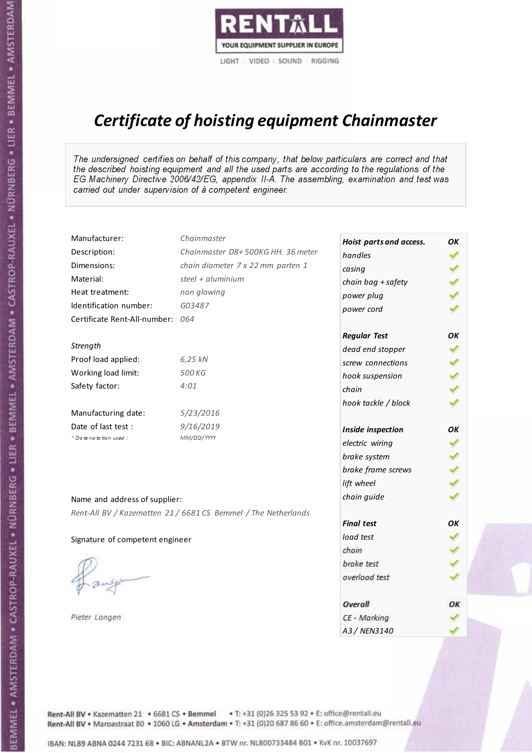

# Certificate of hoisting equipment Chainmaster

The undersigned certifies on behalf of this company, that below particulars are correct and that the described hoisting equipment and all the used parts are according to the regulations of the EG Machinery Directive 2006/42/EG, appendix II-A. The assembling, examination and test was carried out under supervision of à competent engineer.

| Manufacturer:                    | Chainmaster                                                    | Hoist parts and access. | OK  |
|----------------------------------|----------------------------------------------------------------|-------------------------|-----|
| Description:                     | Chainmaster D8+500KG HH. 36 meter                              | handles                 |     |
| Dimensions:                      | chain diameter 7 x 22 mm parten 1                              | casing                  |     |
| Material:                        | steel + aluminium                                              | chain bag + safety      |     |
| Heat treatment:                  | non glowing                                                    | power plug              |     |
| Identification number:           | G03487                                                         | power cord              |     |
| Certificate Rent-All-number: 064 |                                                                |                         |     |
|                                  |                                                                | <b>Regular Test</b>     | OK  |
| Strength                         |                                                                | dead end stopper        | ✔   |
| Proof load applied:              | 6,25 kN                                                        | screw connections       |     |
| Working load limit:              | 500 KG                                                         | hook suspension         |     |
| Safety factor:                   | 4:01                                                           | chain                   | くくく |
|                                  |                                                                | hook tackle / block     |     |
| Manufacturing date:              | 5/23/2016                                                      |                         |     |
| Date of last test :              | 9/16/2019                                                      | Inside inspection       | ОΚ  |
| * Date notation used :           | MM/DD/YYYY                                                     | electric wiring         | ✔   |
|                                  |                                                                | brake system            |     |
|                                  |                                                                | brake frame screws      |     |
|                                  |                                                                | lift wheel              |     |
| Name and address of supplier:    |                                                                | chain guide             |     |
|                                  | Rent-All BV / Kazematten 21 / 6681 CS Bemmel / The Netherlands |                         |     |
|                                  |                                                                | <b>Final test</b>       | OK  |
| Signature of competent engineer  |                                                                | load test               |     |
|                                  |                                                                | chain                   |     |
|                                  |                                                                | brake test              |     |
|                                  |                                                                | overload test           |     |
|                                  |                                                                | Overall                 | ОК  |
| Pieter Langen                    |                                                                | CE - Marking            |     |
|                                  |                                                                | A3 / NEN3140            |     |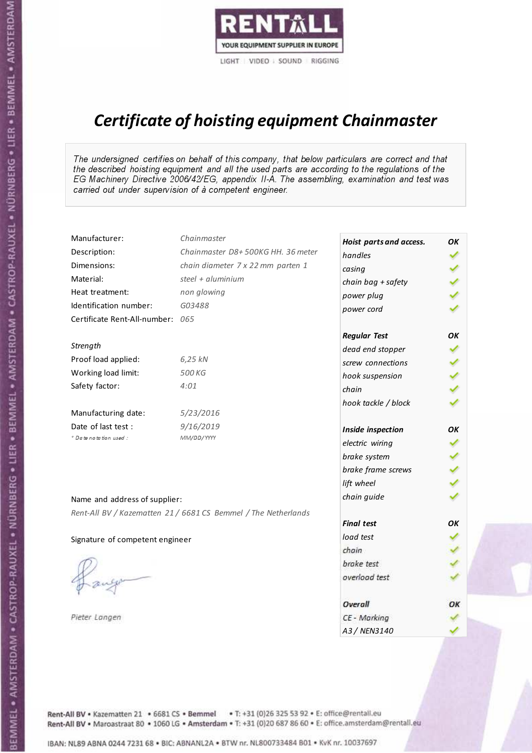

# Certificate of hoisting equipment Chainmaster

The undersigned certifies on behalf of this company, that below particulars are correct and that the described hoisting equipment and all the used parts are according to the regulations of the EG Machinery Directive 2006/42/EG, appendix II-A. The assembling, examination and test was carried out under supervision of à competent engineer.

| Manufacturer:                    | Chainmaster                                                    | Hoist parts and access. | OK  |
|----------------------------------|----------------------------------------------------------------|-------------------------|-----|
| Description:                     | Chainmaster D8+500KG HH. 36 meter                              | handles                 |     |
| Dimensions:                      | chain diameter 7 x 22 mm parten 1                              | casing                  |     |
| Material:                        | steel + aluminium                                              | chain bag + safety      |     |
| Heat treatment:                  | non glowing                                                    | power plug              |     |
| Identification number:           | G03488                                                         | power cord              |     |
| Certificate Rent-All-number: 065 |                                                                |                         |     |
|                                  |                                                                | <b>Regular Test</b>     | OK  |
| Strength                         |                                                                | dead end stopper        | ✔   |
| Proof load applied:              | 6,25 kN                                                        | screw connections       |     |
| Working load limit:              | 500 KG                                                         | hook suspension         |     |
| Safety factor:                   | 4:01                                                           | chain                   | くくく |
|                                  |                                                                | hook tackle / block     |     |
| Manufacturing date:              | 5/23/2016                                                      |                         |     |
| Date of last test :              | 9/16/2019                                                      | Inside inspection       | ОΚ  |
| * Date notation used :           | MM/DD/YYYY                                                     | electric wiring         | ✓   |
|                                  |                                                                | brake system            | ✔   |
|                                  |                                                                | brake frame screws      |     |
|                                  |                                                                | lift wheel              |     |
| Name and address of supplier:    |                                                                | chain guide             |     |
|                                  | Rent-All BV / Kazematten 21 / 6681 CS Bemmel / The Netherlands |                         |     |
|                                  |                                                                | <b>Final test</b>       | OK  |
| Signature of competent engineer  |                                                                | load test               |     |
|                                  |                                                                | chain                   |     |
|                                  |                                                                | brake test              |     |
|                                  |                                                                | overload test           |     |
|                                  |                                                                | Overall                 | ОК  |
| Pieter Langen                    |                                                                | CE - Marking            |     |
|                                  |                                                                | A3 / NEN3140            |     |

Rent-All BV . Kazematten 21 . 6681 CS . Bemmel . T: +31 (0)26 325 53 92 . E: office@rentall.eu Rent-All BV · Maroastraat 80 · 1060 LG · Amsterdam · T: +31 (0)20 687 86 60 · E: office.amsterdam@rentall.eu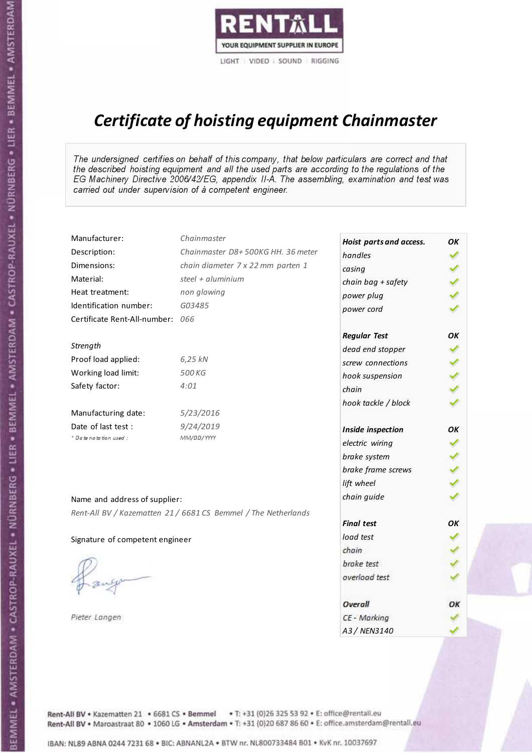

# Certificate of hoisting equipment Chainmaster

The undersigned certifies on behalf of this company, that below particulars are correct and that the described hoisting equipment and all the used parts are according to the regulations of the EG Machinery Directive 2006/42/EG, appendix II-A. The assembling, examination and test was carried out under supervision of à competent engineer.

| Manufacturer:                    | Chainmaster                                                    | Hoist parts and access. | OK           |
|----------------------------------|----------------------------------------------------------------|-------------------------|--------------|
| Description:                     | Chainmaster D8+500KG HH. 36 meter                              | handles                 |              |
| Dimensions:                      | chain diameter 7 x 22 mm parten 1                              | casing                  |              |
| Material:                        | steel $+$ aluminium                                            | chain bag + safety      |              |
| Heat treatment:                  | non glowing                                                    | power plug              |              |
| Identification number:           | G03485                                                         | power cord              |              |
| Certificate Rent-All-number: 066 |                                                                |                         |              |
|                                  |                                                                | <b>Regular Test</b>     | ОΚ           |
| Strength                         |                                                                | dead end stopper        | ✔            |
| Proof load applied:              | 6,25 kN                                                        | screw connections       |              |
| Working load limit:              | 500 KG                                                         | hook suspension         |              |
| Safety factor:                   | 4:01                                                           | chain                   | くくく          |
|                                  |                                                                | hook tackle / block     |              |
| Manufacturing date:              | 5/23/2016                                                      |                         |              |
| Date of last test :              | 9/24/2019                                                      | Inside inspection       | ОΚ           |
| * Date notation used :           | MM/DD/YYYY                                                     | electric wiring         | ✓            |
|                                  |                                                                | brake system            | $\checkmark$ |
|                                  |                                                                | brake frame screws      |              |
|                                  |                                                                | lift wheel              |              |
| Name and address of supplier:    |                                                                | chain guide             |              |
|                                  | Rent-All BV / Kazematten 21 / 6681 CS Bemmel / The Netherlands |                         |              |
|                                  |                                                                | <b>Final test</b>       | OK           |
| Signature of competent engineer  |                                                                | load test               |              |
|                                  |                                                                | chain                   |              |
|                                  |                                                                | brake test              |              |
|                                  |                                                                | overload test           |              |
|                                  |                                                                | Overall                 | ОК           |
| Pieter Langen                    |                                                                | CE - Marking            |              |
|                                  |                                                                | A3 / NEN3140            |              |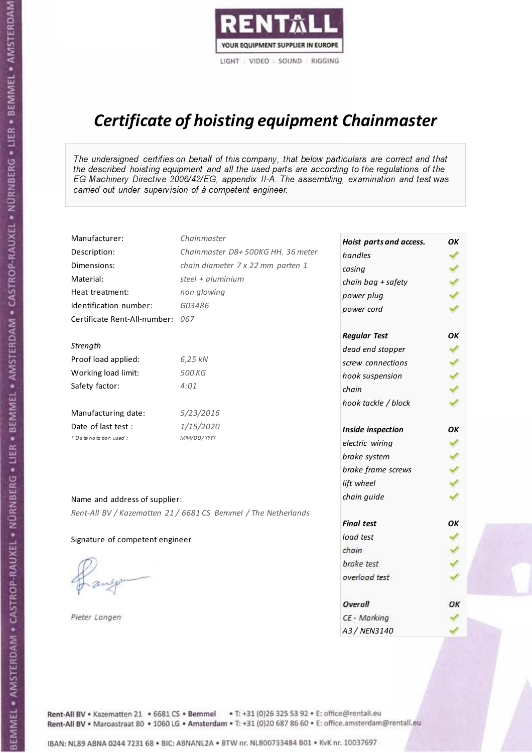

# Certificate of hoisting equipment Chainmaster

The undersigned certifies on behalf of this company, that below particulars are correct and that the described hoisting equipment and all the used parts are according to the regulations of the EG Machinery Directive 2006/42/EG, appendix II-A. The assembling, examination and test was carried out under supervision of à competent engineer.

| Manufacturer:                    | Chainmaster                                                    | Hoist parts and access. | OK  |
|----------------------------------|----------------------------------------------------------------|-------------------------|-----|
| Description:                     | Chainmaster D8+500KG HH. 36 meter                              | handles                 |     |
| Dimensions:                      | chain diameter 7 x 22 mm parten 1                              | casing                  |     |
| Material:                        | steel $+$ aluminium                                            | chain bag + safety      |     |
| Heat treatment:                  | non glowing                                                    | power plug              |     |
| Identification number:           | G03486                                                         | power cord              |     |
| Certificate Rent-All-number: 067 |                                                                |                         |     |
|                                  |                                                                | <b>Regular Test</b>     | ОΚ  |
| Strength                         |                                                                | dead end stopper        | ✔   |
| Proof load applied:              | 6,25 kN                                                        | screw connections       |     |
| Working load limit:              | 500 KG                                                         | hook suspension         |     |
| Safety factor:                   | 4:01                                                           | chain                   | くくく |
|                                  |                                                                | hook tackle / block     |     |
| Manufacturing date:              | 5/23/2016                                                      |                         |     |
| Date of last test :              | 1/15/2020                                                      | Inside inspection       | ОΚ  |
| * Date notation used :           | MM/DD/YYYY                                                     | electric wiring         | ✓   |
|                                  |                                                                | brake system            | ✔   |
|                                  |                                                                | brake frame screws      |     |
|                                  |                                                                | lift wheel              |     |
| Name and address of supplier:    |                                                                | chain guide             |     |
|                                  | Rent-All BV / Kazematten 21 / 6681 CS Bemmel / The Netherlands |                         |     |
|                                  |                                                                | <b>Final test</b>       | OK  |
| Signature of competent engineer  |                                                                | load test               |     |
|                                  |                                                                | chain                   |     |
|                                  |                                                                | brake test              |     |
|                                  |                                                                | overload test           |     |
|                                  |                                                                | Overall                 | ОК  |
| Pieter Langen                    |                                                                | CE - Marking            |     |
|                                  |                                                                | A3 / NEN3140            |     |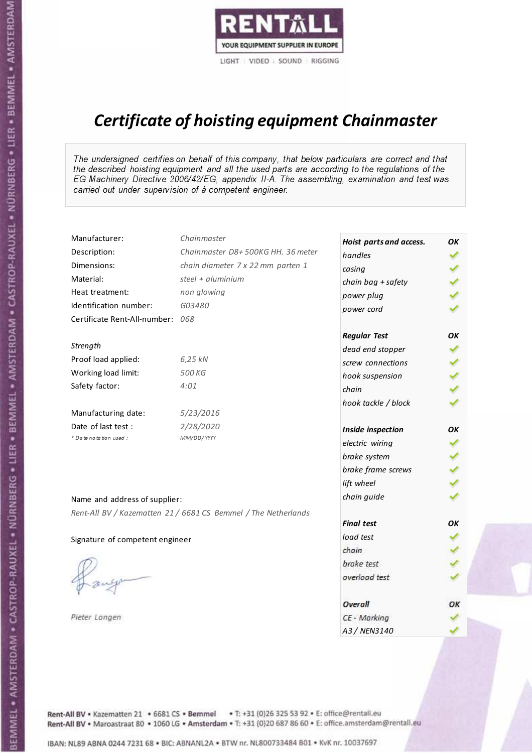

# Certificate of hoisting equipment Chainmaster

The undersigned certifies on behalf of this company, that below particulars are correct and that the described hoisting equipment and all the used parts are according to the regulations of the EG Machinery Directive 2006/42/EG, appendix II-A. The assembling, examination and test was carried out under supervision of à competent engineer.

| Manufacturer:                    | Chainmaster                                                    | Hoist parts and access. | OK           |
|----------------------------------|----------------------------------------------------------------|-------------------------|--------------|
| Description:                     | Chainmaster D8+500KG HH. 36 meter                              | handles                 |              |
| Dimensions:                      | chain diameter 7 x 22 mm parten 1                              | casing                  |              |
| Material:                        | steel $+$ aluminium                                            | chain bag + safety      |              |
| Heat treatment:                  | non glowing                                                    | power plug              |              |
| Identification number:           | G03480                                                         | power cord              |              |
| Certificate Rent-All-number: 068 |                                                                |                         |              |
|                                  |                                                                | <b>Regular Test</b>     | ОΚ           |
| Strength                         |                                                                | dead end stopper        | ✔            |
| Proof load applied:              | 6,25 kN                                                        | screw connections       |              |
| Working load limit:              | 500 KG                                                         | hook suspension         |              |
| Safety factor:                   | 4:01                                                           | chain                   | くくく          |
|                                  |                                                                | hook tackle / block     |              |
| Manufacturing date:              | 5/23/2016                                                      |                         |              |
| Date of last test :              | 2/28/2020                                                      | Inside inspection       | ОΚ           |
| * Date notation used :           | MM/DD/YYYY                                                     | electric wiring         |              |
|                                  |                                                                | brake system            | $\checkmark$ |
|                                  |                                                                | brake frame screws      |              |
|                                  |                                                                | lift wheel              |              |
| Name and address of supplier:    |                                                                | chain guide             |              |
|                                  | Rent-All BV / Kazematten 21 / 6681 CS Bemmel / The Netherlands |                         |              |
|                                  |                                                                | <b>Final test</b>       | OK           |
| Signature of competent engineer  |                                                                | load test               |              |
|                                  |                                                                | chain                   |              |
|                                  |                                                                | brake test              |              |
|                                  |                                                                | overload test           |              |
|                                  |                                                                | Overall                 | ОК           |
| Pieter Langen                    |                                                                | CE - Marking            |              |
|                                  |                                                                | A3 / NEN3140            |              |

Rent-All BV . Kazematten 21 . 6681 CS . Bemmel . T: +31 (0)26 325 53 92 . E: office@rentall.eu Rent-All BV · Maroastraat 80 · 1060 LG · Amsterdam · T: +31 (0)20 687 86 60 · E: office.amsterdam@rentall.eu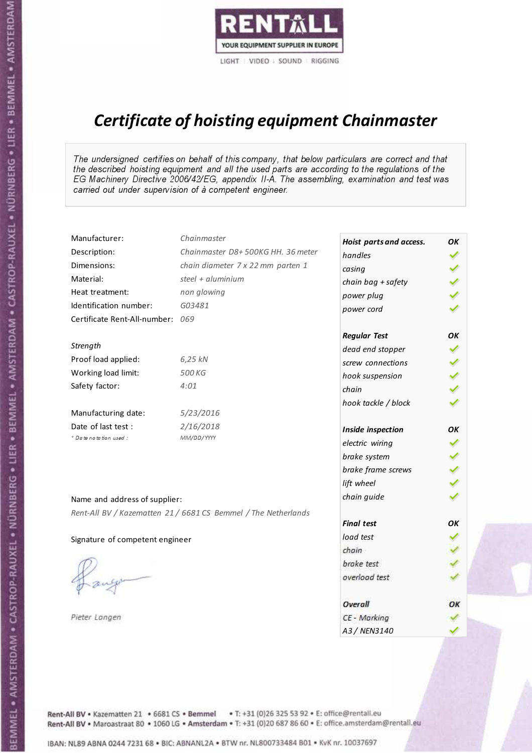

# Certificate of hoisting equipment Chainmaster

The undersigned certifies on behalf of this company, that below particulars are correct and that the described hoisting equipment and all the used parts are according to the regulations of the EG Machinery Directive 2006/42/EG, appendix II-A. The assembling, examination and test was carried out under supervision of à competent engineer.

| Manufacturer:                    | Chainmaster                                                    | Hoist parts and access. | OK  |
|----------------------------------|----------------------------------------------------------------|-------------------------|-----|
| Description:                     | Chainmaster D8+500KG HH. 36 meter                              | handles                 |     |
| Dimensions:                      | chain diameter 7 x 22 mm parten 1                              | casing                  |     |
| Material:                        | steel + aluminium                                              | chain bag + safety      |     |
| Heat treatment:                  | non glowing                                                    | power plug              |     |
| Identification number:           | G03481                                                         | power cord              |     |
| Certificate Rent-All-number: 069 |                                                                |                         |     |
|                                  |                                                                | <b>Regular Test</b>     | OK  |
| Strength                         |                                                                | dead end stopper        | ✔   |
| Proof load applied:              | 6,25 kN                                                        | screw connections       |     |
| Working load limit:              | 500 KG                                                         | hook suspension         |     |
| Safety factor:                   | 4:01                                                           | chain                   | くくく |
|                                  |                                                                | hook tackle / block     |     |
| Manufacturing date:              | 5/23/2016                                                      |                         |     |
| Date of last test :              | 2/16/2018                                                      | Inside inspection       | ОΚ  |
| * Date notation used :           | MM/DD/YYYY                                                     | electric wiring         | ✓   |
|                                  |                                                                | brake system            | ✔   |
|                                  |                                                                | brake frame screws      |     |
|                                  |                                                                | lift wheel              |     |
| Name and address of supplier:    |                                                                | chain guide             |     |
|                                  | Rent-All BV / Kazematten 21 / 6681 CS Bemmel / The Netherlands |                         |     |
|                                  |                                                                | <b>Final test</b>       | OK  |
| Signature of competent engineer  |                                                                | load test               |     |
|                                  |                                                                | chain                   |     |
|                                  |                                                                | brake test              |     |
|                                  |                                                                | overload test           |     |
|                                  |                                                                | Overall                 | ОК  |
| Pieter Langen                    |                                                                | CE - Marking            |     |
|                                  |                                                                | A3 / NEN3140            |     |

Rent-All BV . Kazematten 21 . 6681 CS . Bemmel . T: +31 (0)26 325 53 92 . E: office@rentall.eu Rent-All BV · Maroastraat 80 · 1060 LG · Amsterdam · T: +31 (0)20 687 86 60 · E: office.amsterdam@rentall.eu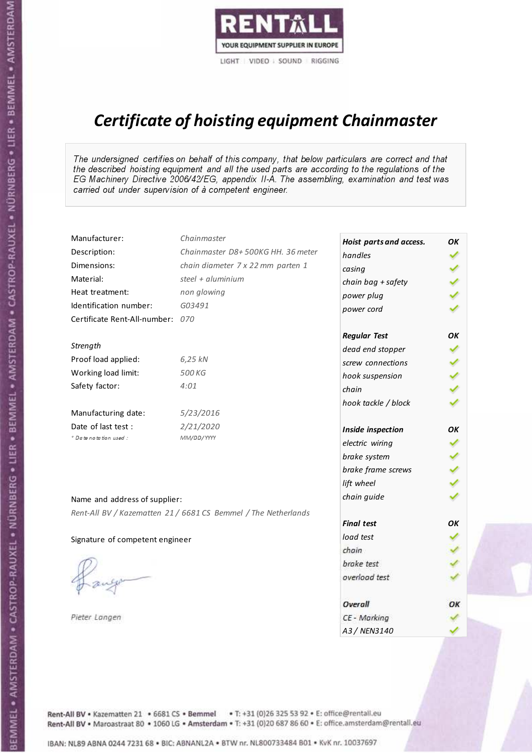

# Certificate of hoisting equipment Chainmaster

The undersigned certifies on behalf of this company, that below particulars are correct and that the described hoisting equipment and all the used parts are according to the regulations of the EG Machinery Directive 2006/42/EG, appendix II-A. The assembling, examination and test was carried out under supervision of à competent engineer.

| Manufacturer:                    | Chainmaster                                                    | Hoist parts and access. | OK  |
|----------------------------------|----------------------------------------------------------------|-------------------------|-----|
| Description:                     | Chainmaster D8+500KG HH. 36 meter                              | handles                 |     |
| Dimensions:                      | chain diameter 7 x 22 mm parten 1                              | casing                  |     |
| Material:                        | steel + aluminium                                              | chain bag + safety      |     |
| Heat treatment:                  | non glowing                                                    | power plug              |     |
| Identification number:           | G03491                                                         | power cord              |     |
| Certificate Rent-All-number: 070 |                                                                |                         |     |
|                                  |                                                                | <b>Regular Test</b>     | OK  |
| Strength                         |                                                                | dead end stopper        | ✔   |
| Proof load applied:              | 6,25 kN                                                        | screw connections       |     |
| Working load limit:              | 500 KG                                                         | hook suspension         |     |
| Safety factor:                   | 4:01                                                           | chain                   | くくく |
|                                  |                                                                | hook tackle / block     |     |
| Manufacturing date:              | 5/23/2016                                                      |                         |     |
| Date of last test :              | 2/21/2020                                                      | Inside inspection       | ОΚ  |
| * Date notation used :           | MM/DD/YYYY                                                     | electric wiring         | ✓   |
|                                  |                                                                | brake system            | ✔   |
|                                  |                                                                | brake frame screws      |     |
|                                  |                                                                | lift wheel              |     |
| Name and address of supplier:    |                                                                | chain guide             |     |
|                                  | Rent-All BV / Kazematten 21 / 6681 CS Bemmel / The Netherlands |                         |     |
|                                  |                                                                | <b>Final test</b>       | OK  |
| Signature of competent engineer  |                                                                | load test               |     |
|                                  |                                                                | chain                   |     |
|                                  |                                                                | brake test              |     |
|                                  |                                                                | overload test           |     |
|                                  |                                                                | Overall                 | ОК  |
| Pieter Langen                    |                                                                | CE - Marking            |     |
|                                  |                                                                | A3 / NEN3140            |     |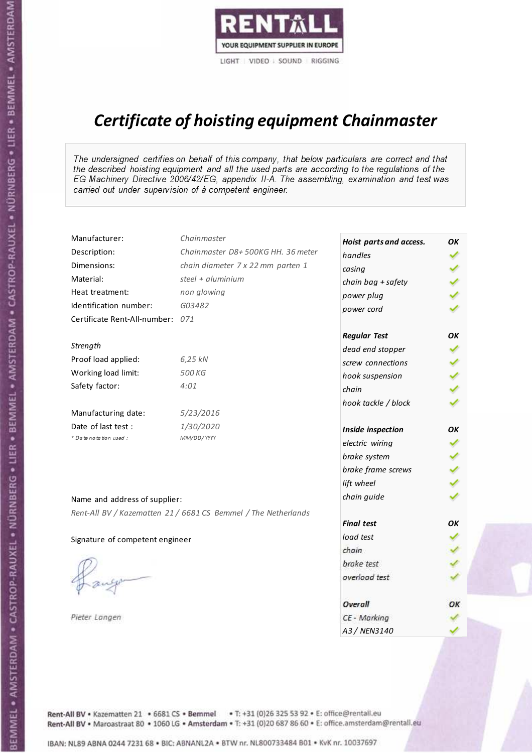

# Certificate of hoisting equipment Chainmaster

The undersigned certifies on behalf of this company, that below particulars are correct and that the described hoisting equipment and all the used parts are according to the regulations of the EG Machinery Directive 2006/42/EG, appendix II-A. The assembling, examination and test was carried out under supervision of à competent engineer.

| Manufacturer:                    | Chainmaster                                                    | Hoist parts and access. | OK  |
|----------------------------------|----------------------------------------------------------------|-------------------------|-----|
| Description:                     | Chainmaster D8+500KG HH. 36 meter                              | handles                 |     |
| Dimensions:                      | chain diameter 7 x 22 mm parten 1                              | casing                  |     |
| Material:                        | steel + aluminium                                              | chain bag + safety      |     |
| Heat treatment:                  | non glowing                                                    | power plug              |     |
| Identification number:           | G03482                                                         | power cord              |     |
| Certificate Rent-All-number: 071 |                                                                |                         |     |
|                                  |                                                                | <b>Regular Test</b>     | OK  |
| Strength                         |                                                                | dead end stopper        | ✔   |
| Proof load applied:              | 6,25 kN                                                        | screw connections       |     |
| Working load limit:              | 500 KG                                                         | hook suspension         |     |
| Safety factor:                   | 4:01                                                           | chain                   | くくく |
|                                  |                                                                | hook tackle / block     |     |
| Manufacturing date:              | 5/23/2016                                                      |                         |     |
| Date of last test :              | 1/30/2020                                                      | Inside inspection       | ОΚ  |
| * Date notation used :           | MM/DD/YYYY                                                     | electric wiring         | ✓   |
|                                  |                                                                | brake system            | ✔   |
|                                  |                                                                | brake frame screws      |     |
|                                  |                                                                | lift wheel              |     |
| Name and address of supplier:    |                                                                | chain guide             |     |
|                                  | Rent-All BV / Kazematten 21 / 6681 CS Bemmel / The Netherlands |                         |     |
|                                  |                                                                | <b>Final test</b>       | OK  |
| Signature of competent engineer  |                                                                | load test               |     |
|                                  |                                                                | chain                   |     |
|                                  |                                                                | brake test              |     |
|                                  |                                                                | overload test           |     |
|                                  |                                                                | Overall                 | ОК  |
| Pieter Langen                    |                                                                | CE - Marking            |     |
|                                  |                                                                | A3 / NEN3140            |     |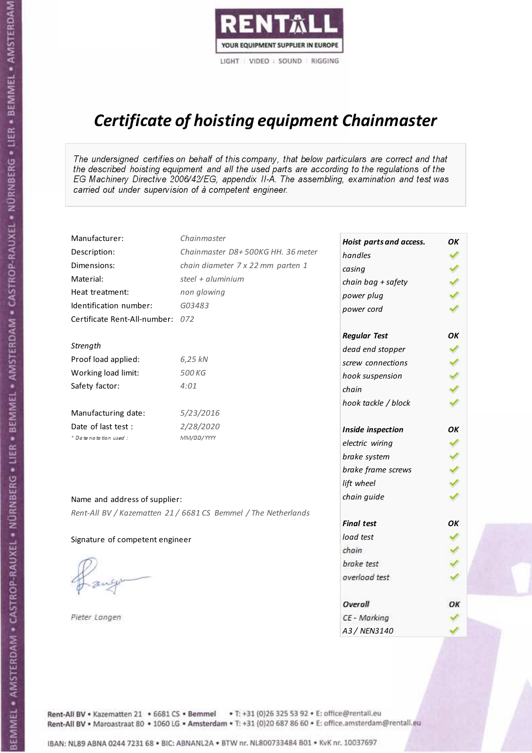

# Certificate of hoisting equipment Chainmaster

The undersigned certifies on behalf of this company, that below particulars are correct and that the described hoisting equipment and all the used parts are according to the regulations of the EG Machinery Directive 2006/42/EG, appendix II-A. The assembling, examination and test was carried out under supervision of à competent engineer.

| Manufacturer:                    | Chainmaster                                                    | Hoist parts and access. | OК  |
|----------------------------------|----------------------------------------------------------------|-------------------------|-----|
| Description:                     | Chainmaster D8+500KG HH. 36 meter                              | handles                 |     |
| Dimensions:                      | chain diameter 7 x 22 mm parten 1                              | casing                  |     |
| Material:                        | steel + $aluminium$                                            | chain bag + safety      |     |
| Heat treatment:                  | non glowing                                                    | power plug              |     |
| Identification number:           | G03483                                                         | power cord              |     |
| Certificate Rent-All-number: 072 |                                                                |                         |     |
|                                  |                                                                | <b>Regular Test</b>     | OK  |
| Strength                         |                                                                | dead end stopper        |     |
| Proof load applied:              | 6,25 kN                                                        | screw connections       |     |
| Working load limit:              | 500 KG                                                         | hook suspension         |     |
| Safety factor:                   | 4:01                                                           | chain                   | くくく |
|                                  |                                                                | hook tackle / block     |     |
| Manufacturing date:              | 5/23/2016                                                      |                         |     |
| Date of last test :              | 2/28/2020                                                      | Inside inspection       | OK  |
| * Date notation used :           | MM/DD/YYYY                                                     | electric wiring         |     |
|                                  |                                                                | brake system            |     |
|                                  |                                                                | brake frame screws      |     |
|                                  |                                                                | lift wheel              |     |
| Name and address of supplier:    |                                                                | chain guide             |     |
|                                  | Rent-All BV / Kazematten 21 / 6681 CS Bemmel / The Netherlands |                         |     |
|                                  |                                                                | <b>Final test</b>       | OK  |
| Signature of competent engineer  |                                                                | load test               |     |
|                                  |                                                                | chain                   |     |
|                                  |                                                                | brake test              |     |
|                                  |                                                                | overload test           |     |
|                                  |                                                                | Overall                 | ОК  |
| Pieter Langen                    |                                                                | CE - Marking            |     |
|                                  |                                                                | A3 / NEN3140            |     |

Rent-All BV . Kazematten 21 . 6681 CS . Bemmel . T: +31 (0)26 325 53 92 . E: office@rentall.eu Rent-All BV · Maroastraat 80 · 1060 LG · Amsterdam · T: +31 (0)20 687 86 60 · E: office.amsterdam@rentall.eu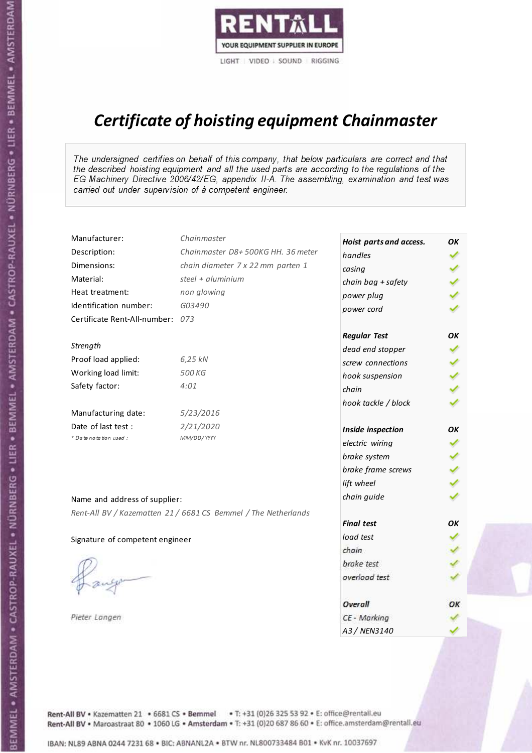

# Certificate of hoisting equipment Chainmaster

The undersigned certifies on behalf of this company, that below particulars are correct and that the described hoisting equipment and all the used parts are according to the regulations of the EG Machinery Directive 2006/42/EG, appendix II-A. The assembling, examination and test was carried out under supervision of à competent engineer.

| Manufacturer:                    | Chainmaster                                                    | Hoist parts and access. | OК  |
|----------------------------------|----------------------------------------------------------------|-------------------------|-----|
| Description:                     | Chainmaster D8+500KG HH. 36 meter                              | handles                 |     |
| Dimensions:                      | chain diameter 7 x 22 mm parten 1                              | casing                  |     |
| Material:                        | steel + $aluminium$                                            | chain bag + safety      |     |
| Heat treatment:                  | non glowing                                                    | power plug              |     |
| Identification number:           | G03490                                                         | power cord              |     |
| Certificate Rent-All-number: 073 |                                                                |                         |     |
|                                  |                                                                | <b>Regular Test</b>     | OK  |
| Strength                         |                                                                | dead end stopper        |     |
| Proof load applied:              | 6,25 kN                                                        | screw connections       |     |
| Working load limit:              | 500 KG                                                         | hook suspension         |     |
| Safety factor:                   | 4:01                                                           | chain                   | くくく |
|                                  |                                                                | hook tackle / block     |     |
| Manufacturing date:              | 5/23/2016                                                      |                         |     |
| Date of last test :              | 2/21/2020                                                      | Inside inspection       | OK  |
| * Date notation used :           | MM/DD/YYYY                                                     | electric wiring         |     |
|                                  |                                                                | brake system            |     |
|                                  |                                                                | brake frame screws      |     |
|                                  |                                                                | lift wheel              |     |
| Name and address of supplier:    |                                                                | chain guide             |     |
|                                  | Rent-All BV / Kazematten 21 / 6681 CS Bemmel / The Netherlands |                         |     |
|                                  |                                                                | <b>Final test</b>       | OK  |
| Signature of competent engineer  |                                                                | load test               |     |
|                                  |                                                                | chain                   |     |
|                                  |                                                                | brake test              |     |
|                                  |                                                                | overload test           |     |
|                                  |                                                                | Overall                 | ОК  |
| Pieter Langen                    |                                                                | CE - Marking            |     |
|                                  |                                                                | A3 / NEN3140            |     |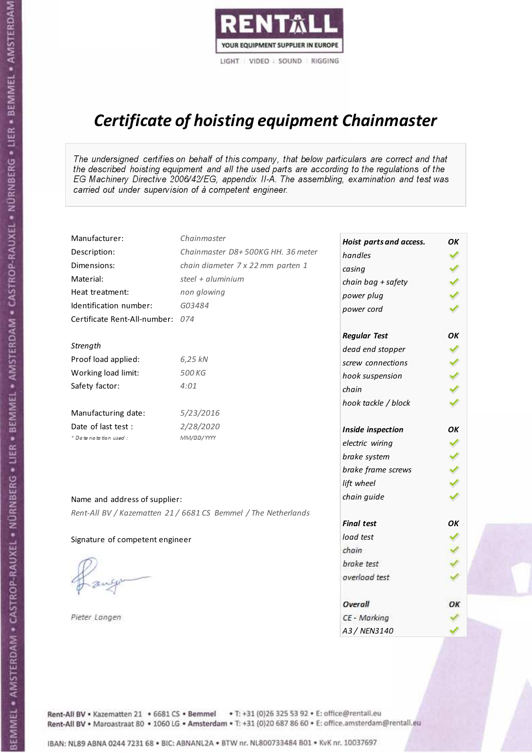

# Certificate of hoisting equipment Chainmaster

The undersigned certifies on behalf of this company, that below particulars are correct and that the described hoisting equipment and all the used parts are according to the regulations of the EG Machinery Directive 2006/42/EG, appendix II-A. The assembling, examination and test was carried out under supervision of à competent engineer.

| Manufacturer:                    | Chainmaster                                                    | Hoist parts and access. | OK  |
|----------------------------------|----------------------------------------------------------------|-------------------------|-----|
| Description:                     | Chainmaster D8+500KG HH. 36 meter                              | handles                 |     |
| Dimensions:                      | chain diameter 7 x 22 mm parten 1                              | casing                  |     |
| Material:                        | steel + aluminium                                              | chain bag + safety      |     |
| Heat treatment:                  | non glowing                                                    | power plug              |     |
| Identification number:           | G03484                                                         | power cord              |     |
| Certificate Rent-All-number: 074 |                                                                |                         |     |
|                                  |                                                                | <b>Regular Test</b>     | OK  |
| Strength                         |                                                                | dead end stopper        | ✔   |
| Proof load applied:              | 6,25 kN                                                        | screw connections       |     |
| Working load limit:              | 500 KG                                                         | hook suspension         |     |
| Safety factor:                   | 4:01                                                           | chain                   | くくく |
|                                  |                                                                | hook tackle / block     |     |
| Manufacturing date:              | 5/23/2016                                                      |                         |     |
| Date of last test :              | 2/28/2020                                                      | Inside inspection       | ОΚ  |
| * Date notation used :           | MM/DD/YYYY                                                     | electric wiring         | ✓   |
|                                  |                                                                | brake system            | ✔   |
|                                  |                                                                | brake frame screws      |     |
|                                  |                                                                | lift wheel              |     |
| Name and address of supplier:    |                                                                | chain guide             |     |
|                                  | Rent-All BV / Kazematten 21 / 6681 CS Bemmel / The Netherlands |                         |     |
|                                  |                                                                | <b>Final test</b>       | OK  |
| Signature of competent engineer  |                                                                | load test               |     |
|                                  |                                                                | chain                   |     |
|                                  |                                                                | brake test              |     |
|                                  |                                                                | overload test           |     |
|                                  |                                                                | Overall                 | ОК  |
| Pieter Langen                    |                                                                | CE - Marking            |     |
|                                  |                                                                | A3 / NEN3140            |     |

Rent-All BV . Kazematten 21 . 6681 CS . Bemmel . T: +31 (0)26 325 53 92 . E: office@rentall.eu Rent-All BV · Maroastraat 80 · 1060 LG · Amsterdam · T: +31 (0)20 687 86 60 · E: office.amsterdam@rentall.eu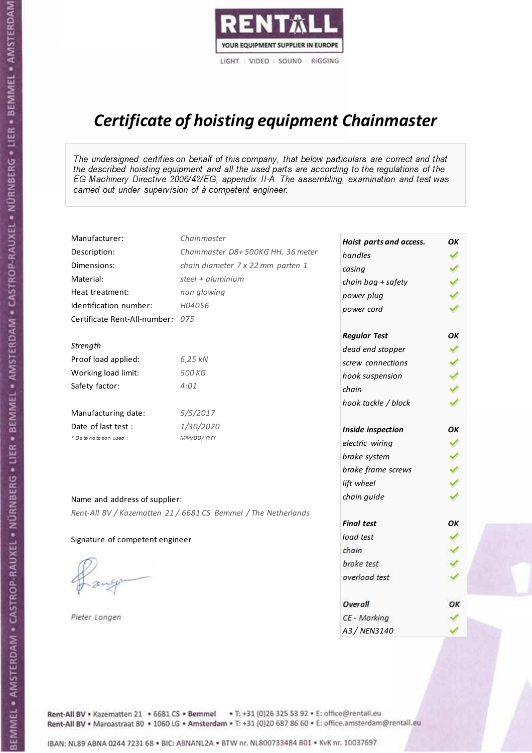

# Certificate of hoisting equipment Chainmaster

The undersigned certifies on behalf of this company, that below particulars are correct and that the described hoisting equipment and all the used parts are according to the regulations of the EG Machinery Directive 2006/42/EG, appendix II-A. The assembling, examination and test was carried out under supervision of à competent engineer.

| Manufacturer:                    | Chainmaster                                                    | Hoist parts and access. | OK |
|----------------------------------|----------------------------------------------------------------|-------------------------|----|
| Description:                     | Chainmaster D8+500KG HH. 36 meter                              | handles                 |    |
| Dimensions:                      | chain diameter 7 x 22 mm parten 1                              | casing                  |    |
| Material:                        | steel $+$ aluminium                                            | chain bag + safety      |    |
| Heat treatment:                  | non glowing                                                    | power plug              |    |
| Identification number:           | H04056                                                         | power cord              |    |
| Certificate Rent-All-number: 075 |                                                                |                         |    |
|                                  |                                                                | <b>Regular Test</b>     | ОΚ |
| Strength                         |                                                                | dead end stopper        |    |
| Proof load applied:              | 6,25 kN                                                        | screw connections       |    |
| Working load limit:              | 500 KG                                                         | hook suspension         |    |
| Safety factor:                   | 4:01                                                           | chain                   |    |
|                                  |                                                                | hook tackle / block     |    |
| Manufacturing date:              | 5/5/2017                                                       |                         |    |
| Date of last test :              | 1/30/2020                                                      | Inside inspection       | ОΚ |
| * Date notation used :           | MM/DD/YYYY                                                     | electric wiring         | ✔  |
|                                  |                                                                | brake system            |    |
|                                  |                                                                | brake frame screws      |    |
|                                  |                                                                | lift wheel              |    |
| Name and address of supplier:    |                                                                | chain guide             |    |
|                                  | Rent-All BV / Kazematten 21 / 6681 CS Bemmel / The Netherlands |                         |    |
|                                  |                                                                | <b>Final test</b>       | OK |
| Signature of competent engineer  |                                                                | load test               |    |
|                                  |                                                                | chain                   |    |
|                                  |                                                                | brake test              |    |
|                                  |                                                                | overload test           |    |
|                                  |                                                                | Overall                 | ОК |
| Pieter Langen                    |                                                                | CE - Marking            |    |
|                                  |                                                                | A3 / NEN3140            |    |

Rent-All BV . Kazematten 21 . 6681 CS . Bemmel . T: +31 (0)26 325 53 92 . E: office@rentall.eu Rent-All BV · Maroastraat 80 · 1060 LG · Amsterdam · T: +31 (0)20 687 86 60 · E: office.amsterdam@rentall.eu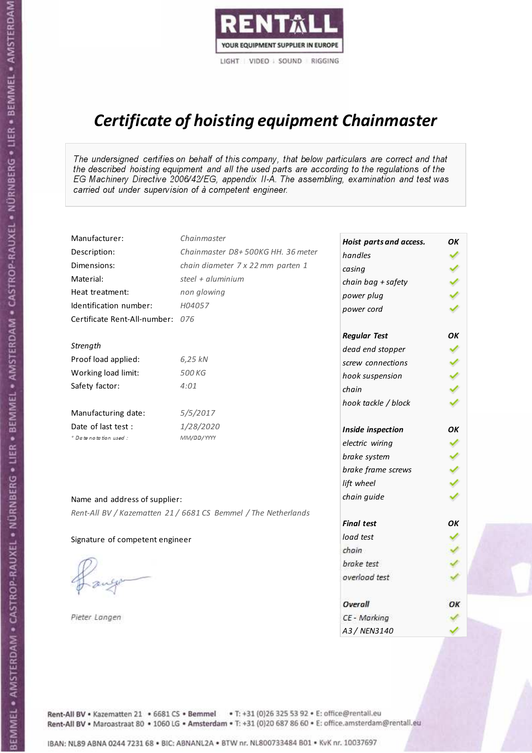

# Certificate of hoisting equipment Chainmaster

The undersigned certifies on behalf of this company, that below particulars are correct and that the described hoisting equipment and all the used parts are according to the regulations of the EG Machinery Directive 2006/42/EG, appendix II-A. The assembling, examination and test was carried out under supervision of à competent engineer.

| Manufacturer:                    | Chainmaster                                                    | Hoist parts and access. | OK |
|----------------------------------|----------------------------------------------------------------|-------------------------|----|
| Description:                     | Chainmaster D8+500KG HH. 36 meter                              | handles                 |    |
| Dimensions:                      | chain diameter 7 x 22 mm parten 1                              | casing                  |    |
| Material:                        | steel $+$ aluminium                                            | chain bag + safety      |    |
| Heat treatment:                  | non glowing                                                    | power plug              |    |
| Identification number:           | H04057                                                         | power cord              |    |
| Certificate Rent-All-number: 076 |                                                                |                         |    |
|                                  |                                                                | <b>Regular Test</b>     | OK |
| Strength                         |                                                                | dead end stopper        |    |
| Proof load applied:              | 6,25 kN                                                        | screw connections       |    |
| Working load limit:              | 500 KG                                                         | hook suspension         |    |
| Safety factor:                   | 4:01                                                           | chain                   |    |
|                                  |                                                                | hook tackle / block     |    |
| Manufacturing date:              | 5/5/2017                                                       |                         |    |
| Date of last test :              | 1/28/2020                                                      | Inside inspection       | ОΚ |
| + Date notation used :           | MM/DD/YYYY                                                     | electric wiring         | ✔  |
|                                  |                                                                | brake system            |    |
|                                  |                                                                | brake frame screws      |    |
|                                  |                                                                | lift wheel              |    |
| Name and address of supplier:    |                                                                | chain guide             |    |
|                                  | Rent-All BV / Kazematten 21 / 6681 CS Bemmel / The Netherlands |                         |    |
|                                  |                                                                | <b>Final test</b>       | OK |
| Signature of competent engineer  |                                                                | load test               |    |
|                                  |                                                                | chain                   |    |
|                                  |                                                                | brake test              |    |
|                                  |                                                                | overload test           |    |
|                                  |                                                                |                         |    |
|                                  |                                                                | Overall                 | ОΚ |
| Pieter Langen                    |                                                                | CE - Marking            |    |
|                                  |                                                                | A3 / NEN3140            |    |

Rent-All BV . Kazematten 21 . 6681 CS . Bemmel . T: +31 (0)26 325 53 92 . E: office@rentall.eu Rent-All BV · Maroastraat 80 · 1060 LG · Amsterdam · T: +31 (0)20 687 86 60 · E: office.amsterdam@rentall.eu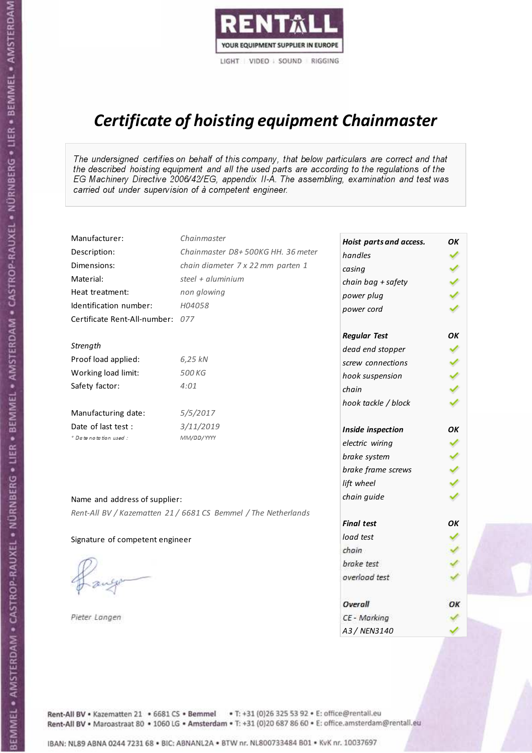

# Certificate of hoisting equipment Chainmaster

The undersigned certifies on behalf of this company, that below particulars are correct and that the described hoisting equipment and all the used parts are according to the regulations of the EG Machinery Directive 2006/42/EG, appendix II-A. The assembling, examination and test was carried out under supervision of à competent engineer.

| Manufacturer:                    | Chainmaster                                                    | Hoist parts and access. | OК |
|----------------------------------|----------------------------------------------------------------|-------------------------|----|
| Description:                     | Chainmaster D8+500KG HH. 36 meter                              | handles                 |    |
| Dimensions:                      | chain diameter 7 x 22 mm parten 1                              | casing                  |    |
| Material:                        | steel + aluminium                                              | chain bag + safety      |    |
| Heat treatment:                  | non glowing                                                    | power plug              |    |
| Identification number:           | H04058                                                         | power cord              |    |
| Certificate Rent-All-number: 077 |                                                                |                         |    |
|                                  |                                                                | <b>Regular Test</b>     | OK |
| Strength                         |                                                                | dead end stopper        |    |
| Proof load applied:              | 6,25 kN                                                        | screw connections       |    |
| Working load limit:              | 500 KG                                                         | hook suspension         |    |
| Safety factor:                   | 4:01                                                           | chain                   |    |
|                                  |                                                                | hook tackle / block     |    |
| Manufacturing date:              | 5/5/2017                                                       |                         |    |
| Date of last test :              | 3/11/2019                                                      | Inside inspection       | OK |
| * Date notation used :           | MM/DD/YYYY                                                     | electric wiring         | ✓  |
|                                  |                                                                | brake system            |    |
|                                  |                                                                | brake frame screws      |    |
|                                  |                                                                | lift wheel              |    |
| Name and address of supplier:    |                                                                | chain guide             |    |
|                                  | Rent-All BV / Kazematten 21 / 6681 CS Bemmel / The Netherlands |                         |    |
|                                  |                                                                | <b>Final test</b>       | OK |
| Signature of competent engineer  |                                                                | load test               |    |
|                                  |                                                                | chain                   |    |
|                                  |                                                                | brake test              |    |
|                                  |                                                                | overload test           |    |
|                                  |                                                                |                         |    |
|                                  |                                                                | Overall                 | ОК |
| Pieter Langen                    |                                                                | CE - Marking            |    |
|                                  |                                                                | A3 / NEN3140            |    |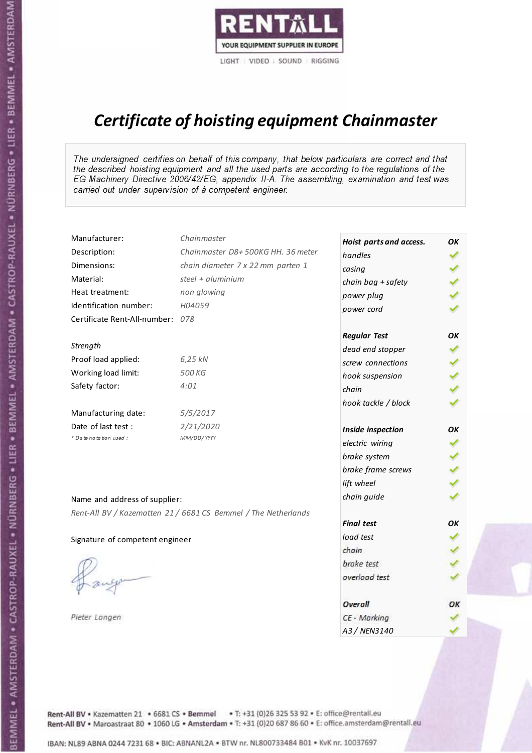

# Certificate of hoisting equipment Chainmaster

The undersigned certifies on behalf of this company, that below particulars are correct and that the described hoisting equipment and all the used parts are according to the regulations of the EG Machinery Directive 2006/42/EG, appendix II-A. The assembling, examination and test was carried out under supervision of à competent engineer.

| Manufacturer:                    | Chainmaster                                                    | Hoist parts and access. | OK  |
|----------------------------------|----------------------------------------------------------------|-------------------------|-----|
| Description:                     | Chainmaster D8+500KG HH. 36 meter                              | handles                 |     |
| Dimensions:                      | chain diameter 7 x 22 mm parten 1                              | casing                  |     |
| Material:                        | steel $+$ aluminium                                            | chain bag + safety      |     |
| Heat treatment:                  | non glowing                                                    | power plug              |     |
| Identification number:           | H04059                                                         | power cord              |     |
| Certificate Rent-All-number: 078 |                                                                |                         |     |
|                                  |                                                                | <b>Regular Test</b>     | OK  |
| Strength                         |                                                                | dead end stopper        |     |
| Proof load applied:              | 6,25 kN                                                        | screw connections       |     |
| Working load limit:              | 500 KG                                                         | hook suspension         |     |
| Safety factor:                   | 4:01                                                           | chain                   | くくく |
|                                  |                                                                | hook tackle / block     |     |
| Manufacturing date:              | 5/5/2017                                                       |                         |     |
| Date of last test :              | 2/21/2020                                                      | Inside inspection       | ОΚ  |
| * Date notation used :           | MM/DD/YYYY                                                     | electric wiring         | ✔   |
|                                  |                                                                | brake system            |     |
|                                  |                                                                | brake frame screws      |     |
|                                  |                                                                | lift wheel              | くくく |
| Name and address of supplier:    |                                                                | chain guide             |     |
|                                  | Rent-All BV / Kazematten 21 / 6681 CS Bemmel / The Netherlands |                         |     |
|                                  |                                                                | <b>Final test</b>       | OK  |
| Signature of competent engineer  |                                                                | load test               |     |
|                                  |                                                                | chain                   |     |
|                                  |                                                                | brake test              |     |
|                                  |                                                                | overload test           |     |
|                                  |                                                                | Overall                 | OK  |
| Pieter Langen                    |                                                                | CE - Marking            |     |
|                                  |                                                                | A3 / NEN3140            |     |

Rent-All BV . Kazematten 21 . 6681 CS . Bemmel . T: +31 (0)26 325 53 92 . E: office@rentall.eu Rent-All BV · Maroastraat 80 · 1060 LG · Amsterdam · T: +31 (0)20 687 86 60 · E: office.amsterdam@rentall.eu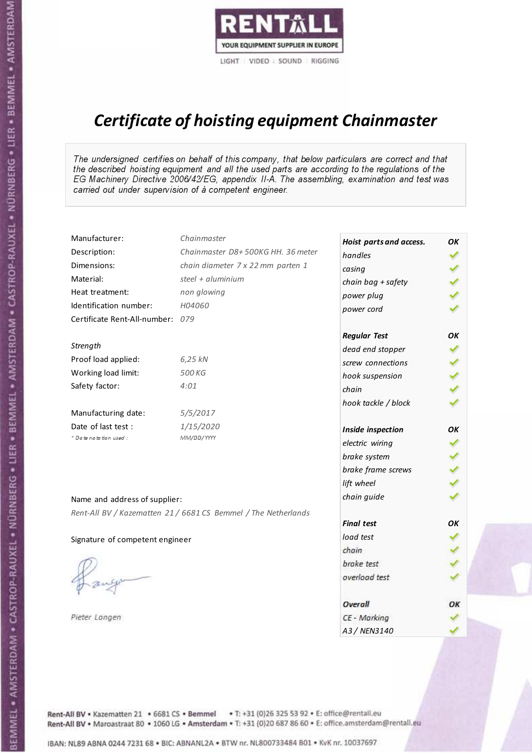

# Certificate of hoisting equipment Chainmaster

The undersigned certifies on behalf of this company, that below particulars are correct and that the described hoisting equipment and all the used parts are according to the regulations of the EG Machinery Directive 2006/42/EG, appendix II-A. The assembling, examination and test was carried out under supervision of à competent engineer.

| Manufacturer:                    | Chainmaster                                                    | Hoist parts and access. | OK  |
|----------------------------------|----------------------------------------------------------------|-------------------------|-----|
| Description:                     | Chainmaster D8+500KG HH. 36 meter                              | handles                 |     |
| Dimensions:                      | chain diameter 7 x 22 mm parten 1                              | casing                  |     |
| Material:                        | steel $+$ aluminium                                            | chain bag + safety      |     |
| Heat treatment:                  | non glowing                                                    | power plug              |     |
| Identification number:           | H04060                                                         | power cord              |     |
| Certificate Rent-All-number: 079 |                                                                |                         |     |
|                                  |                                                                | <b>Regular Test</b>     | ОΚ  |
| Strength                         |                                                                | dead end stopper        |     |
| Proof load applied:              | 6,25 kN                                                        | screw connections       |     |
| Working load limit:              | 500 KG                                                         | hook suspension         |     |
| Safety factor:                   | 4:01                                                           | chain                   | くくく |
|                                  |                                                                | hook tackle / block     |     |
| Manufacturing date:              | 5/5/2017                                                       |                         |     |
| Date of last test :              | 1/15/2020                                                      | Inside inspection       | ΟK  |
| * Date notation used :           | MM/DD/YYYY                                                     | electric wiring         | ✔   |
|                                  |                                                                | brake system            |     |
|                                  |                                                                | brake frame screws      |     |
|                                  |                                                                | lift wheel              | くくく |
| Name and address of supplier:    |                                                                | chain guide             |     |
|                                  | Rent-All BV / Kazematten 21 / 6681 CS Bemmel / The Netherlands |                         |     |
|                                  |                                                                | <b>Final test</b>       | OK  |
| Signature of competent engineer  |                                                                | load test               |     |
|                                  |                                                                | chain                   |     |
|                                  |                                                                | brake test              |     |
|                                  |                                                                | overload test           |     |
|                                  |                                                                |                         |     |
|                                  |                                                                | Overall                 | ОК  |
| Pieter Langen                    |                                                                | CE - Marking            |     |
|                                  |                                                                | A3 / NEN3140            |     |

Rent-All BV . Kazematten 21 . 6681 CS . Bemmel . T: +31 (0)26 325 53 92 . E: office@rentall.eu Rent-All BV · Maroastraat 80 · 1060 LG · Amsterdam · T: +31 (0)20 687 86 60 · E: office.amsterdam@rentall.eu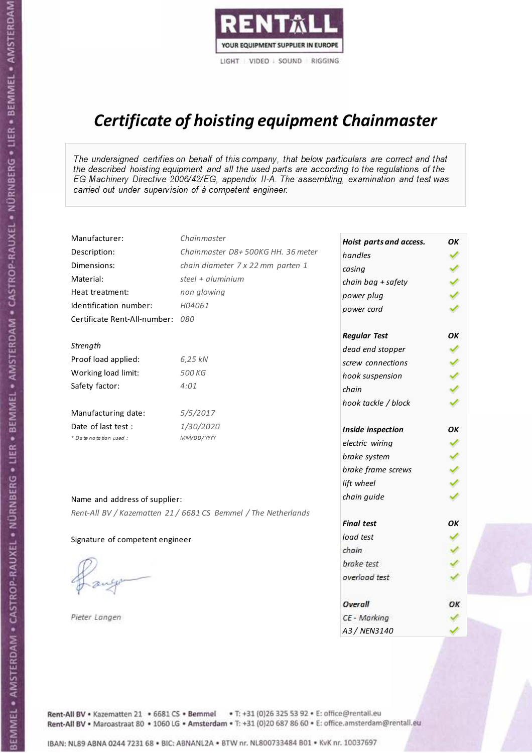

# Certificate of hoisting equipment Chainmaster

The undersigned certifies on behalf of this company, that below particulars are correct and that the described hoisting equipment and all the used parts are according to the regulations of the EG Machinery Directive 2006/42/EG, appendix II-A. The assembling, examination and test was carried out under supervision of à competent engineer.

| Manufacturer:                    | Chainmaster                                                    | Hoist parts and access. | OK  |
|----------------------------------|----------------------------------------------------------------|-------------------------|-----|
| Description:                     | Chainmaster D8+500KG HH. 36 meter                              | handles                 |     |
| Dimensions:                      | chain diameter 7 x 22 mm parten 1                              | casing                  |     |
| Material:                        | steel + $aluminim$                                             | chain bag + safety      |     |
| Heat treatment:                  | non glowing                                                    | power plug              |     |
| Identification number:           | H04061                                                         | power cord              |     |
| Certificate Rent-All-number: 080 |                                                                |                         |     |
|                                  |                                                                | <b>Regular Test</b>     | OK  |
| Strength                         |                                                                | dead end stopper        | ✔   |
| Proof load applied:              | 6,25 kN                                                        | screw connections       |     |
| Working load limit:              | 500 KG                                                         | hook suspension         |     |
| Safety factor:                   | 4:01                                                           | chain                   | くくく |
|                                  |                                                                | hook tackle / block     |     |
| Manufacturing date:              | 5/5/2017                                                       |                         |     |
| Date of last test :              | 1/30/2020                                                      | Inside inspection       | ОΚ  |
| + Date notation used:            | MM/DD/YYYY                                                     | electric wiring         | ✓   |
|                                  |                                                                | brake system            | ✔   |
|                                  |                                                                | brake frame screws      |     |
|                                  |                                                                | lift wheel              |     |
| Name and address of supplier:    |                                                                | chain guide             |     |
|                                  | Rent-All BV / Kazematten 21 / 6681 CS Bemmel / The Netherlands |                         |     |
|                                  |                                                                | <b>Final test</b>       | OK  |
| Signature of competent engineer  |                                                                | load test               |     |
|                                  |                                                                | chain                   |     |
|                                  |                                                                | brake test              |     |
|                                  |                                                                | overload test           |     |
|                                  |                                                                | Overall                 | ОК  |
| Pieter Langen                    |                                                                | CE - Marking            |     |
|                                  |                                                                | A3 / NEN3140            |     |

Rent-All BV . Kazematten 21 . 6681 CS . Bemmel . T: +31 (0)26 325 53 92 . E: office@rentall.eu Rent-All BV · Maroastraat 80 · 1060 LG · Amsterdam · T: +31 (0)20 687 86 60 · E: office.amsterdam@rentall.eu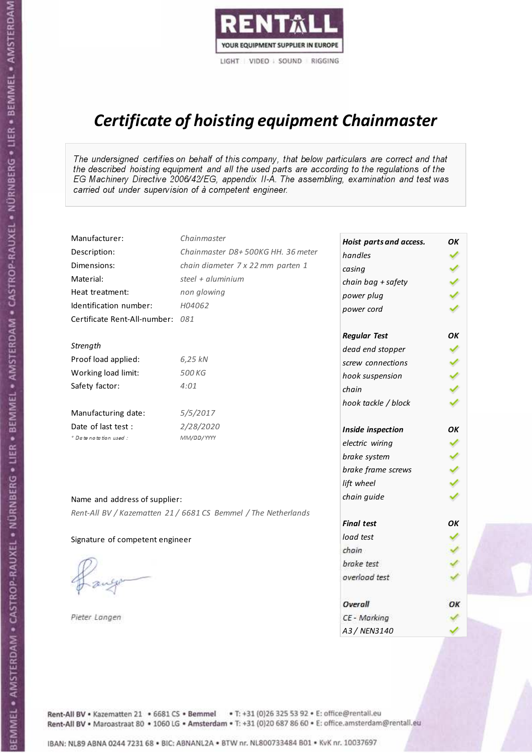

# Certificate of hoisting equipment Chainmaster

The undersigned certifies on behalf of this company, that below particulars are correct and that the described hoisting equipment and all the used parts are according to the regulations of the EG Machinery Directive 2006/42/EG, appendix II-A. The assembling, examination and test was carried out under supervision of à competent engineer.

| Manufacturer:                    | Chainmaster                                                    | Hoist parts and access. | OK  |
|----------------------------------|----------------------------------------------------------------|-------------------------|-----|
| Description:                     | Chainmaster D8+500KG HH. 36 meter                              | handles                 |     |
| Dimensions:                      | chain diameter 7 x 22 mm parten 1                              | casing                  |     |
| Material:                        | steel $+$ aluminium                                            | chain bag + safety      |     |
| Heat treatment:                  | non glowing                                                    | power plug              |     |
| Identification number:           | H04062                                                         | power cord              |     |
| Certificate Rent-All-number: 081 |                                                                |                         |     |
|                                  |                                                                | <b>Regular Test</b>     | ОΚ  |
| Strength                         |                                                                | dead end stopper        | ✔   |
| Proof load applied:              | 6,25 kN                                                        | screw connections       |     |
| Working load limit:              | 500 KG                                                         | hook suspension         |     |
| Safety factor:                   | 4:01                                                           | chain                   | くくく |
|                                  |                                                                | hook tackle / block     |     |
| Manufacturing date:              | 5/5/2017                                                       |                         |     |
| Date of last test :              | 2/28/2020                                                      | Inside inspection       | ОΚ  |
| * Date notation used :           | MM/DD/YYYY                                                     | electric wiring         |     |
|                                  |                                                                | brake system            | ✔   |
|                                  |                                                                | brake frame screws      |     |
|                                  |                                                                | lift wheel              |     |
| Name and address of supplier:    |                                                                | chain guide             |     |
|                                  | Rent-All BV / Kazematten 21 / 6681 CS Bemmel / The Netherlands |                         |     |
|                                  |                                                                | <b>Final test</b>       | OK  |
| Signature of competent engineer  |                                                                | load test               |     |
|                                  |                                                                | chain                   |     |
|                                  |                                                                | brake test              |     |
|                                  |                                                                | overload test           |     |
|                                  |                                                                | Overall                 | ОК  |
| Pieter Langen                    |                                                                | CE - Marking            |     |
|                                  |                                                                | A3 / NEN3140            |     |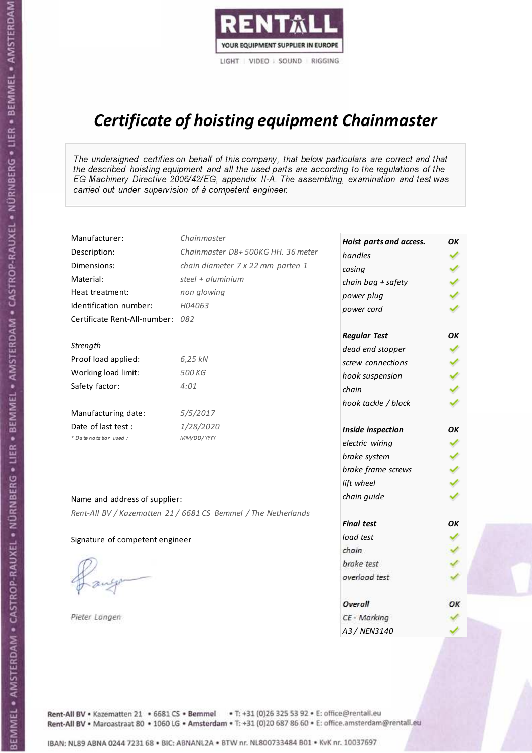

# Certificate of hoisting equipment Chainmaster

The undersigned certifies on behalf of this company, that below particulars are correct and that the described hoisting equipment and all the used parts are according to the regulations of the EG Machinery Directive 2006/42/EG, appendix II-A. The assembling, examination and test was carried out under supervision of à competent engineer.

| Manufacturer:                    | Chainmaster                                                    | Hoist parts and access. | OK  |
|----------------------------------|----------------------------------------------------------------|-------------------------|-----|
| Description:                     | Chainmaster D8+500KG HH. 36 meter                              | handles                 |     |
| Dimensions:                      | chain diameter 7 x 22 mm parten 1                              | casing                  |     |
| Material:                        | steel $+$ aluminium                                            | chain bag + safety      |     |
| Heat treatment:                  | non glowing                                                    | power plug              |     |
| Identification number:           | H04063                                                         | power cord              |     |
| Certificate Rent-All-number: 082 |                                                                |                         |     |
|                                  |                                                                | <b>Regular Test</b>     | ΟK  |
| Strength                         |                                                                | dead end stopper        | ✔   |
| Proof load applied:              | 6,25 kN                                                        | screw connections       |     |
| Working load limit:              | 500 KG                                                         | hook suspension         |     |
| Safety factor:                   | 4:01                                                           | chain                   | くくく |
|                                  |                                                                | hook tackle / block     |     |
| Manufacturing date:              | 5/5/2017                                                       |                         |     |
| Date of last test :              | 1/28/2020                                                      | Inside inspection       | ΟK  |
| + Date notation used :           | MM/DD/YYYY                                                     | electric wiring         | ✓   |
|                                  |                                                                | brake system            |     |
|                                  |                                                                | brake frame screws      | くくく |
|                                  |                                                                | lift wheel              |     |
| Name and address of supplier:    |                                                                | chain guide             |     |
|                                  | Rent-All BV / Kazematten 21 / 6681 CS Bemmel / The Netherlands |                         |     |
|                                  |                                                                | <b>Final test</b>       | OK  |
| Signature of competent engineer  |                                                                | load test               |     |
|                                  |                                                                | chain                   |     |
|                                  |                                                                | brake test              |     |
|                                  |                                                                | overload test           |     |
|                                  |                                                                | Overall                 | ОК  |
| Pieter Langen                    |                                                                | CE - Marking            |     |
|                                  |                                                                | A3 / NEN3140            |     |

Rent-All BV . Kazematten 21 . 6681 CS . Bemmel . T: +31 (0)26 325 53 92 . E: office@rentall.eu Rent-All BV · Maroastraat 80 · 1060 LG · Amsterdam · T: +31 (0)20 687 86 60 · E: office.amsterdam@rentall.eu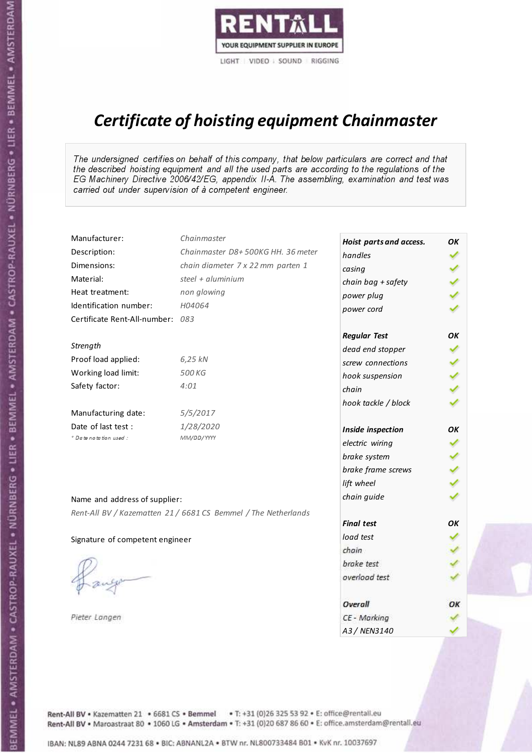

# Certificate of hoisting equipment Chainmaster

The undersigned certifies on behalf of this company, that below particulars are correct and that the described hoisting equipment and all the used parts are according to the regulations of the EG Machinery Directive 2006/42/EG, appendix II-A. The assembling, examination and test was carried out under supervision of à competent engineer.

| Manufacturer:                    | Chainmaster                                                    | Hoist parts and access. | OK  |
|----------------------------------|----------------------------------------------------------------|-------------------------|-----|
| Description:                     | Chainmaster D8+500KG HH. 36 meter                              | handles                 |     |
| Dimensions:                      | chain diameter 7 x 22 mm parten 1                              | casing                  |     |
| Material:                        | steel $+$ aluminium                                            | chain bag + safety      |     |
| Heat treatment:                  | non glowing                                                    | power plug              |     |
| Identification number:           | H04064                                                         | power cord              |     |
| Certificate Rent-All-number: 083 |                                                                |                         |     |
|                                  |                                                                | <b>Regular Test</b>     | OK  |
| Strength                         |                                                                | dead end stopper        |     |
| Proof load applied:              | 6,25 kN                                                        | screw connections       |     |
| Working load limit:              | 500 KG                                                         | hook suspension         |     |
| Safety factor:                   | 4:01                                                           | chain                   | くくく |
|                                  |                                                                | hook tackle / block     |     |
| Manufacturing date:              | 5/5/2017                                                       |                         |     |
| Date of last test :              | 1/28/2020                                                      | Inside inspection       | ОΚ  |
| + Date notation used :           | MM/DD/YYYY                                                     | electric wiring         | ✔   |
|                                  |                                                                | brake system            |     |
|                                  |                                                                | brake frame screws      |     |
|                                  |                                                                | lift wheel              | くくく |
| Name and address of supplier:    |                                                                | chain guide             |     |
|                                  | Rent-All BV / Kazematten 21 / 6681 CS Bemmel / The Netherlands |                         |     |
|                                  |                                                                | <b>Final test</b>       | OK  |
| Signature of competent engineer  |                                                                | load test               |     |
|                                  |                                                                | chain                   |     |
|                                  |                                                                | brake test              |     |
|                                  |                                                                | overload test           |     |
|                                  |                                                                | Overall                 | OK  |
| Pieter Langen                    |                                                                | CE - Marking            |     |
|                                  |                                                                | A3 / NEN3140            |     |

Rent-All BV . Kazematten 21 . 6681 CS . Bemmel . T: +31 (0)26 325 53 92 . E: office@rentall.eu Rent-All BV · Maroastraat 80 · 1060 LG · Amsterdam · T: +31 (0)20 687 86 60 · E: office.amsterdam@rentall.eu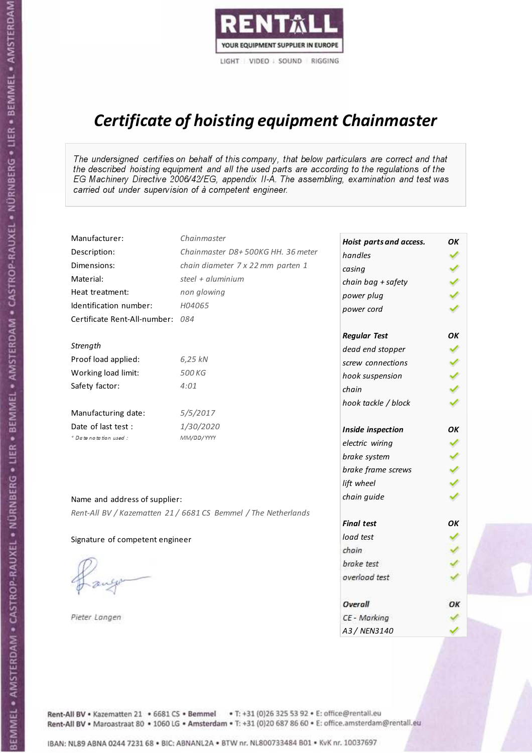

# Certificate of hoisting equipment Chainmaster

The undersigned certifies on behalf of this company, that below particulars are correct and that the described hoisting equipment and all the used parts are according to the regulations of the EG Machinery Directive 2006/42/EG, appendix II-A. The assembling, examination and test was carried out under supervision of à competent engineer.

| Manufacturer:                    | Chainmaster                                                    | Hoist parts and access. | OK  |
|----------------------------------|----------------------------------------------------------------|-------------------------|-----|
| Description:                     | Chainmaster D8+500KG HH. 36 meter                              | handles                 |     |
| Dimensions:                      | chain diameter 7 x 22 mm parten 1                              | casing                  |     |
| Material:                        | steel $+$ aluminium                                            | chain bag + safety      |     |
| Heat treatment:                  | non glowing                                                    | power plug              |     |
| Identification number:           | H04065                                                         | power cord              |     |
| Certificate Rent-All-number: 084 |                                                                |                         |     |
|                                  |                                                                | <b>Regular Test</b>     | ОΚ  |
| Strength                         |                                                                | dead end stopper        | ✔   |
| Proof load applied:              | 6,25 kN                                                        | screw connections       |     |
| Working load limit:              | 500 KG                                                         | hook suspension         |     |
| Safety factor:                   | 4:01                                                           | chain                   | くくく |
|                                  |                                                                | hook tackle / block     |     |
| Manufacturing date:              | 5/5/2017                                                       |                         |     |
| Date of last test :              | 1/30/2020                                                      | Inside inspection       | ОΚ  |
| * Date notation used :           | MM/DD/YYYY                                                     | electric wiring         |     |
|                                  |                                                                | brake system            | ✔   |
|                                  |                                                                | brake frame screws      |     |
|                                  |                                                                | lift wheel              |     |
| Name and address of supplier:    |                                                                | chain guide             |     |
|                                  | Rent-All BV / Kazematten 21 / 6681 CS Bemmel / The Netherlands |                         |     |
|                                  |                                                                | <b>Final test</b>       | OK  |
| Signature of competent engineer  |                                                                | load test               |     |
|                                  |                                                                | chain                   |     |
|                                  |                                                                | brake test              |     |
|                                  |                                                                | overload test           |     |
|                                  |                                                                | Overall                 | ОК  |
| Pieter Langen                    |                                                                | CE - Marking            |     |
|                                  |                                                                | A3 / NEN3140            |     |

Rent-All BV . Kazematten 21 . 6681 CS . Bemmel . T: +31 (0)26 325 53 92 . E: office@rentall.eu Rent-All BV · Maroastraat 80 · 1060 LG · Amsterdam · T: +31 (0)20 687 86 60 · E: office.amsterdam@rentall.eu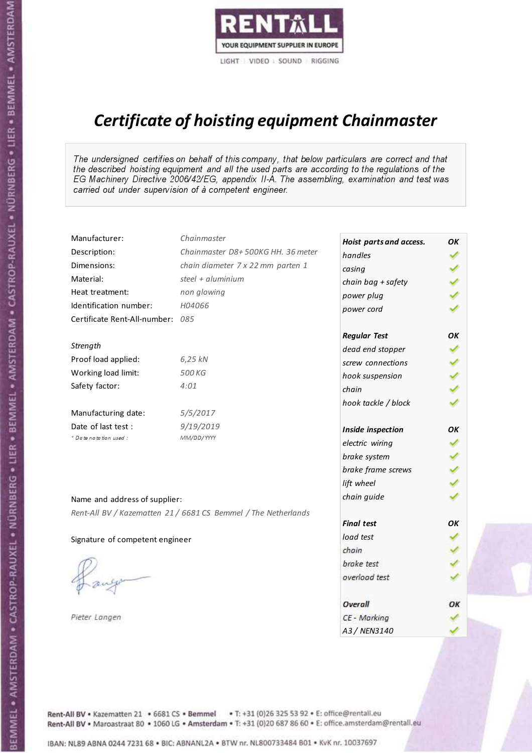

# Certificate of hoisting equipment Chainmaster

The undersigned certifies on behalf of this company, that below particulars are correct and that the described hoisting equipment and all the used parts are according to the regulations of the EG Machinery Directive 2006/42/EG, appendix II-A. The assembling, examination and test was carried out under supervision of à competent engineer.

| Manufacturer:                    | Chainmaster                                                    | Hoist parts and access. | OK  |
|----------------------------------|----------------------------------------------------------------|-------------------------|-----|
| Description:                     | Chainmaster D8+500KG HH. 36 meter                              | handles                 |     |
| Dimensions:                      | chain diameter 7 x 22 mm parten 1                              | casing                  |     |
| Material:                        | steel $+$ aluminium                                            | chain bag + safety      |     |
| Heat treatment:                  | non glowing                                                    | power plug              |     |
| Identification number:           | H04066                                                         | power cord              |     |
| Certificate Rent-All-number: 085 |                                                                |                         |     |
|                                  |                                                                | <b>Regular Test</b>     | OK  |
| Strength                         |                                                                | dead end stopper        |     |
| Proof load applied:              | 6,25 kN                                                        | screw connections       |     |
| Working load limit:              | 500 KG                                                         | hook suspension         |     |
| Safety factor:                   | 4:01                                                           | chain                   | くくく |
|                                  |                                                                | hook tackle / block     |     |
| Manufacturing date:              | 5/5/2017                                                       |                         |     |
| Date of last test :              | 9/19/2019                                                      | Inside inspection       | ОΚ  |
| + Date notation used :           | MM/DD/YYYY                                                     | electric wiring         | ✔   |
|                                  |                                                                | brake system            |     |
|                                  |                                                                | brake frame screws      |     |
|                                  |                                                                | lift wheel              | くくく |
| Name and address of supplier:    |                                                                | chain guide             |     |
|                                  | Rent-All BV / Kazematten 21 / 6681 CS Bemmel / The Netherlands |                         |     |
|                                  |                                                                | <b>Final test</b>       | OK  |
| Signature of competent engineer  |                                                                | load test               |     |
|                                  |                                                                | chain                   |     |
|                                  |                                                                | brake test              |     |
|                                  |                                                                | overload test           |     |
|                                  |                                                                | Overall                 | OK  |
| Pieter Langen                    |                                                                | CE - Marking            |     |
|                                  |                                                                | A3 / NEN3140            |     |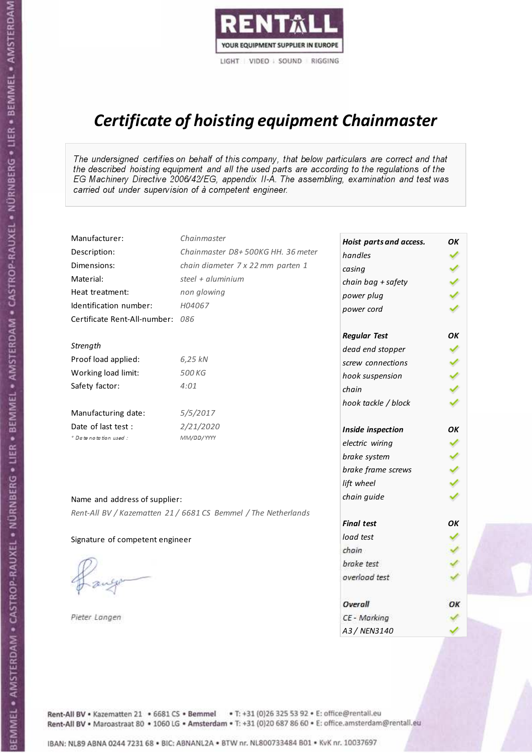

# Certificate of hoisting equipment Chainmaster

The undersigned certifies on behalf of this company, that below particulars are correct and that the described hoisting equipment and all the used parts are according to the regulations of the EG Machinery Directive 2006/42/EG, appendix II-A. The assembling, examination and test was carried out under supervision of à competent engineer.

| Manufacturer:                    | Chainmaster                                                    | Hoist parts and access. | OK  |
|----------------------------------|----------------------------------------------------------------|-------------------------|-----|
| Description:                     | Chainmaster D8+500KG HH. 36 meter                              | handles                 |     |
| Dimensions:                      | chain diameter 7 x 22 mm parten 1                              | casing                  |     |
| Material:                        | steel $+$ aluminium                                            | chain bag + safety      |     |
| Heat treatment:                  | non glowing                                                    | power plug              |     |
| Identification number:           | H04067                                                         | power cord              |     |
| Certificate Rent-All-number: 086 |                                                                |                         |     |
|                                  |                                                                | <b>Regular Test</b>     | ΟK  |
| Strength                         |                                                                | dead end stopper        | ✔   |
| Proof load applied:              | 6,25 kN                                                        | screw connections       |     |
| Working load limit:              | 500 KG                                                         | hook suspension         |     |
| Safety factor:                   | 4:01                                                           | chain                   | くくく |
|                                  |                                                                | hook tackle / block     |     |
| Manufacturing date:              | 5/5/2017                                                       |                         |     |
| Date of last test :              | 2/21/2020                                                      | Inside inspection       | ΟK  |
| + Date notation used :           | MM/DD/YYYY                                                     | electric wiring         | ✔   |
|                                  |                                                                | brake system            |     |
|                                  |                                                                | brake frame screws      | くくく |
|                                  |                                                                | lift wheel              |     |
| Name and address of supplier:    |                                                                | chain guide             |     |
|                                  | Rent-All BV / Kazematten 21 / 6681 CS Bemmel / The Netherlands |                         |     |
|                                  |                                                                | <b>Final test</b>       | OK  |
| Signature of competent engineer  |                                                                | load test               |     |
|                                  |                                                                | chain                   |     |
|                                  |                                                                | brake test              |     |
|                                  |                                                                | overload test           |     |
|                                  |                                                                | Overall                 | ОК  |
| Pieter Langen                    |                                                                | CE - Marking            |     |
|                                  |                                                                | A3 / NEN3140            |     |

Rent-All BV . Kazematten 21 . 6681 CS . Bemmel . T: +31 (0)26 325 53 92 . E: office@rentall.eu Rent-All BV · Maroastraat 80 · 1060 LG · Amsterdam · T: +31 (0)20 687 86 60 · E: office.amsterdam@rentall.eu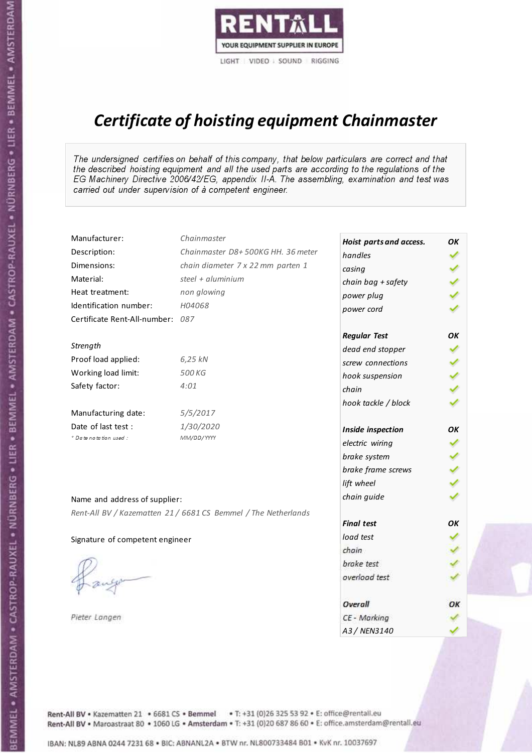

# Certificate of hoisting equipment Chainmaster

The undersigned certifies on behalf of this company, that below particulars are correct and that the described hoisting equipment and all the used parts are according to the regulations of the EG Machinery Directive 2006/42/EG, appendix II-A. The assembling, examination and test was carried out under supervision of à competent engineer.

| Manufacturer:                    | Chainmaster                                                    | Hoist parts and access. | OK  |
|----------------------------------|----------------------------------------------------------------|-------------------------|-----|
| Description:                     | Chainmaster D8+500KG HH. 36 meter                              | handles                 |     |
| Dimensions:                      | chain diameter 7 x 22 mm parten 1                              | casing                  |     |
| Material:                        | steel + $aluminim$                                             | chain bag + safety      |     |
| Heat treatment:                  | non glowing                                                    | power plug              |     |
| Identification number:           | H04068                                                         | power cord              |     |
| Certificate Rent-All-number: 087 |                                                                |                         |     |
|                                  |                                                                | <b>Regular Test</b>     | OK  |
| Strength                         |                                                                | dead end stopper        | ✔   |
| Proof load applied:              | 6,25 kN                                                        | screw connections       |     |
| Working load limit:              | 500 KG                                                         | hook suspension         |     |
| Safety factor:                   | 4:01                                                           | chain                   | くくく |
|                                  |                                                                | hook tackle / block     |     |
| Manufacturing date:              | 5/5/2017                                                       |                         |     |
| Date of last test :              | 1/30/2020                                                      | Inside inspection       | ОΚ  |
| + Date notation used:            | MM/DD/YYYY                                                     | electric wiring         | ✓   |
|                                  |                                                                | brake system            | ✔   |
|                                  |                                                                | brake frame screws      |     |
|                                  |                                                                | lift wheel              |     |
| Name and address of supplier:    |                                                                | chain guide             |     |
|                                  | Rent-All BV / Kazematten 21 / 6681 CS Bemmel / The Netherlands |                         |     |
|                                  |                                                                | <b>Final test</b>       | OK  |
| Signature of competent engineer  |                                                                | load test               |     |
|                                  |                                                                | chain                   |     |
|                                  |                                                                | brake test              |     |
|                                  |                                                                | overload test           |     |
|                                  |                                                                | Overall                 | ОК  |
| Pieter Langen                    |                                                                | CE - Marking            |     |
|                                  |                                                                | A3 / NEN3140            |     |

Rent-All BV . Kazematten 21 . 6681 CS . Bemmel . T: +31 (0)26 325 53 92 . E: office@rentall.eu Rent-All BV · Maroastraat 80 · 1060 LG · Amsterdam · T: +31 (0)20 687 86 60 · E: office.amsterdam@rentall.eu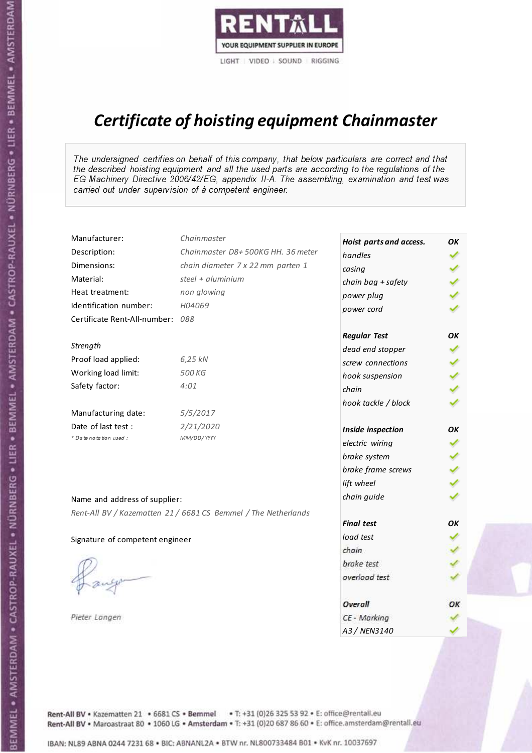

# Certificate of hoisting equipment Chainmaster

The undersigned certifies on behalf of this company, that below particulars are correct and that the described hoisting equipment and all the used parts are according to the regulations of the EG Machinery Directive 2006/42/EG, appendix II-A. The assembling, examination and test was carried out under supervision of à competent engineer.

| Manufacturer:                    | Chainmaster                                                    | Hoist parts and access. | OK  |
|----------------------------------|----------------------------------------------------------------|-------------------------|-----|
| Description:                     | Chainmaster D8+500KG HH. 36 meter                              | handles                 |     |
| Dimensions:                      | chain diameter 7 x 22 mm parten 1                              | casing                  |     |
| Material:                        | steel $+$ aluminium                                            | chain bag + safety      |     |
| Heat treatment:                  | non glowing                                                    | power plug              |     |
| Identification number:           | H04069                                                         | power cord              |     |
| Certificate Rent-All-number: 088 |                                                                |                         |     |
|                                  |                                                                | <b>Regular Test</b>     | ОΚ  |
| Strength                         |                                                                | dead end stopper        | ✔   |
| Proof load applied:              | 6,25 kN                                                        | screw connections       |     |
| Working load limit:              | 500 KG                                                         | hook suspension         |     |
| Safety factor:                   | 4:01                                                           | chain                   | くくく |
|                                  |                                                                | hook tackle / block     |     |
| Manufacturing date:              | 5/5/2017                                                       |                         |     |
| Date of last test :              | 2/21/2020                                                      | Inside inspection       | ОΚ  |
| * Date notation used :           | MM/DD/YYYY                                                     | electric wiring         |     |
|                                  |                                                                | brake system            | ✔   |
|                                  |                                                                | brake frame screws      |     |
|                                  |                                                                | lift wheel              |     |
| Name and address of supplier:    |                                                                | chain guide             |     |
|                                  | Rent-All BV / Kazematten 21 / 6681 CS Bemmel / The Netherlands |                         |     |
|                                  |                                                                | <b>Final test</b>       | OK  |
| Signature of competent engineer  |                                                                | load test               |     |
|                                  |                                                                | chain                   |     |
|                                  |                                                                | brake test              |     |
|                                  |                                                                | overload test           |     |
|                                  |                                                                | Overall                 | ОК  |
| Pieter Langen                    |                                                                | CE - Marking            |     |
|                                  |                                                                | A3 / NEN3140            |     |

Rent-All BV . Kazematten 21 . 6681 CS . Bemmel . T: +31 (0)26 325 53 92 . E: office@rentall.eu Rent-All BV · Maroastraat 80 · 1060 LG · Amsterdam · T: +31 (0)20 687 86 60 · E: office.amsterdam@rentall.eu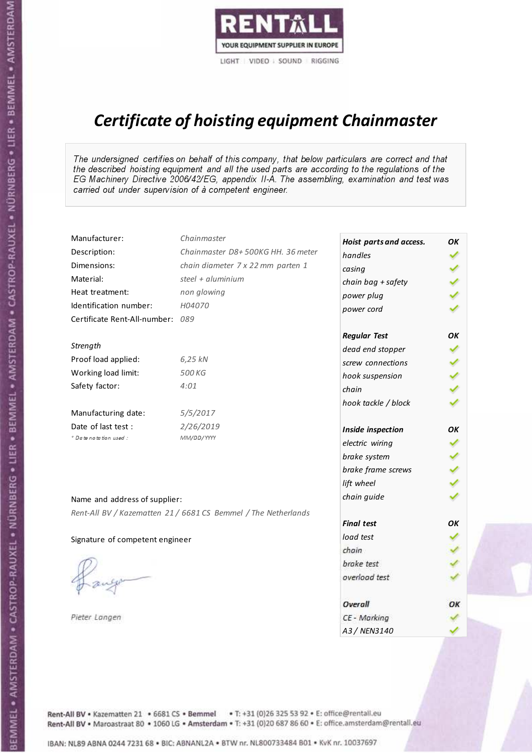

# Certificate of hoisting equipment Chainmaster

The undersigned certifies on behalf of this company, that below particulars are correct and that the described hoisting equipment and all the used parts are according to the regulations of the EG Machinery Directive 2006/42/EG, appendix II-A. The assembling, examination and test was carried out under supervision of à competent engineer.

| Manufacturer:                    | Chainmaster                                                    | Hoist parts and access. | OK  |
|----------------------------------|----------------------------------------------------------------|-------------------------|-----|
| Description:                     | Chainmaster D8+500KG HH. 36 meter                              | handles                 |     |
| Dimensions:                      | chain diameter 7 x 22 mm parten 1                              | casing                  |     |
| Material:                        | steel $+$ aluminium                                            | chain bag + safety      |     |
| Heat treatment:                  | non glowing                                                    | power plug              |     |
| Identification number:           | H04070                                                         | power cord              |     |
| Certificate Rent-All-number: 089 |                                                                |                         |     |
|                                  |                                                                | <b>Regular Test</b>     | ОΚ  |
| Strength                         |                                                                | dead end stopper        |     |
| Proof load applied:              | 6,25 kN                                                        | screw connections       |     |
| Working load limit:              | 500 KG                                                         | hook suspension         |     |
| Safety factor:                   | 4:01                                                           | chain                   | くくく |
|                                  |                                                                | hook tackle / block     |     |
| Manufacturing date:              | 5/5/2017                                                       |                         |     |
| Date of last test :              | 2/26/2019                                                      | Inside inspection       | ОΚ  |
| + Date notation used :           | MM/DD/YYYY                                                     | electric wiring         | ✓   |
|                                  |                                                                | brake system            |     |
|                                  |                                                                | brake frame screws      |     |
|                                  |                                                                | lift wheel              |     |
| Name and address of supplier:    |                                                                | chain guide             |     |
|                                  | Rent-All BV / Kazematten 21 / 6681 CS Bemmel / The Netherlands |                         |     |
|                                  |                                                                | <b>Final test</b>       | OK  |
| Signature of competent engineer  |                                                                | load test               |     |
|                                  |                                                                | chain                   |     |
|                                  |                                                                | brake test              |     |
|                                  |                                                                | overload test           |     |
|                                  |                                                                | Overall                 | ОК  |
| Pieter Langen                    |                                                                | CE - Marking            |     |
|                                  |                                                                | A3 / NEN3140            |     |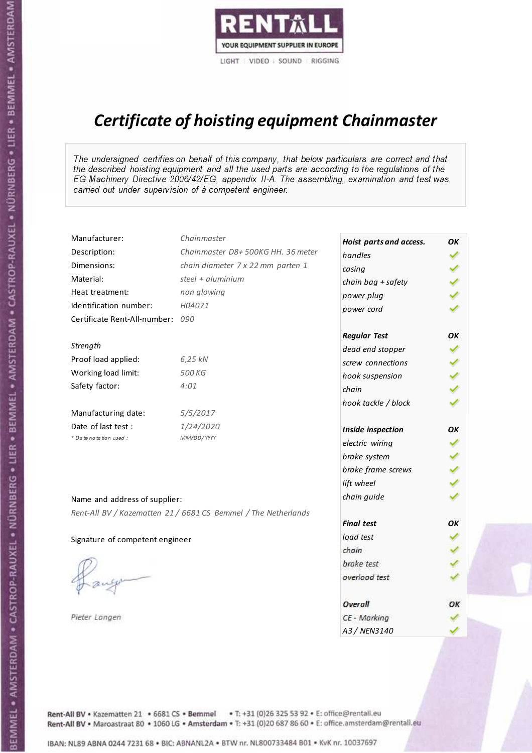

# Certificate of hoisting equipment Chainmaster

The undersigned certifies on behalf of this company, that below particulars are correct and that the described hoisting equipment and all the used parts are according to the regulations of the EG Machinery Directive 2006/42/EG, appendix II-A. The assembling, examination and test was carried out under supervision of à competent engineer.

| Manufacturer:                    | Chainmaster                                                    | Hoist parts and access. | OK  |
|----------------------------------|----------------------------------------------------------------|-------------------------|-----|
| Description:                     | Chainmaster D8+500KG HH. 36 meter                              | handles                 |     |
| Dimensions:                      | chain diameter 7 x 22 mm parten 1                              | casing                  |     |
| Material:                        | steel $+$ aluminium                                            | chain bag + safety      |     |
| Heat treatment:                  | non glowing                                                    | power plug              |     |
| Identification number:           | H04071                                                         | power cord              |     |
| Certificate Rent-All-number: 090 |                                                                |                         |     |
|                                  |                                                                | <b>Regular Test</b>     | OK  |
| Strength                         |                                                                | dead end stopper        | ✔   |
| Proof load applied:              | 6,25 kN                                                        | screw connections       |     |
| Working load limit:              | 500 KG                                                         | hook suspension         |     |
| Safety factor:                   | 4:01                                                           | chain                   | くくく |
|                                  |                                                                | hook tackle / block     |     |
| Manufacturing date:              | 5/5/2017                                                       |                         |     |
| Date of last test :              | 1/24/2020                                                      | Inside inspection       | OK  |
| * Date notation used :           | MM/DD/YYYY                                                     | electric wiring         |     |
|                                  |                                                                | brake system            | ✔   |
|                                  |                                                                | brake frame screws      |     |
|                                  |                                                                | lift wheel              |     |
| Name and address of supplier:    |                                                                | chain guide             |     |
|                                  | Rent-All BV / Kazematten 21 / 6681 CS Bemmel / The Netherlands |                         |     |
|                                  |                                                                | <b>Final test</b>       | OK  |
| Signature of competent engineer  |                                                                | load test               |     |
|                                  |                                                                | chain                   |     |
|                                  |                                                                | brake test              |     |
|                                  |                                                                | overload test           |     |
|                                  |                                                                | Overall                 | OK  |
| Pieter Langen                    |                                                                | CE - Marking            |     |
|                                  |                                                                | A3 / NEN3140            |     |

Rent-All BV . Kazematten 21 . 6681 CS . Bemmel . T: +31 (0)26 325 53 92 . E: office@rentall.eu Rent-All BV · Maroastraat 80 · 1060 LG · Amsterdam · T: +31 (0)20 687 86 60 · E: office.amsterdam@rentall.eu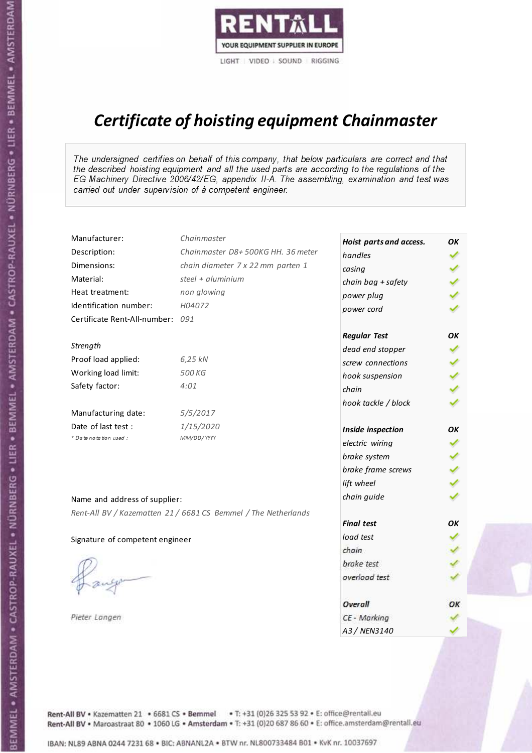

# Certificate of hoisting equipment Chainmaster

The undersigned certifies on behalf of this company, that below particulars are correct and that the described hoisting equipment and all the used parts are according to the regulations of the EG Machinery Directive 2006/42/EG, appendix II-A. The assembling, examination and test was carried out under supervision of à competent engineer.

| Manufacturer:                    | Chainmaster                                                    | Hoist parts and access. | OK  |
|----------------------------------|----------------------------------------------------------------|-------------------------|-----|
| Description:                     | Chainmaster D8+500KG HH. 36 meter                              | handles                 |     |
| Dimensions:                      | chain diameter 7 x 22 mm parten 1                              | casing                  |     |
| Material:                        | steel $+$ aluminium                                            | chain bag + safety      |     |
| Heat treatment:                  | non glowing                                                    | power plug              |     |
| Identification number:           | H04072                                                         | power cord              |     |
| Certificate Rent-All-number: 091 |                                                                |                         |     |
|                                  |                                                                | <b>Regular Test</b>     | ОΚ  |
| Strength                         |                                                                | dead end stopper        |     |
| Proof load applied:              | 6,25 kN                                                        | screw connections       |     |
| Working load limit:              | 500 KG                                                         | hook suspension         |     |
| Safety factor:                   | 4:01                                                           | chain                   | くくく |
|                                  |                                                                | hook tackle / block     |     |
| Manufacturing date:              | 5/5/2017                                                       |                         |     |
| Date of last test :              | 1/15/2020                                                      | Inside inspection       | ОΚ  |
| * Date notation used :           | MM/DD/YYYY                                                     | electric wiring         | ✔   |
|                                  |                                                                | brake system            |     |
|                                  |                                                                | brake frame screws      |     |
|                                  |                                                                | lift wheel              |     |
| Name and address of supplier:    |                                                                | chain guide             |     |
|                                  | Rent-All BV / Kazematten 21 / 6681 CS Bemmel / The Netherlands |                         |     |
|                                  |                                                                | <b>Final test</b>       | OK  |
| Signature of competent engineer  |                                                                | load test               |     |
|                                  |                                                                | chain                   |     |
|                                  |                                                                | brake test              |     |
|                                  |                                                                | overload test           |     |
|                                  |                                                                | Overall                 | ОК  |
| Pieter Langen                    |                                                                | CE - Marking            |     |
|                                  |                                                                | A3 / NEN3140            |     |

Rent-All BV . Kazematten 21 . 6681 CS . Bemmel . T: +31 (0)26 325 53 92 . E: office@rentall.eu Rent-All BV · Maroastraat 80 · 1060 LG · Amsterdam · T: +31 (0)20 687 86 60 · E: office.amsterdam@rentall.eu

IBAN: NL89 ABNA 0244 7231 68 . BIC: ABNANL2A . BTW nr. NL800733484 B01 . KyK nr. 10037697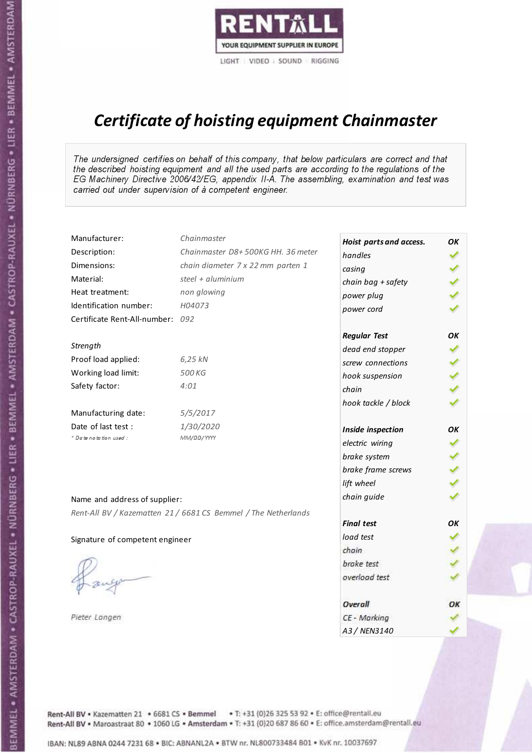

# Certificate of hoisting equipment Chainmaster

The undersigned certifies on behalf of this company, that below particulars are correct and that the described hoisting equipment and all the used parts are according to the regulations of the EG Machinery Directive 2006/42/EG, appendix II-A. The assembling, examination and test was carried out under supervision of à competent engineer.

| Manufacturer:                    | Chainmaster                                                    | Hoist parts and access. | OK  |
|----------------------------------|----------------------------------------------------------------|-------------------------|-----|
| Description:                     | Chainmaster D8+500KG HH. 36 meter                              | handles                 |     |
| Dimensions:                      | chain diameter 7 x 22 mm parten 1                              | casing                  |     |
| Material:                        | steel + $aluminim$                                             | chain bag + safety      |     |
| Heat treatment:                  | non glowing                                                    | power plug              |     |
| Identification number:           | H04073                                                         | power cord              |     |
| Certificate Rent-All-number: 092 |                                                                |                         |     |
|                                  |                                                                | <b>Regular Test</b>     | OK  |
| Strength                         |                                                                | dead end stopper        | ✔   |
| Proof load applied:              | 6,25 kN                                                        | screw connections       |     |
| Working load limit:              | 500 KG                                                         | hook suspension         |     |
| Safety factor:                   | 4:01                                                           | chain                   | くくく |
|                                  |                                                                | hook tackle / block     |     |
| Manufacturing date:              | 5/5/2017                                                       |                         |     |
| Date of last test :              | 1/30/2020                                                      | Inside inspection       | ОΚ  |
| + Date notation used:            | MM/DD/YYYY                                                     | electric wiring         | ✓   |
|                                  |                                                                | brake system            | ✔   |
|                                  |                                                                | brake frame screws      |     |
|                                  |                                                                | lift wheel              |     |
| Name and address of supplier:    |                                                                | chain guide             |     |
|                                  | Rent-All BV / Kazematten 21 / 6681 CS Bemmel / The Netherlands |                         |     |
|                                  |                                                                | <b>Final test</b>       | OK  |
| Signature of competent engineer  |                                                                | load test               |     |
|                                  |                                                                | chain                   |     |
|                                  |                                                                | brake test              |     |
|                                  |                                                                | overload test           |     |
|                                  |                                                                | Overall                 | ОК  |
| Pieter Langen                    |                                                                | CE - Marking            |     |
|                                  |                                                                | A3 / NEN3140            |     |

Rent-All BV . Kazematten 21 . 6681 CS . Bemmel . T: +31 (0)26 325 53 92 . E: office@rentall.eu Rent-All BV · Maroastraat 80 · 1060 LG · Amsterdam · T: +31 (0)20 687 86 60 · E: office.amsterdam@rentall.eu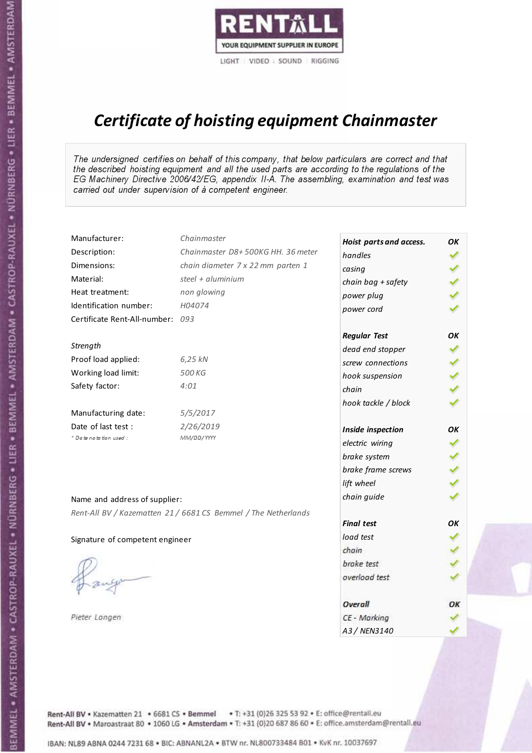

# Certificate of hoisting equipment Chainmaster

The undersigned certifies on behalf of this company, that below particulars are correct and that the described hoisting equipment and all the used parts are according to the regulations of the EG Machinery Directive 2006/42/EG, appendix II-A. The assembling, examination and test was carried out under supervision of à competent engineer.

| Manufacturer:                    | Chainmaster                                                    | Hoist parts and access. | OK  |
|----------------------------------|----------------------------------------------------------------|-------------------------|-----|
| Description:                     | Chainmaster D8+500KG HH. 36 meter                              | handles                 |     |
| Dimensions:                      | chain diameter 7 x 22 mm parten 1                              | casing                  |     |
| Material:                        | steel $+$ aluminium                                            | chain bag + safety      |     |
| Heat treatment:                  | non glowing                                                    | power plug              |     |
| Identification number:           | H04074                                                         | power cord              |     |
| Certificate Rent-All-number: 093 |                                                                |                         |     |
|                                  |                                                                | <b>Regular Test</b>     | ΟK  |
| Strength                         |                                                                | dead end stopper        | ✔   |
| Proof load applied:              | 6,25 kN                                                        | screw connections       |     |
| Working load limit:              | 500 KG                                                         | hook suspension         |     |
| Safety factor:                   | 4:01                                                           | chain                   | くくく |
|                                  |                                                                | hook tackle / block     |     |
| Manufacturing date:              | 5/5/2017                                                       |                         |     |
| Date of last test :              | 2/26/2019                                                      | Inside inspection       | ΟK  |
| + Date notation used :           | MM/DD/YYYY                                                     | electric wiring         | ✓   |
|                                  |                                                                | brake system            |     |
|                                  |                                                                | brake frame screws      |     |
|                                  |                                                                | lift wheel              | くくく |
| Name and address of supplier:    |                                                                | chain guide             |     |
|                                  | Rent-All BV / Kazematten 21 / 6681 CS Bemmel / The Netherlands |                         |     |
|                                  |                                                                | <b>Final test</b>       | OK  |
| Signature of competent engineer  |                                                                | load test               |     |
|                                  |                                                                | chain                   |     |
|                                  |                                                                | brake test              |     |
|                                  |                                                                | overload test           |     |
|                                  |                                                                | Overall                 | ОК  |
| Pieter Langen                    |                                                                | CE - Marking            |     |
|                                  |                                                                | A3 / NEN3140            |     |